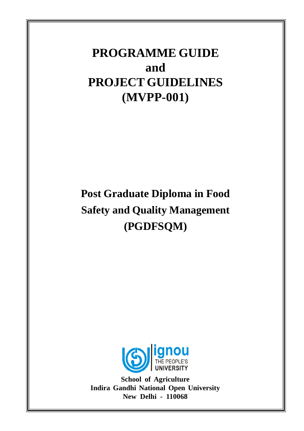# **PROGRAMME GUIDE and PROJECT GUIDELINES (MVPP-001)**

# **Post Graduate Diploma in Food Safety and Quality Management (PGDFSQM)**



**School of Agriculture Indira Gandhi National Open University New Delhi - 110068**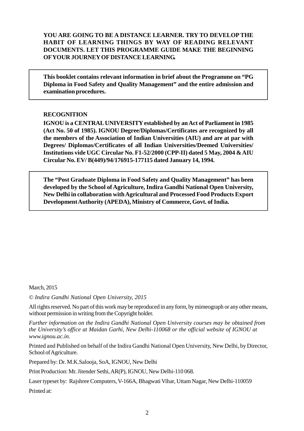#### **YOU ARE GOING TO BE A DISTANCE LEARNER. TRY TO DEVELOP THE HABIT OF LEARNING THINGS BY WAY OF READING RELEVANT DOCUMENTS. LET THIS PROGRAMME GUIDE MAKE THE BEGINNING OFYOUR JOURNEYOFDISTANCE LEARNING.**

**This booklet contains relevant information in brief about the Programme on "PG Diploma in Food Safety and Quality Management" and the entire admission and examination procedures.**

#### **RECOGNITION**

**IGNOU is a CENTRALUNIVERSITY established by anAct of Parliament in 1985 (Act No. 50 of 1985). IGNOU Degree/Diplomas/Certificates are recognized by all the members of the Association of Indian Universities (AIU) and are at par with Degrees/ Diplomas/Certificates of all Indian Universities/Deemed Universities/ Institutions vide UGC Circular No. F1-52/2000 (CPP-II) dated 5 May, 2004 & AIU Circular No. EV/ B(449)/94/176915-177115 dated January 14, 1994.**

**The "Post Graduate Diploma in Food Safety and Quality Management" has been developed by the School of Agriculture, Indira Gandhi National Open University, New Delhi in collaboration withAgricultural and Processed Food Products Export DevelopmentAuthority (APEDA), Ministry of Commerce, Govt. of India.**

March, 2015

*© Indira Gandhi National Open University, 2015*

All rights reserved. No part of this work may be reproduced in any form, by mimeograph or any other means, without permission in writing from the Copyright holder.

*Further information on the Indira Gandhi National Open University courses may be obtained from the University's office at Maidan Garhi, New Delhi-110068 or the official website of IGNOU at www.ignou.ac.in.*

Printed and Published on behalf of the Indira Gandhi National Open University, New Delhi, by Director, School of Agriculture.

Prepared by: Dr. M.K.Salooja, SoA, IGNOU, New Delhi

Print Production: Mr. Jitender Sethi,AR(P), IGNOU, New Delhi-110 068.

Laser typeset by: Rajshree Computers, V-166A, Bhagwati Vihar, Uttam Nagar, New Delhi-110059

Printed at: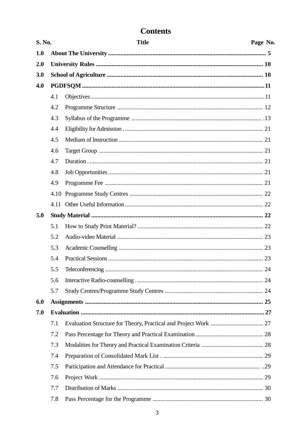# **Contents**

| S. No. |      | <b>Title</b> | Page No. |  |
|--------|------|--------------|----------|--|
| 1.0    |      |              |          |  |
| 2.0    |      |              |          |  |
| 3.0    |      |              |          |  |
| 4.0    |      |              |          |  |
|        | 4.1  |              |          |  |
|        | 4.2  |              |          |  |
|        | 4.3  |              |          |  |
|        | 4.4  |              |          |  |
|        | 4.5  |              |          |  |
|        | 4.6  |              |          |  |
|        | 4.7  |              |          |  |
|        | 4.8  |              |          |  |
|        | 4.9  |              |          |  |
|        | 4.10 |              |          |  |
|        | 4.11 |              |          |  |
| 5.0    |      |              |          |  |
|        | 5.1  |              |          |  |
|        | 5.2  |              |          |  |
|        | 5.3  |              |          |  |
|        | 5.4  |              |          |  |
|        | 5.5  |              |          |  |
|        | 5.6  |              |          |  |
|        | 5.7  |              |          |  |
| 6.0    |      |              |          |  |
| 7.0    |      |              |          |  |
|        | 7.1  |              |          |  |
|        | 7.2  |              |          |  |
|        | 7.3  |              |          |  |
|        | 7.4  |              |          |  |
|        | 7.5  |              |          |  |
|        | 7.6  |              |          |  |
|        | 7.7  |              |          |  |
|        | 7.8  |              |          |  |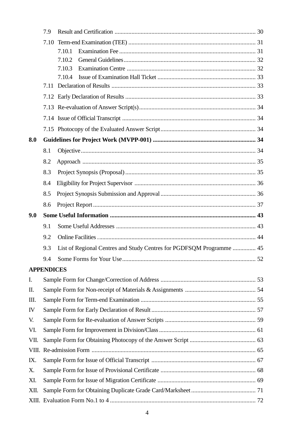|       | 7.9               |                                                                      |  |
|-------|-------------------|----------------------------------------------------------------------|--|
|       | 7.10              |                                                                      |  |
|       |                   | 7.10.1                                                               |  |
|       |                   | 7.10.2                                                               |  |
|       |                   | 7.10.3                                                               |  |
|       |                   | 7.10.4                                                               |  |
|       |                   |                                                                      |  |
|       |                   |                                                                      |  |
|       |                   |                                                                      |  |
|       |                   |                                                                      |  |
| 8.0   |                   |                                                                      |  |
|       | 8.1               |                                                                      |  |
|       | 8.2               |                                                                      |  |
|       | 8.3               |                                                                      |  |
|       | 8.4               |                                                                      |  |
|       | 8.5               |                                                                      |  |
|       | 8.6               |                                                                      |  |
| 9.0   |                   |                                                                      |  |
|       | 9.1               |                                                                      |  |
|       | 9.2               |                                                                      |  |
|       | 9.3               | List of Regional Centres and Study Centres for PGDFSQM Programme  45 |  |
|       | 9.4               |                                                                      |  |
|       | <b>APPENDICES</b> |                                                                      |  |
| I.    |                   |                                                                      |  |
| Π.    |                   |                                                                      |  |
| Ш.    |                   |                                                                      |  |
| IV    |                   |                                                                      |  |
| V.    |                   |                                                                      |  |
| VI.   |                   |                                                                      |  |
| VII.  |                   |                                                                      |  |
| VIII. |                   |                                                                      |  |
| IX.   |                   |                                                                      |  |
| X.    |                   |                                                                      |  |
| XI.   |                   |                                                                      |  |
| XII.  |                   |                                                                      |  |
|       |                   |                                                                      |  |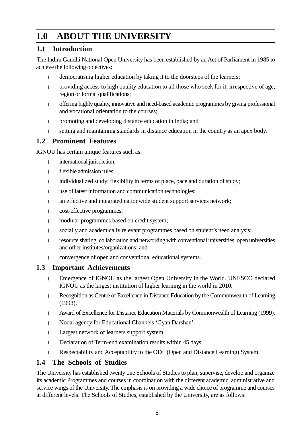# **1.0 ABOUT THE UNIVERSITY**

### **1.1 Introduction**

The Indira Gandhi National Open University has been established by an Act of Parliament in 1985 to achieve the following objectives:

democratising higher education by taking it to the doorsteps of the learners;

<sup>l</sup> providing access to high quality education to all those who seek for it, irrespective of age, region or formal qualifications;

<sup>l</sup> offering highly quality, innovative and need-based academic programmes by giving professional and vocational orientation to the courses;

<sup>l</sup> promoting and developing distance education in India; and

setting and maintaining standards in distance education in the country as an apex body.

### **1.2 Prominent Features**

IGNOU has certain unique features such as:

international jurisdiction;

flexible admission rules:

individualized study: flexibility in terms of place, pace and duration of study;

use of latest information and communication technologies;

an effective and integrated nationwide student support services network;

cost-effective programmes;

modular programmes based on credit system;

socially and academically relevant programmes based on student's need analysis;

resource sharing, collaboration and networking with conventional universities, open universities and other institutes/organizations; and

convergence of open and conventional educational systems.

### **1.3 Important Achievements**

<sup>l</sup> Emergence of IGNOU as the largest Open University in the World. UNESCO declared IGNOU as the largest institution of higher learning in the world in 2010.

<sup>l</sup> Recognition as Centre of Excellence in Distance Education by the Commonwealth of Learning (1993).

Award of Excellence for Distance Education Materials by Commonwealth of Learning (1999).

Nodal agency for Educational Channels 'Gyan Darshan'.

Largest network of learners support system.

Declaration of Term-end examination results within 45 days.

Respectability and Acceptability to the ODL (Open and Distance Learning) System.

### **1.4 The Schools of Studies**

The University has established twenty one Schools of Studies to plan, supervise, develop and organize its academic Programmes and courses in coordination with the different academic, administrative and service wings of the University. The emphasis is on providing a wide choice of programme and courses at different levels. The Schools of Studies, established by the University, are as follows: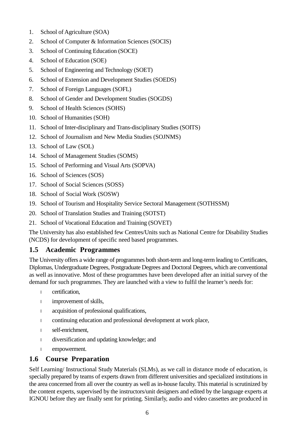- 1. School of Agriculture (SOA)
- 2. School of Computer & Information Sciences (SOCIS)
- 3. School of Continuing Education (SOCE)
- 4. School of Education (SOE)
- 5. School of Engineering and Technology (SOET)
- 6. School of Extension and Development Studies (SOEDS)
- 7. School of Foreign Languages (SOFL)
- 8. School of Gender and Development Studies (SOGDS)
- 9. School of Health Sciences (SOHS)
- 10. School of Humanities (SOH)
- 11. School of Inter-disciplinary and Trans-disciplinary Studies (SOITS)
- 12. School of Journalism and New Media Studies (SOJNMS)
- 13. School of Law (SOL)
- 14. School of Management Studies (SOMS)
- 15. School of Performing and Visual Arts (SOPVA)
- 16. School of Sciences (SOS)
- 17. School of Social Sciences (SOSS)
- 18. School of Social Work (SOSW)
- 19. School of Tourism and Hospitality Service Sectoral Management (SOTHSSM)
- 20. School of Translation Studies and Training (SOTST)
- 21. School of Vocational Education and Training (SOVET)

The University has also established few Centres/Units such as National Centre for Disability Studies (NCDS) for development of specific need based programmes.

#### **1.5 Academic Programmes**

The University offers a wide range of programmes both short-term and long-term leading to Certificates, Diplomas, Undergraduate Degrees, Postgraduate Degrees and Doctoral Degrees, which are conventional as well as innovative. Most of these programmes have been developed after an initial survey of the demand for such programmes. They are launched with a view to fulfil the learner's needs for:

- certification,
- improvement of skills,
- acquisition of professional qualifications,
- continuing education and professional development at work place,
- self-enrichment,
- diversification and updating knowledge; and
- empowerment.

#### **1.6 Course Preparation**

Self Learning/ Instructional Study Materials (SLMs), as we call in distance mode of education, is specially prepared by teams of experts drawn from different universities and specialized institutions in the area concerned from all over the country as well as in-house faculty. This material is scrutinized by the content experts, supervised by the instructors/unit designers and edited by the language experts at IGNOU before they are finally sent for printing. Similarly, audio and video cassettes are produced in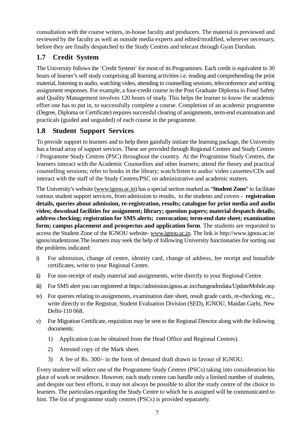consultation with the course writers, in-house faculty and producers. The material is previewed and reviewed by the faculty as well as outside media experts and edited/modified, wherever necessary, before they are finally despatched to the Study Centres and telecast through Gyan Darshan.

# **1.7 Credit System**

The University follows the 'Credit System' for most of its Programmes. Each credit is equivalent to 30 hours of learner's self study comprising all learning activities i.e. reading and comprehending the print material, listening to audio, watching video, attending to counselling sessions, teleconference and writing assignment responses. For example, a four-credit course in the Post Graduate Diploma in Food Safety and Quality Management involves 120 hours of study. This helps the learner to know the academic effort one has to put in, to successfully complete a course. Completion of an academic programme (Degree, Diploma or Certificate) requires successful clearing of assignments, term-end examination and practicals (guided and unguided) of each course in the programme.

# **1.8 Student Support Services**

To provide support to learners and to help them gainfully initiate the learning package, the University has a broad array of support services. These are provided through Regional Centres and Study Centres / Programme Study Centres (PSC) throughout the country. At the Programme Study Centres, the learners interact with the Academic Counsellors and other learners; attend the theory and practical counselling sessions; refer to books in the library; watch/listen to audio/ video cassettes/CDs and interact with the staff of the Study Centres/PSC on administrative and academic matters.

The University's website (www.ignou.ac.in) has a special section marked as "**Student Zone**" to facilitate various student support services, from admission to results, to the students and covers - **registration details, queries about admission, re-registration, results; catalogue for print media and audio video; download facilities for assignment; library; question papers; material despatch details; address checking; registration for SMS alerts; convocation; term-end date sheet; examination form; campus placement and prospectus and application form**. The students are requested to access the Student Zone of the IGNOU website- www.ignou.ac,in. The link is http://www.ignou.ac.in/ ignou/studentzone.The learners may seek the help of following University functionaries for sorting out the problems indicated:

- i) For admission, change of centre, identity card, change of address, fee receipt and bonafide certificates, write to your Regional Centre.
- ii) For non-receipt of study material and assignments, write directly to your Regional Centre.
- iii) For SMS alert you can registered at https://admission.ignou.ac.in/changeadmdata/UpdateMobile.asp
- iv) For queries relating to assignments, examination date sheet, result grade cards, re-checking, etc., write directly to the Registrar, Student Evaluation Division (SED), IGNOU, Maidan Garhi, New Delhi-110 068.
- v) For Migration Certificate, requisition may be sent to the Regional Director along with the following documents:
	- 1) Application (can be obtained from the Head Office and Regional Centres).
	- 2) Attested copy of the Mark sheet.
	- 3) A fee of Rs. 300/- in the form of demand draft drawn in favour of IGNOU.

Every student will select one of the Programme Study Centres (PSCs) taking into consideration his place of work or residence. However, each study centre can handle only a limited number of students, and despite our best efforts, it may not always be possible to allot the study centre of the choice to learners. The particulars regarding the Study Centre to which he is assigned will be communicated to him. The list of programme study centres (PSCs) is provided separately.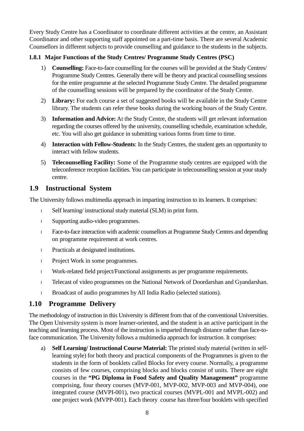Every Study Centre has a Coordinator to coordinate different activities at the centre, an Assistant Coordinator and other supporting staff appointed on a part-time basis. There are several Academic Counsellors in different subjects to provide counselling and guidance to the students in the subjects.

#### **1.8.1 Major Functions of the Study Centres/ Programme Study Centres (PSC)**

- 1) **Counselling:** Face-to-face counselling for the courses will be provided at the Study Centres/ Programme Study Centres. Generally there will be theory and practical counselling sessions for the entire programme at the selected Programme Study Centre. The detailed programme of the counselling sessions will be prepared by the coordinator of the Study Centre.
- 2) **Library:** For each course a set of suggested books will be available in the Study Centre library. The students can refer these books during the working hours of the Study Centre.
- 3) **Information and Advice:** At the Study Centre, the students will get relevant information regarding the courses offered by the university, counselling schedule, examination schedule, etc. You will also get guidance in submitting various forms from time to time.
- 4) **Interaction with Fellow-Students**: In the Study Centres, the student gets an opportunity to interact with fellow students.
- 5) **Telecounselling Facility:** Some of the Programme study centres are equipped with the teleconference reception facilities. You can participate in telecounselling session at your study centre.

# **1.9 Instructional System**

The University follows multimedia approach in imparting instruction to its learners. It comprises:

Self learning/ instructional study material (SLM) in print form.

Supporting audio-video programmes.

Face-to-face interaction with academic counsellors at Programme Study Centres and depending on programme requirement at work centres.

Practicals at designated institutions.

Project Work in some programmes.

Work-related field project/Functional assignments as per programme requirements.

Telecast of video programmes on the National Network of Doordarshan and Gyandarshan.

Broadcast of audio programmes by All India Radio (selected stations).

### **1.10 Programme Delivery**

The methodology of instruction in this University is different from that of the conventional Universities. The Open University system is more learner-oriented, and the student is an active participant in the teaching and learning process. Most of the instruction is imparted through distance rather than face-toface communication. The University follows a multimedia approach for instruction. It comprises:

a) **Self Learning/ Instructional Course Material:** The printed study material (written in selflearning style) for both theory and practical components of the Programmes is given to the students in the form of booklets called Blocks for every course. Normally, a programme consists of few courses, comprising blocks and blocks consist of units. There are eight courses in the **"PG Diploma in Food Safety and Quality Management"** programme comprising, four theory courses (MVP-001, MVP-002, MVP-003 and MVP-004), one integrated course (MVPI-001), two practical courses (MVPL-001 and MVPL-002) and one project work (MVPP-001). Each theory course has three/four booklets with specified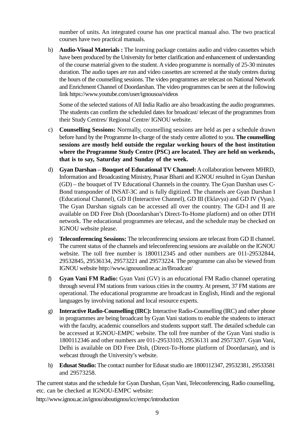number of units. An integrated course has one practical manual also. The two practical courses have two practical manuals.

b) **Audio-Visual Materials :** The learning package contains audio and video cassettes which have been produced by the University for better clarification and enhancement of understanding of the course material given to the student. A video programme is normally of 25-30 minutes duration. The audio tapes are run and video cassettes are screened at the study centres during the hours of the counselling sessions. The video programmes are telecast on National Network and Enrichment Channel of Doordarshan. The video programmes can be seen at the following link https://www.youtube.com/user/ignousoa/videos

Some of the selected stations of All India Radio are also broadcasting the audio programmes. The students can confirm the scheduled dates for broadcast/ telecast of the programmes from their Study Centres/ Regional Centre/ IGNOU website.

- c) **Counselling Sessions:** Normally, counselling sessions are held as per a schedule drawn before hand by the Programme In-charge of the study centre allotted to you. **The counselling sessions are mostly held outside the regular working hours of the host institution where the Programme Study Centre (PSC) are located. They are held on weekends, that is to say, Saturday and Sunday of the week.**
- d) **Gyan Darshan Bouquet of Educational TV Channel:** A collaboration between MHRD, Information and Broadcasting Ministry, Prasar Bharti and IGNOU resulted in Gyan Darshan (GD) – the bouquet of TV Educational Channels in the country. The Gyan Darshan uses C-Bond transponder of INSAT-3C and is fully digitized. The channels are Gyan Darshan I (Educational Channel), GD II (Interactive Channel), GD III (Eklavya) and GD IV (Vyas). The Gyan Darshan signals can be accessed all over the country. The GD-I and II are available on DD Free Dish (Doordarshan's Direct-To-Home platform) and on other DTH network. The educational programmes are telecast, and the schedule may be checked on IGNOU website please.
- e) **Teleconferencing Sessions:** The teleconferencing sessions are telecast from GD II channel. The current status of the channels and teleconferencing sessions are available on the IGNOU website. The toll free number is 1800112345 and other numbers are 011-29532844, 29532845, 29536134, 29573221 and 29573224. The programme can also be viewed from IGNOU website http://www.ignouonline.ac.in/Broadcast/
- f) **Gyan Vani FM Radio:** Gyan Vani (GV) is an educational FM Radio channel operating through several FM stations from various cities in the country. At present, 37 FM stations are operational. The educational programme are broadcast in English, Hindi and the regional languages by involving national and local resource experts.
- g) **Interactive Radio-Counselling (IRC):** Interactive Radio-Counselling (IRC) and other phone in programmes are being broadcast by Gyan Vani stations to enable the students to interact with the faculty, academic counsellors and students support staff. The detailed schedule can be accessed at IGNOU-EMPC website. The toll free number of the Gyan Vani studio is 1800112346 and other numbers are 011-29533103, 29536131 and 29573207. Gyan Vani, Delhi is available on DD Free Dish, (Direct-To-Home platform of Doordarsan), and is webcast through the University's website.
- h) **Edusat Studio:** The contact number for Edusat studio are 1800112347, 29532381, 29533581 and 29573258.

The current status and the schedule for Gyan Darshan, Gyan Vani, Teleconferencing, Radio counselling, etc. can be checked at IGNOU-EMPC website:

http://www.ignou.ac.in/ignou/aboutignou/icc/empc/introduction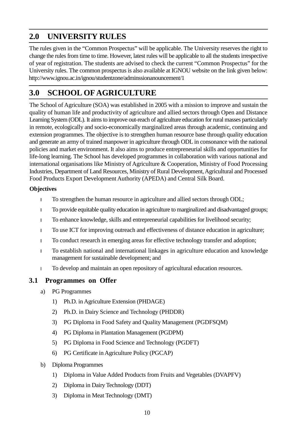# **2.0 UNIVERSITY RULES**

The rules given in the "Common Prospectus" will be applicable. The University reserves the right to change the rules from time to time. However, latest rules will be applicable to all the students irrespective of year of registration. The students are advised to check the current "Common Prospectus" for the University rules. The common prospectus is also available at IGNOU website on the link given below: http://www.ignou.ac.in/ignou/studentzone/adminssionanouncement/1

# **3.0 SCHOOL OF AGRICULTURE**

The School of Agriculture (SOA) was established in 2005 with a mission to improve and sustain the quality of human life and productivity of agriculture and allied sectors through Open and Distance Learning System (ODL). It aims to improve out-reach of agriculture education for rural masses particularly in remote, ecologically and socio-economically marginalized areas through academic, continuing and extension programmes. The objective is to strengthen human resource base through quality education and generate an army of trained manpower in agriculture through ODL in consonance with the national policies and market environment. It also aims to produce entrepreneurial skills and opportunities for life-long learning. The School has developed programmes in collaboration with various national and international organisations like Ministry of Agriculture & Cooperation, Ministry of Food Processing Industries, Department of Land Resources, Ministry of Rural Development, Agricultural and Processed Food Products Export Development Authority (APEDA) and Central Silk Board.

#### **Objectives**

To strengthen the human resource in agriculture and allied sectors through ODL;

To provide equitable quality education in agriculture to marginalized and disadvantaged groups;

To enhance knowledge, skills and entrepreneurial capabilities for livelihood security;

<sup>l</sup> To use ICT for improving outreach and effectiveness of distance education in agriculture;

To conduct research in emerging areas for effective technology transfer and adoption;

To establish national and international linkages in agriculture education and knowledge management for sustainable development; and

To develop and maintain an open repository of agricultural education resources.

#### **3.1 Programmes on Offer**

- a) PG Programmes
	- 1) Ph.D. in Agriculture Extension (PHDAGE)
	- 2) Ph.D. in Dairy Science and Technology (PHDDR)
	- 3) PG Diploma in Food Safety and Quality Management (PGDFSQM)
	- 4) PG Diploma in Plantation Management (PGDPM)
	- 5) PG Diploma in Food Science and Technology (PGDFT)
	- 6) PG Certificate in Agriculture Policy (PGCAP)
- b) Diploma Programmes
	- 1) Diploma in Value Added Products from Fruits and Vegetables (DVAPFV)
	- 2) Diploma in Dairy Technology (DDT)
	- 3) Diploma in Meat Technology (DMT)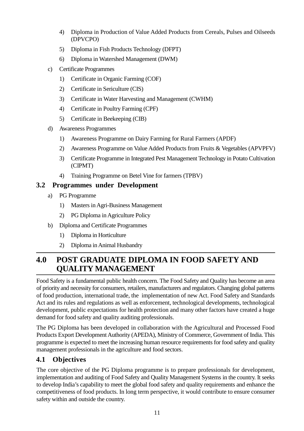- 4) Diploma in Production of Value Added Products from Cereals, Pulses and Oilseeds (DPVCPO)
- 5) Diploma in Fish Products Technology (DFPT)
- 6) Diploma in Watershed Management (DWM)
- c) Certificate Programmes
	- 1) Certificate in Organic Farming (COF)
	- 2) Certificate in Sericulture (CIS)
	- 3) Certificate in Water Harvesting and Management (CWHM)
	- 4) Certificate in Poultry Farming (CPF)
	- 5) Certificate in Beekeeping (CIB)
- d) Awareness Programmes
	- 1) Awareness Programme on Dairy Farming for Rural Farmers (APDF)
	- 2) Awareness Programme on Value Added Products from Fruits & Vegetables (APVPFV)
	- 3) Certificate Programme in Integrated Pest Management Technology in Potato Cultivation (CIPMT)
	- 4) Training Programme on Betel Vine for farmers (TPBV)

# **3.2 Programmes under Development**

- a) PG Programme
	- 1) Masters in Agri-Business Management
	- 2) PG Diploma in Agriculture Policy
- b) Diploma and Certificate Programmes
	- 1) Diploma in Horticulture
	- 2) Diploma in Animal Husbandry

# **4.0 POST GRADUATE DIPLOMA IN FOOD SAFETY AND QUALITY MANAGEMENT**

Food Safety is a fundamental public health concern. The Food Safety and Quality has become an area of priority and necessity for consumers, retailers, manufacturers and regulators. Changing global patterns of food production, international trade, the implementation of new Act. Food Safety and Standards Act and its rules and regulations as well as enforcement, technological developments, technological development, public expectations for health protection and many other factors have created a huge demand for food safety and quality auditing professionals.

The PG Diploma has been developed in collaboration with the Agricultural and Processed Food Products Export Development Authority (APEDA), Ministry of Commerce, Government of India. This programme is expected to meet the increasing human resource requirements for food safety and quality management professionals in the agriculture and food sectors.

# **4.1 Objectives**

The core objective of the PG Diploma programme is to prepare professionals for development, implementation and auditing of Food Safety and Quality Management Systems in the country. It seeks to develop India's capability to meet the global food safety and quality requirements and enhance the competitiveness of food products. In long term perspective, it would contribute to ensure consumer safety within and outside the country.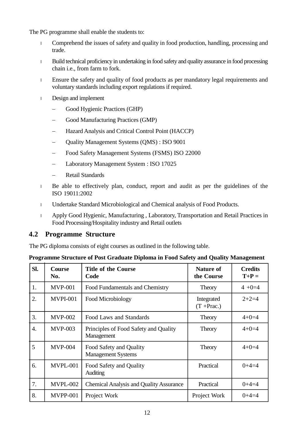The PG programme shall enable the students to:

Comprehend the issues of safety and quality in food production, handling, processing and trade.

Build technical proficiency in undertaking in food safety and quality assurance in food processing chain i.e., from farm to fork.

Ensure the safety and quality of food products as per mandatory legal requirements and voluntary standards including export regulations if required.

Design and implement

- Good Hygienic Practices (GHP)
- Good Manufacturing Practices (GMP)
- Hazard Analysis and Critical Control Point (HACCP)
- Quality Management Systems (QMS) : ISO 9001
- Food Safety Management Systems (FSMS) ISO 22000
- Laboratory Management System : ISO 17025
- Retail Standards

Be able to effectively plan, conduct, report and audit as per the guidelines of the ISO 19011:2002

Undertake Standard Microbiological and Chemical analysis of Food Products.

Apply Good Hygienic, Manufacturing , Laboratory, Transportation and Retail Practices in Food Processing/Hospitality industry and Retail outlets

#### **4.2 Programme Structure**

The PG diploma consists of eight courses as outlined in the following table.

|  | Programme Structure of Post Graduate Diploma in Food Safety and Quality Management |
|--|------------------------------------------------------------------------------------|
|  |                                                                                    |

| SI. | <b>Course</b><br>No. | <b>Title of the Course</b><br>Code                   | <b>Nature of</b><br>the Course | <b>Credits</b><br>$T+P=$ |
|-----|----------------------|------------------------------------------------------|--------------------------------|--------------------------|
| 1.  | <b>MVP-001</b>       | Food Fundamentals and Chemistry                      | Theory                         | $4 + 0 = 4$              |
| 2.  | <b>MVPI-001</b>      | Food Microbiology                                    | Integrated<br>$(T + Prac.)$    | $2+2=4$                  |
| 3.  | $MVP-002$            | Food Laws and Standards                              | Theory                         | $4 + 0 = 4$              |
| 4.  | <b>MVP-003</b>       | Principles of Food Safety and Quality<br>Management  | Theory                         | $4 + 0 = 4$              |
| 5   | <b>MVP-004</b>       | Food Safety and Quality<br><b>Management Systems</b> | Theory                         | $4 + 0 = 4$              |
| 6.  | MVPL-001             | Food Safety and Quality<br>Auditing                  | Practical                      | $0+4=4$                  |
| 7.  | MVPL-002             | <b>Chemical Analysis and Quality Assurance</b>       | Practical                      | $0+4=4$                  |
| 8.  | <b>MVPP-001</b>      | Project Work                                         | Project Work                   | $0+4=4$                  |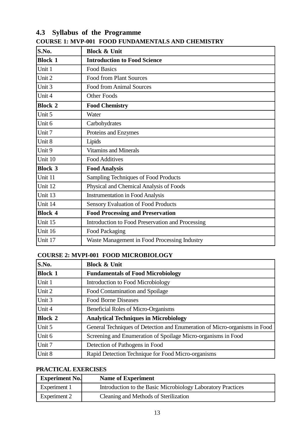# **S.No. Block & Unit Block 1 Introduction to Food Science** Unit 1 Food Basics Unit 2 Food from Plant Sources Unit 3 Food from Animal Sources Unit 4 **Other Foods Block 2 Food Chemistry** Unit 5 Water Unit 6 Carbohydrates Unit 7 Proteins and Enzymes Unit 8 | Lipids Unit 9 Vitamins and Minerals Unit 10 Food Additives **Block 3 Food Analysis** Unit 11 Sampling Techniques of Food Products Unit 12 Physical and Chemical Analysis of Foods Unit 13 **Instrumentation in Food Analysis** Unit 14 Sensory Evaluation of Food Products **Block 4 Food Processing and Preservation** Unit 15 Introduction to Food Preservation and Processing Unit 16 Food Packaging Unit 17 Waste Management in Food Processing Industry

#### **4.3 Syllabus of the Programme COURSE 1: MVP-001 FOOD FUNDAMENTALS AND CHEMISTRY**

#### **COURSE 2: MVPI-001 FOOD MICROBIOLOGY**

| S.No.          | <b>Block &amp; Unit</b>                                                    |
|----------------|----------------------------------------------------------------------------|
| <b>Block 1</b> | <b>Fundamentals of Food Microbiology</b>                                   |
| Unit 1         | Introduction to Food Microbiology                                          |
| Unit 2         | Food Contamination and Spoilage                                            |
| Unit 3         | <b>Food Borne Diseases</b>                                                 |
| Unit 4         | Beneficial Roles of Micro-Organisms                                        |
| <b>Block 2</b> | <b>Analytical Techniques in Microbiology</b>                               |
| Unit 5         | General Techniques of Detection and Enumeration of Micro-organisms in Food |
| Unit 6         | Screening and Enumeration of Spoilage Micro-organisms in Food              |
| Unit 7         | Detection of Pathogens in Food                                             |
| Unit 8         | Rapid Detection Technique for Food Micro-organisms                         |

#### **PRACTICAL EXERCISES**

| <b>Experiment No.</b> | <b>Name of Experiment</b>                                   |
|-----------------------|-------------------------------------------------------------|
| Experiment 1          | Introduction to the Basic Microbiology Laboratory Practices |
| Experiment 2          | Cleaning and Methods of Sterilization                       |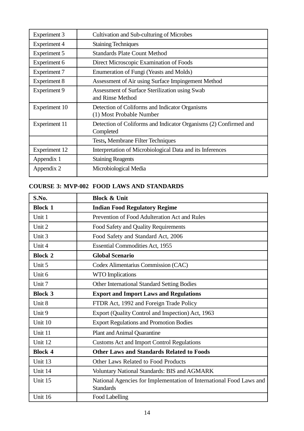| <b>Experiment 3</b> | Cultivation and Sub-culturing of Microbes                                     |
|---------------------|-------------------------------------------------------------------------------|
| Experiment 4        | <b>Staining Techniques</b>                                                    |
| Experiment 5        | <b>Standards Plate Count Method</b>                                           |
| Experiment 6        | Direct Microscopic Examination of Foods                                       |
| Experiment 7        | Enumeration of Fungi (Yeasts and Molds)                                       |
| <b>Experiment 8</b> | Assessment of Air using Surface Impingement Method                            |
| <b>Experiment 9</b> | Assessment of Surface Sterilization using Swab<br>and Rinse Method            |
| Experiment 10       | Detection of Coliforms and Indicator Organisms<br>(1) Most Probable Number    |
| Experiment 11       | Detection of Coliforms and Indicator Organisms (2) Confirmed and<br>Completed |
|                     | Tests, Membrane Filter Techniques                                             |
| Experiment 12       | Interpretation of Microbiological Data and its Inferences                     |
| Appendix 1          | <b>Staining Reagents</b>                                                      |
| Appendix 2          | Microbiological Media                                                         |

#### **COURSE 3: MVP-002 FOOD LAWS AND STANDARDS**

| S.No.          | <b>Block &amp; Unit</b>                                                                 |  |
|----------------|-----------------------------------------------------------------------------------------|--|
| <b>Block 1</b> | <b>Indian Food Regulatory Regime</b>                                                    |  |
| Unit 1         | Prevention of Food Adulteration Act and Rules                                           |  |
| Unit 2         | Food Safety and Quality Requirements                                                    |  |
| Unit 3         | Food Safety and Standard Act, 2006                                                      |  |
| Unit 4         | <b>Essential Commodities Act, 1955</b>                                                  |  |
| <b>Block 2</b> | <b>Global Scenario</b>                                                                  |  |
| Unit 5         | Codex Alimentarius Commission (CAC)                                                     |  |
| Unit 6         | <b>WTO</b> Implications                                                                 |  |
| Unit 7         | <b>Other International Standard Setting Bodies</b>                                      |  |
| <b>Block 3</b> | <b>Export and Import Laws and Regulations</b>                                           |  |
| Unit 8         | FTDR Act, 1992 and Foreign Trade Policy                                                 |  |
| Unit 9         | Export (Quality Control and Inspection) Act, 1963                                       |  |
| Unit 10        | <b>Export Regulations and Promotion Bodies</b>                                          |  |
| Unit 11        | <b>Plant and Animal Quarantine</b>                                                      |  |
| Unit 12        | <b>Customs Act and Import Control Regulations</b>                                       |  |
| <b>Block 4</b> | <b>Other Laws and Standards Related to Foods</b>                                        |  |
| Unit 13        | <b>Other Laws Related to Food Products</b>                                              |  |
| Unit 14        | Voluntary National Standards: BIS and AGMARK                                            |  |
| Unit 15        | National Agencies for Implementation of International Food Laws and<br><b>Standards</b> |  |
| Unit 16        | Food Labelling                                                                          |  |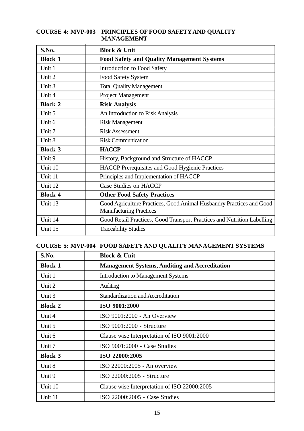#### **COURSE 4: MVP-003 PRINCIPLES OF FOOD SAFETY AND QUALITY MANAGEMENT**

| S.No.          | <b>Block &amp; Unit</b>                                                                                |
|----------------|--------------------------------------------------------------------------------------------------------|
| <b>Block 1</b> | <b>Food Safety and Quality Management Systems</b>                                                      |
| Unit 1         | <b>Introduction to Food Safety</b>                                                                     |
| Unit 2         | Food Safety System                                                                                     |
| Unit 3         | <b>Total Quality Management</b>                                                                        |
| Unit 4         | <b>Project Management</b>                                                                              |
| <b>Block 2</b> | <b>Risk Analysis</b>                                                                                   |
| Unit 5         | An Introduction to Risk Analysis                                                                       |
| Unit 6         | <b>Risk Management</b>                                                                                 |
| Unit 7         | <b>Risk Assessment</b>                                                                                 |
| Unit 8         | <b>Risk Communication</b>                                                                              |
| <b>Block 3</b> | <b>HACCP</b>                                                                                           |
| Unit 9         | History, Background and Structure of HACCP                                                             |
| Unit 10        | <b>HACCP</b> Prerequisites and Good Hygienic Practices                                                 |
| Unit 11        | Principles and Implementation of HACCP                                                                 |
| Unit 12        | <b>Case Studies on HACCP</b>                                                                           |
| <b>Block 4</b> | <b>Other Food Safety Practices</b>                                                                     |
| Unit 13        | Good Agriculture Practices, Good Animal Husbandry Practices and Good<br><b>Manufacturing Practices</b> |
| Unit 14        | Good Retail Practices, Good Transport Practices and Nutrition Labelling                                |
| Unit 15        | <b>Traceability Studies</b>                                                                            |

# **COURSE 5: MVP-004 FOOD SAFETY AND QUALITY MANAGEMENT SYSTEMS**

| S.No.          | <b>Block &amp; Unit</b>                               |
|----------------|-------------------------------------------------------|
| <b>Block 1</b> | <b>Management Systems, Auditing and Accreditation</b> |
| Unit 1         | <b>Introduction to Management Systems</b>             |
| Unit 2         | Auditing                                              |
| Unit 3         | <b>Standardization and Accreditation</b>              |
| <b>Block 2</b> | ISO 9001:2000                                         |
| Unit 4         | ISO $9001:2000$ - An Overview                         |
| Unit 5         | ISO 9001:2000 - Structure                             |
| Unit 6         | Clause wise Interpretation of ISO 9001:2000           |
| Unit 7         | ISO 9001:2000 - Case Studies                          |
| <b>Block 3</b> | ISO 22000:2005                                        |
| Unit 8         | ISO $22000:2005$ - An overview                        |
| Unit 9         | ISO 22000:2005 - Structure                            |
| Unit 10        | Clause wise Interpretation of ISO 22000:2005          |
| Unit 11        | ISO 22000:2005 - Case Studies                         |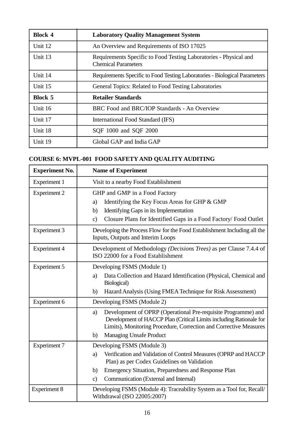| <b>Block 4</b> | <b>Laboratory Quality Management System</b>                                                     |  |
|----------------|-------------------------------------------------------------------------------------------------|--|
| Unit 12        | An Overview and Requirements of ISO 17025                                                       |  |
| Unit 13        | Requirements Specific to Food Testing Laboratories - Physical and<br><b>Chemical Parameters</b> |  |
| Unit 14        | Requirements Specific to Food Testing Laboratories - Biological Parameters                      |  |
| Unit 15        | General Topics: Related to Food Testing Laboratories                                            |  |
| <b>Block 5</b> | <b>Retailer Standards</b>                                                                       |  |
| Unit 16        | BRC Food and BRC/IOP Standards - An Overview                                                    |  |
| Unit 17        | International Food Standard (IFS)                                                               |  |
| Unit 18        | SQF 1000 and SQF 2000                                                                           |  |
| Unit 19        | Global GAP and India GAP                                                                        |  |

# **COURSE 6: MVPL-001 FOOD SAFETY AND QUALITY AUDITING**

| <b>Experiment No.</b> | <b>Name of Experiment</b>                                                                                                                                                                                                                              |  |
|-----------------------|--------------------------------------------------------------------------------------------------------------------------------------------------------------------------------------------------------------------------------------------------------|--|
| <b>Experiment 1</b>   | Visit to a nearby Food Establishment                                                                                                                                                                                                                   |  |
| <b>Experiment 2</b>   | GHP and GMP in a Food Factory<br>Identifying the Key Focus Areas for GHP & GMP<br>a)<br>Identifying Gaps in its Implementation<br>b)<br>Closure Plans for Identified Gaps in a Food Factory/ Food Outlet<br>$\mathbf{c})$                              |  |
| <b>Experiment 3</b>   | Developing the Process Flow for the Food Establishment Including all the<br>Inputs, Outputs and Interim Loops                                                                                                                                          |  |
| <b>Experiment 4</b>   | Development of Methodology (Decisions Trees) as per Clause 7.4.4 of<br>ISO 22000 for a Food Establishment                                                                                                                                              |  |
| <b>Experiment 5</b>   | Developing FSMS (Module 1)<br>Data Collection and Hazard Identification (Physical, Chemical and<br>a)<br>Biological)<br>Hazard Analysis (Using FMEA Technique for Risk Assessment)<br>b)                                                               |  |
| Experiment 6          | Developing FSMS (Module 2)                                                                                                                                                                                                                             |  |
|                       | Development of OPRP (Operational Pre-requisite Programme) and<br>a)<br>Development of HACCP Plan (Critical Limits including Rationale for<br>Limits), Monitoring Procedure, Correction and Corrective Measures<br><b>Managing Unsafe Product</b><br>b) |  |
| <b>Experiment 7</b>   | Developing FSMS (Module 3)                                                                                                                                                                                                                             |  |
|                       | Verification and Validation of Control Measures (OPRP and HACCP<br>a)<br>Plan) as per Codex Guidelines on Validation                                                                                                                                   |  |
|                       | Emergency Situation, Preparedness and Response Plan<br>b)                                                                                                                                                                                              |  |
|                       | Communication (External and Internal)<br>$\mathbf{c})$                                                                                                                                                                                                 |  |
| <b>Experiment 8</b>   | Developing FSMS (Module 4): Traceability System as a Tool for, Recall/<br>Withdrawal (ISO 22005:2007)                                                                                                                                                  |  |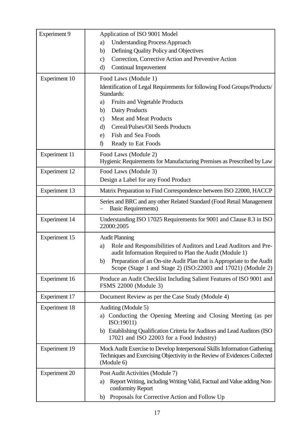| <b>Experiment 9</b>  | Application of ISO 9001 Model                                                                                                                                         |  |  |  |  |
|----------------------|-----------------------------------------------------------------------------------------------------------------------------------------------------------------------|--|--|--|--|
|                      | <b>Understanding Process Approach</b><br>a)                                                                                                                           |  |  |  |  |
|                      | Defining Quality Policy and Objectives<br>b)                                                                                                                          |  |  |  |  |
|                      | Correction, Corrective Action and Preventive Action<br>$\mathbf{c})$                                                                                                  |  |  |  |  |
|                      | Continual Improvement<br>$\mathbf{d}$                                                                                                                                 |  |  |  |  |
| Experiment 10        | Food Laws (Module 1)                                                                                                                                                  |  |  |  |  |
|                      | Identification of Legal Requirements for following Food Groups/Products/<br>Standards:                                                                                |  |  |  |  |
|                      | Fruits and Vegetable Products<br>a)                                                                                                                                   |  |  |  |  |
|                      | Dairy Products<br>b)                                                                                                                                                  |  |  |  |  |
|                      | <b>Meat and Meat Products</b><br>$\mathbf{c})$                                                                                                                        |  |  |  |  |
|                      | Cereal/Pulses/Oil Seeds Products<br>$\mathbf{d}$                                                                                                                      |  |  |  |  |
|                      | Fish and Sea Foods<br>e)                                                                                                                                              |  |  |  |  |
|                      | Ready to Eat Foods<br>$\hat{D}$                                                                                                                                       |  |  |  |  |
| <b>Experiment 11</b> | Food Laws (Module 2)<br>Hygienic Requirements for Manufacturing Premises as Prescribed by Law                                                                         |  |  |  |  |
| <b>Experiment 12</b> | Food Laws (Module 3)                                                                                                                                                  |  |  |  |  |
|                      | Design a Label for any Food Product                                                                                                                                   |  |  |  |  |
| <b>Experiment 13</b> | Matrix Preparation to Find Correspondence between ISO 22000, HACCP                                                                                                    |  |  |  |  |
|                      | Series and BRC and any other Related Standard (Food Retail Management<br><b>Basic Requirements)</b>                                                                   |  |  |  |  |
| <b>Experiment 14</b> | Understanding ISO 17025 Requirements for 9001 and Clause 8.3 in ISO<br>22000:2005                                                                                     |  |  |  |  |
| <b>Experiment 15</b> | <b>Audit Planning</b>                                                                                                                                                 |  |  |  |  |
|                      | Role and Responsibilities of Auditors and Lead Auditors and Pre-<br>a)<br>audit Information Required to Plan the Audit (Module 1)                                     |  |  |  |  |
|                      | Preparation of an On-site Audit Plan that is Appropriate to the Audit<br>b)<br>Scope (Stage 1 and Stage 2) (ISO:22003 and 17021) (Module 2)                           |  |  |  |  |
| Experiment 16        | Produce an Audit Checklist Including Salient Features of ISO 9001 and<br>FSMS 22000 (Module 3)                                                                        |  |  |  |  |
| <b>Experiment 17</b> | Document Review as per the Case Study (Module 4)                                                                                                                      |  |  |  |  |
| <b>Experiment 18</b> | Auditing (Module 5)                                                                                                                                                   |  |  |  |  |
|                      | Conducting the Opening Meeting and Closing Meeting (as per<br>a)<br>ISO:19011)                                                                                        |  |  |  |  |
|                      | b) Establishing Qualification Criteria for Auditors and Lead Auditors (ISO<br>17021 and ISO 22003 for a Food Industry)                                                |  |  |  |  |
| <b>Experiment 19</b> | Mock Audit Exercise to Develop Interpersonal Skills Information Gathering<br>Techniques and Exercising Objectivity in the Review of Evidences Collected<br>(Module 6) |  |  |  |  |
| <b>Experiment 20</b> | Post Audit Activities (Module 7)                                                                                                                                      |  |  |  |  |
|                      | Report Writing, including Writing Valid, Factual and Value adding Non-<br>a)<br>conformity Report                                                                     |  |  |  |  |
|                      | Proposals for Corrective Action and Follow Up<br>b)                                                                                                                   |  |  |  |  |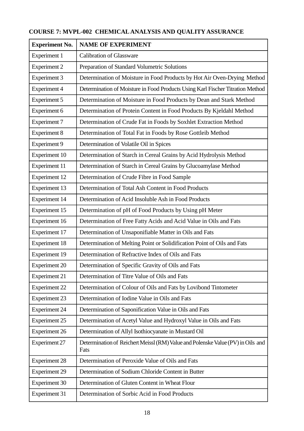# **COURSE 7: MVPL-002 CHEMICAL ANALYSIS AND QUALITY ASSURANCE**

| <b>Experiment No.</b> | <b>NAME OF EXPERIMENT</b>                                                               |  |  |  |
|-----------------------|-----------------------------------------------------------------------------------------|--|--|--|
| <b>Experiment 1</b>   | <b>Calibration of Glassware</b>                                                         |  |  |  |
| <b>Experiment 2</b>   | Preparation of Standard Volumetric Solutions                                            |  |  |  |
| <b>Experiment 3</b>   | Determination of Moisture in Food Products by Hot Air Oven-Drying Method                |  |  |  |
| <b>Experiment 4</b>   | Determination of Moisture in Food Products Using Karl Fischer Titration Method          |  |  |  |
| <b>Experiment 5</b>   | Determination of Moisture in Food Products by Dean and Stark Method                     |  |  |  |
| Experiment 6          | Determination of Protein Content in Food Products By Kjeldahl Method                    |  |  |  |
| <b>Experiment 7</b>   | Determination of Crude Fat in Foods by Soxhlet Extraction Method                        |  |  |  |
| <b>Experiment 8</b>   | Determination of Total Fat in Foods by Rose Gottleib Method                             |  |  |  |
| <b>Experiment 9</b>   | Determination of Volatile Oil in Spices                                                 |  |  |  |
| Experiment 10         | Determination of Starch in Cereal Grains by Acid Hydrolysis Method                      |  |  |  |
| <b>Experiment 11</b>  | Determination of Starch in Cereal Grains by Glucoamylase Method                         |  |  |  |
| <b>Experiment 12</b>  | Determination of Crude Fibre in Food Sample                                             |  |  |  |
| Experiment 13         | Determination of Total Ash Content in Food Products                                     |  |  |  |
| <b>Experiment 14</b>  | Determination of Acid Insoluble Ash in Food Products                                    |  |  |  |
| Experiment 15         | Determination of pH of Food Products by Using pH Meter                                  |  |  |  |
| Experiment 16         | Determination of Free Fatty Acids and Acid Value in Oils and Fats                       |  |  |  |
| <b>Experiment 17</b>  | Determination of Unsaponifiable Matter in Oils and Fats                                 |  |  |  |
| <b>Experiment 18</b>  | Determination of Melting Point or Solidification Point of Oils and Fats                 |  |  |  |
| <b>Experiment 19</b>  | Determination of Refractive Index of Oils and Fats                                      |  |  |  |
| <b>Experiment 20</b>  | Determination of Specific Gravity of Oils and Fats                                      |  |  |  |
| <b>Experiment 21</b>  | Determination of Titre Value of Oils and Fats                                           |  |  |  |
| <b>Experiment 22</b>  | Determination of Colour of Oils and Fats by Lovibond Tintometer                         |  |  |  |
| <b>Experiment 23</b>  | Determination of Iodine Value in Oils and Fats                                          |  |  |  |
| <b>Experiment 24</b>  | Determination of Saponification Value in Oils and Fats                                  |  |  |  |
| <b>Experiment 25</b>  | Determination of Acetyl Value and Hydroxyl Value in Oils and Fats                       |  |  |  |
| <b>Experiment 26</b>  | Determination of Allyl Isothiocyanate in Mustard Oil                                    |  |  |  |
| <b>Experiment 27</b>  | Determination of Reichert Meissl (RM) Value and Polenske Value (PV) in Oils and<br>Fats |  |  |  |
| <b>Experiment 28</b>  | Determination of Peroxide Value of Oils and Fats                                        |  |  |  |
| <b>Experiment 29</b>  | Determination of Sodium Chloride Content in Butter                                      |  |  |  |
| <b>Experiment 30</b>  | Determination of Gluten Content in Wheat Flour                                          |  |  |  |
| <b>Experiment 31</b>  | Determination of Sorbic Acid in Food Products                                           |  |  |  |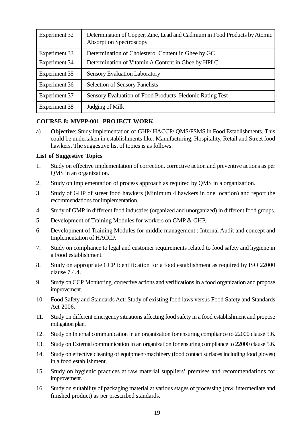| <b>Experiment 32</b>                  | Determination of Copper, Zinc, Lead and Cadmium in Food Products by Atomic<br><b>Absorption Spectroscopy</b> |
|---------------------------------------|--------------------------------------------------------------------------------------------------------------|
| Experiment 33<br><b>Experiment 34</b> | Determination of Cholesterol Content in Ghee by GC<br>Determination of Vitamin A Content in Ghee by HPLC     |
| Experiment 35                         | <b>Sensory Evaluation Laboratory</b>                                                                         |
| <b>Experiment 36</b>                  | <b>Selection of Sensory Panelists</b>                                                                        |
| <b>Experiment 37</b>                  | Sensory Evaluation of Food Products–Hedonic Rating Test                                                      |
| <b>Experiment 38</b>                  | Judging of Milk                                                                                              |

#### **COURSE 8: MVPP-001 PROJECT WORK**

a) **Objective**: Study implementation of GHP/ HACCP/ QMS/FSMS in Food Establishments. This could be undertaken in establishments like: Manufacturing, Hospitality, Retail and Street food hawkers. The suggestive list of topics is as follows:

#### **List of Suggestive Topics**

- 1. Study on effective implementation of correction, corrective action and preventive actions as per QMS in an organization.
- 2. Study on implementation of process approach as required by QMS in a organization.
- 3. Study of GHP of street food hawkers (Minimum 4 hawkers in one location) and report the recommendations for implementation.
- 4. Study of GMP in different food industries (organized and unorganized) in different food groups.
- 5. Development of Training Modules for workers on GMP & GHP.
- 6. Development of Training Modules for middle management : Internal Audit and concept and Implementation of HACCP.
- 7. Study on compliance to legal and customer requirements related to food safety and hygiene in a Food establishment.
- 8. Study on appropriate CCP identification for a food establishment as required by ISO 22000 clause 7.4.4.
- 9. Study on CCP Monitoring, corrective actions and verifications in a food organization and propose improvement.
- 10. Food Safety and Standards Act: Study of existing food laws versus Food Safety and Standards Act 2006.
- 11. Study on different emergency situations affecting food safety in a food establishment and propose mitigation plan.
- 12. Study on Internal communication in an organization for ensuring compliance to 22000 clause 5.6.
- 13. Study on External communication in an organization for ensuring compliance to 22000 clause 5.6.
- 14. Study on effective cleaning of equipment/machinery (food contact surfaces including food gloves) in a food establishment.
- 15. Study on hygienic practices at raw material suppliers' premises and recommendations for improvement.
- 16. Study on suitability of packaging material at various stages of processing (raw, intermediate and finished product) as per prescribed standards.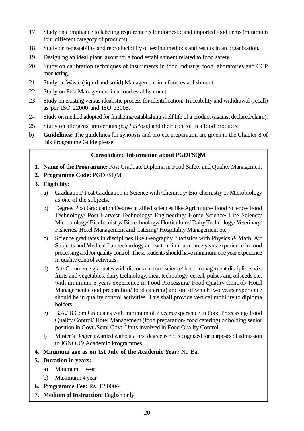- 17. Study on compliance to labeling requirements for domestic and imported food items (minimum four different category of products).
- 18. Study on repeatability and reproducibility of testing methods and results in an organization.
- 19. Designing an ideal plant layout for a food establishment related to food safety.
- 20. Study on calibration techniques of instruments in food industry, food laboratories and CCP monitoring.
- 21. Study on Waste (liquid and solid) Management in a food establishment.
- 22. Study on Pest Management in a food establishment.
- 23. Study on existing versus idealistic process for identification, Traceability and withdrawal (recall) as per ISO 22000 and ISO 22005.
- 24. Study on method adopted for finalizing/establishing shelf life of a product (against declared/claim).
- 25. Study on allergens, intolerants *(e.g Lactose)* and their control in a food products.
- b) **Guidelines:** The guidelines for synopsis and project preparation are given in the Chapter 8 of this Programme Guide please.

#### **Consolidated Information about PGDFSQM**

- **1. Name of the Programme:** Post Graduate Diploma in Food Safety and Quality Management
- **2. Programme Code:** PGDFSQM
- **3. Eligibility:**
	- a) Graduation/ Post Graduation in Science with Chemistry/ Bio-chemistry or Microbiology as one of the subjects.
	- b) Degree/ Post Graduation Degree in allied sciences like Agriculture/ Food Science/ Food Technology/ Post Harvest Technology/ Engineering/ Home Science/ Life Science/ Microbiology/ Biochemistry/ Biotechnology/ Horticulture/ Dairy Technology/ Veterinary/ Fisheries/ Hotel Management and Catering/ Hospitality Management etc.
	- c) Science graduates in disciplines like Geography, Statistics with Physics & Math, Art Subjects and Medical Lab technology and with minimum three years experience in food processing and /or quality control. These students should have minimum one year experience in quality control activities.
	- d) Art/ Commerce graduates with diploma in food science/ hotel management disciplines viz. fruits and vegetables, dairy technology, meat technology, cereal, pulses and oilseeds etc. with minimum 5 years experience in Food Processing/ Food Quality Control/ Hotel Management (food preparation/ food catering) and out of which two years experience should be in quality control activities. This shall provide vertical mobility to diploma holders.
	- e) B.A./ B.Com Graduates with minimum of 7 years experience in Food Processing/ Food Quality Control/ Hotel Management (food preparation/ food catering) or holding senior position in Govt./Semi Govt. Units involved in Food Quality Control.
	- f) Master's Degree awarded without a first degree is not recognized for purposes of admission to IGNOU's Academic Programmes.
- **4. Minimum age as on 1st July of the Academic Year:** No Bar
- **5. Duration in years:**
	- a) Minimum: 1 year
	- b) Maximum: 4 year
- **6. Programme Fee:** Rs. 12,000/-
- **7. Medium of Instruction:** English only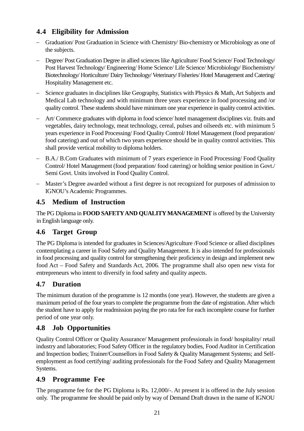# **4.4 Eligibility for Admission**

- Graduation/ Post Graduation in Science with Chemistry/ Bio-chemistry or Microbiology as one of the subjects.
- Degree/ Post Graduation Degree in allied sciences like Agriculture/ Food Science/ Food Technology/ Post Harvest Technology/ Engineering/ Home Science/ Life Science/ Microbiology/ Biochemistry/ Biotechnology/Horticulture/DairyTechnology/Veterinary/Fisheries/Hotel Management and Catering/ Hospitality Management etc.
- Science graduates in disciplines like Geography, Statistics with Physics & Math, Art Subjects and Medical Lab technology and with minimum three years experience in food processing and /or quality control. These students should have minimum one year experience in quality control activities.
- Art/ Commerce graduates with diploma in food science/ hotel management disciplines viz. fruits and vegetables, dairy technology, meat technology, cereal, pulses and oilseeds etc. with minimum 5 years experience in Food Processing/ Food Quality Control/ Hotel Management (food preparation/ food catering) and out of which two years experience should be in quality control activities. This shall provide vertical mobility to diploma holders.
- B.A./ B.Com Graduates with minimum of 7 years experience in Food Processing/ Food Quality Control/ Hotel Management (food preparation/ food catering) or holding senior position in Govt./ Semi Govt. Units involved in Food Quality Control.
- Master's Degree awarded without a first degree is not recognized for purposes of admission to IGNOU's Academic Programmes.

# **4.5 Medium of Instruction**

The PG Diploma in **FOOD SAFETYAND QUALITY MANAGEMENT** is offered by the University in English language only.

# **4.6 Target Group**

The PG Diploma is intended for graduates in Sciences/Agriculture /Food Science or allied disciplines contemplating a career in Food Safety and Quality Management. It is also intended for professionals in food processing and quality control for strengthening their proficiency in design and implement new food Act – Food Safety and Standards Act, 2006. The programme shall also open new vista for entrepreneurs who intent to diversify in food safety and quality aspects.

# **4.7 Duration**

The minimum duration of the programme is 12 months (one year). However, the students are given a maximum period of the four years to complete the programme from the date of registration. After which the student have to apply for readmission paying the pro rata fee for each incomplete course for further period of one year only.

# **4.8 Job Opportunities**

Quality Control Officer or Quality Assurance/ Management professionals in food/ hospitality/ retail industry and laboratories; Food Safety Officer in the regulatory bodies, Food Auditor in Certification and Inspection bodies; Trainer/Counsellors in Food Safety & Quality Management Systems; and Selfemployment as food certifying/ auditing professionals for the Food Safety and Quality Management Systems.

### **4.9 Programme Fee**

The programme fee for the PG Diploma is Rs. 12,000/-. At present it is offered in the July session only. The programme fee should be paid only by way of Demand Draft drawn in the name of IGNOU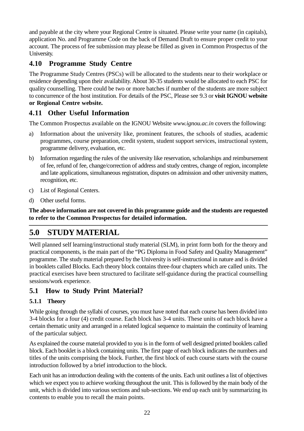and payable at the city where your Regional Centre is situated. Please write your name (in capitals), application No. and Programme Code on the back of Demand Draft to ensure proper credit to your account. The process of fee submission may please be filled as given in Common Prospectus of the University.

# **4.10 Programme Study Centre**

The Programme Study Centres (PSCs) will be allocated to the students near to their workplace or residence depending upon their availability. About 30-35 students would be allocated to each PSC for quality counselling. There could be two or more batches if number of the students are more subject to concurrence of the host institution. For details of the PSC, Please see 9.3 or **visit IGNOU website or Regional Centre website.**

# **4.11 Other Useful Information**

The Common Prospectus available on the IGNOU Website *www.ignou.ac.in* covers the following:

- a) Information about the university like, prominent features, the schools of studies, academic programmes, course preparation, credit system, student support services, instructional system, programme delivery, evaluation, etc.
- b) Information regarding the rules of the university like reservation, scholarships and reimbursement of fee, refund of fee, change/correction of address and study centres, change of region, incomplete and late applications, simultaneous registration, disputes on admission and other university matters, recognition, etc.
- c) List of Regional Centers.
- d) Other useful forms.

**The above information are not covered in this programme guide and the students are requested to refer to the Common Prospectus for detailed information.**

# **5.0 STUDY MATERIAL**

Well planned self learning/instructional study material (SLM), in print form both for the theory and practical components, is the main part of the "PG Diploma in Food Safety and Quality Management" programme. The study material prepared by the University is self-instructional in nature and is divided in booklets called Blocks. Each theory block contains three-four chapters which are called units. The practical exercises have been structured to facilitate self-guidance during the practical counselling sessions/work experience.

# **5.1 How to Study Print Material?**

### **5.1.1 Theory**

While going through the syllabi of courses, you must have noted that each course has been divided into 3-4 blocks for a four (4) credit course. Each block has 3-4 units. These units of each block have a certain thematic unity and arranged in a related logical sequence to maintain the continuity of learning of the particular subject.

As explained the course material provided to you is in the form of well designed printed booklets called block. Each booklet is a block containing units. The first page of each block indicates the numbers and titles of the units comprising the block. Further, the first block of each course starts with the course introduction followed by a brief introduction to the block.

Each unit has an introduction dealing with the contents of the units. Each unit outlines a list of objectives which we expect you to achieve working throughout the unit. This is followed by the main body of the unit, which is divided into various sections and sub-sections. We end up each unit by summarizing its contents to enable you to recall the main points.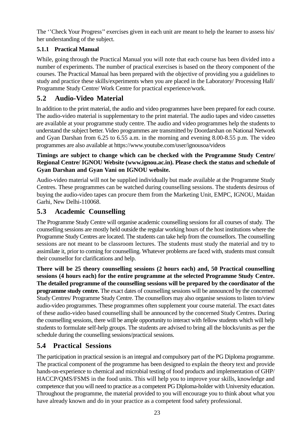The ''Check Your Progress'' exercises given in each unit are meant to help the learner to assess his/ her understanding of the subject.

# **5.1.1 Practical Manual**

While, going through the Practical Manual you will note that each course has been divided into a number of experiments. The number of practical exercises is based on the theory component of the courses. The Practical Manual has been prepared with the objective of providing you a guidelines to study and practice these skills/experiments when you are placed in the Laboratory/ Processing Hall/ Programme Study Centre/ Work Centre for practical experience/work.

# **5.2 Audio-Video Material**

In addition to the print material, the audio and video programmes have been prepared for each course. The audio-video material is supplementary to the print material. The audio tapes and video cassettes are available at your programme study centre. The audio and video programmes help the students to understand the subject better. Video programmes are transmitted by Doordarshan on National Network and Gyan Darshan from 6.25 to 6.55 a.m. in the morning and evening 8.00-8.55 p.m. The video programmes are also available at https://www.youtube.com/user/ignousoa/videos

#### **Timings are subject to change which can be checked with the Programme Study Centre/ Regional Centre/ IGNOU Website (www.ignou.ac.in). Please check the status and schedule of Gyan Darshan and Gyan Vani on IGNOU website.**

Audio-video material will not be supplied individually but made available at the Programme Study Centres. These programmes can be watched during counselling sessions. The students desirous of buying the audio-video tapes can procure them from the Marketing Unit, EMPC, IGNOU, Maidan Garhi, New Delhi-110068.

# **5.3 Academic Counselling**

The Programme Study Centre will organise academic counselling sessions for all courses of study. The counselling sessions are mostly held outside the regular working hours of the host institutions where the Programme Study Centres are located. The students can take help from the counsellors. The counselling sessions are not meant to be classroom lectures. The students must study the material and try to assimilate it, prior to coming for counselling. Whatever problems are faced with, students must consult their counsellor for clarifications and help.

**There will be 25 theory counselling sessions (2 hours each) and, 50 Practical counselling sessions (4 hours each) for the entire programme at the selected Programme Study Centre. The detailed programme of the counselling sessions will be prepared by the coordinator of the programme study centre.** The exact dates of counselling sessions will be announced by the concerned Study Centres/ Programme Study Centre. The counsellors may also organise sessions to listen to/view audio-video programmes. These programmes often supplement your course material. The exact dates of these audio-video based counselling shall be announced by the concerned Study Centres. During the counselling sessions, there will be ample opportunity to interact with fellow students which will help students to formulate self-help groups. The students are advised to bring all the blocks/units as per the schedule during the counselling sessions/practical sessions.

# **5.4 Practical Sessions**

The participation in practical session is an integral and compulsory part of the PG Diploma programme. The practical component of the programme has been designed to explain the theory text and provide hands-on-experience to chemical and microbial testing of food products and implementation of GHP/ HACCP/QMS/FSMS in the food units. This will help you to improve your skills, knowledge and competence that you will need to practice as a competent PG Diploma-holder with University education. Throughout the programme, the material provided to you will encourage you to think about what you have already known and do in your practice as a competent food safety professional.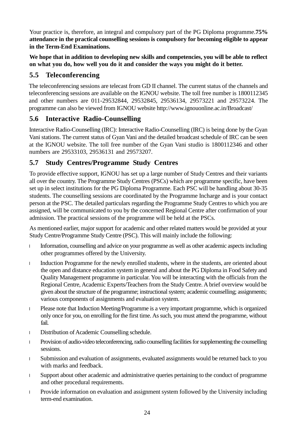Your practice is, therefore, an integral and compulsory part of the PG Diploma programme.**75% attendance in the practical counselling sessions is compulsory for becoming eligible to appear in the Term-End Examinations.**

**We hope that in addition to developing new skills and competencies, you will be able to reflect on what you do, how well you do it and consider the ways you might do it better.**

# **5.5 Teleconferencing**

The teleconferencing sessions are telecast from GD II channel. The current status of the channels and teleconferencing sessions are available on the IGNOU website. The toll free number is 1800112345 and other numbers are 011-29532844, 29532845, 29536134, 29573221 and 29573224. The programme can also be viewed from IGNOU website http://www.ignouonline.ac.in/Broadcast/

# **5.6 Interactive Radio-Counselling**

Interactive Radio-Counselling (IRC): Interactive Radio-Counselling (IRC) is being done by the Gyan Vani stations. The current status of Gyan Vani and the detailed broadcast schedule of IRC can be seen at the IGNOU website. The toll free number of the Gyan Vani studio is 1800112346 and other numbers are 29533103, 29536131 and 29573207.

# **5.7 Study Centres/Programme Study Centres**

To provide effective support, IGNOU has set up a large number of Study Centres and their variants all over the country. The Programme Study Centres (PSCs) which are programme specific, have been set up in select institutions for the PG Diploma Programme. Each PSC will be handling about 30-35 students. The counselling sessions are coordinated by the Programme Incharge and is your contact person at the PSC. The detailed particulars regarding the Programme Study Centres to which you are assigned, will be communicated to you by the concerned Regional Centre after confirmation of your admission. The practical sessions of the programme will be held at the PSCs.

As mentioned earlier, major support for academic and other related matters would be provided at your Study Centre/Programme Study Centre (PSC). This will mainly include the following:

Information, counselling and advice on your programme as well as other academic aspects including other programmes offered by the University.

Induction Programme for the newly enrolled students, where in the students, are oriented about the open and distance education system in general and about the PG Diploma in Food Safety and Quality Management programme in particular. You will be interacting with the officials from the Regional Centre, Academic Experts/Teachers from the Study Centre. A brief overview would be given about the structure of the programme; instructional system; academic counselling; assignments; various components of assignments and evaluation system.

Please note that Induction Meeting/Programme is a very important programme, which is organized only once for you, on enrolling for the first time. As such, you must attend the programme, without fail.

Distribution of Academic Counselling schedule.

Provision of audio-video teleconferencing, radio counselling facilities for supplementing the counselling sessions.

Submission and evaluation of assignments, evaluated assignments would be returned back to you with marks and feedback.

Support about other academic and administrative queries pertaining to the conduct of programme and other procedural requirements.

Provide information on evaluation and assignment system followed by the University including term-end examination.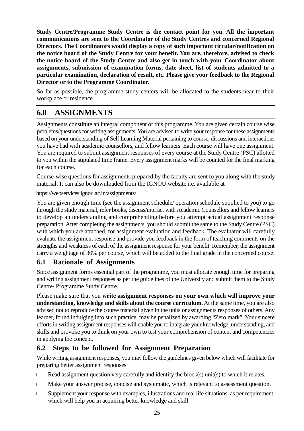**Study Centre/Programme Study Centre is the contact point for you. All the important communications are sent to the Coordinator of the Study Centres and concerned Regional Directors. The Coordinators would display a copy of such important circular/notification on the notice board of the Study Centre for your benefit. You are, therefore, advised to check the notice board of the Study Centre and also get in touch with your Coordinator about assignments, submission of examination forms, date-sheet, list of students admitted to a particular examination, declaration of result, etc. Please give your feedback to the Regional Director or to the Programme Coordinator.**

So far as possible, the programme study centers will be allocated to the students near to their workplace or residence.

# **6.0 ASSIGNMENTS**

Assignments constitute an integral component of this programme. You are given certain course wise problems/questions for writing assignments. You are advised to write your response for these assignments based on your understanding of Self Learning Material pertaining to course, discussions and interactions you have had with academic counsellors, and fellow learners. Each course will have one assignment. You are required to submit assignment responses of every course at the Study Centre (PSC) allotted to you within the stipulated time frame. Every assignment marks will be counted for the final marking for each course.

Course-wise questions for assignments prepared by the faculty are sent to you along with the study material. It can also be downloaded from the IGNOU website i.e. available at

https://webservices.ignou.ac.in/assignments/.

You are given enough time (see the assignment schedule/ operation schedule supplied to you) to go through the study material, refer books, discuss/interact with Academic Counsellors and fellow learners to develop an understanding and comprehending before you attempt actual assignment response preparation. After completing the assignments, you should submit the same to the Study Centre (PSC) with which you are attached, for assignment evaluation and feedback. The evaluator will carefully evaluate the assignment response and provide you feedback in the form of teaching comments on the strengths and weakness of each of the assignment response for your benefit. Remember, the assignment carry a weightage of 30% per course, which will be added to the final grade in the concerned course.

#### **6.1 Rationale of Assignments**

Since assignment forms essential part of the programme, you must allocate enough time for preparing and writing assignment responses as per the guidelines of the University and submit them to the Study Centre/ Programme Study Centre.

Please make sure that you **write assignment responses on your own which will improve your understanding, knowledge and skills about the course curriculum.** At the same time, you are also advised not to reproduce the course material given in the units or assignments responses of others. Any learner, found indulging into such practice, may be penalized by awarding "Zero mark". Your sincere efforts in writing assignment responses will enable you to integrate your knowledge, understanding, and skills and provoke you to think on your own to test your comprehension of content and competencies in applying the concept.

### **6.2 Steps to be followed for Assignment Preparation**

While writing assignment responses, you may follow the guidelines given below which will facilitate for preparing better assignment responses:

Read assignment question very carefully and identify the block(s) unit(s) to which it relates.

Make your answer precise, concise and systematic, which is relevant to assessment question.

Supplement your response with examples, illustrations and real life situations, as per requirement, which will help you in acquiring better knowledge and skill.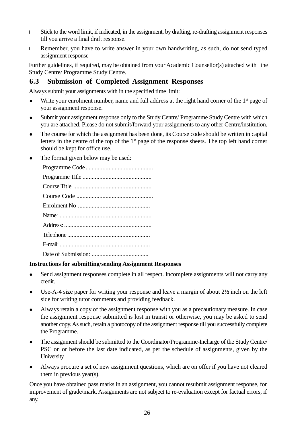Stick to the word limit, if indicated, in the assignment, by drafting, re-drafting assignment responses till you arrive a final draft response.

Remember, you have to write answer in your own handwriting, as such, do not send typed assignment response

Further guidelines, if required, may be obtained from your Academic Counsellor(s) attached with the Study Centre/ Programme Study Centre.

# **6.3 Submission of Completed Assignment Responses**

Always submit your assignments with in the specified time limit:

- $\bullet$  Write your enrolment number, name and full address at the right hand corner of the 1<sup>st</sup> page of your assignment response.
- Submit your assignment response only to the Study Centre/ Programme Study Centre with which you are attached. Please do not submit/forward your assignments to any other Centre/institution.
- The course for which the assignment has been done, its Course code should be written in capital letters in the centre of the top of the 1st page of the response sheets. The top left hand corner should be kept for office use.
- The format given below may be used:

#### **Instructions for submitting/sending Assignment Responses**

- Send assignment responses complete in all respect. Incomplete assignments will not carry any credit.
- Use-A-4 size paper for writing your response and leave a margin of about 2½ inch on the left side for writing tutor comments and providing feedback.
- Always retain a copy of the assignment response with you as a precautionary measure. In case the assignment response submitted is lost in transit or otherwise, you may be asked to send another copy. As such, retain a photocopy of the assignment response till you successfully complete the Programme.
- The assignment should be submitted to the Coordinator/Programme-Incharge of the Study Centre/ PSC on or before the last date indicated, as per the schedule of assignments, given by the University.
- Always procure a set of new assignment questions, which are on offer if you have not cleared them in previous year(s).

Once you have obtained pass marks in an assignment, you cannot resubmit assignment response, for improvement of grade/mark. Assignments are not subject to re-evaluation except for factual errors, if any.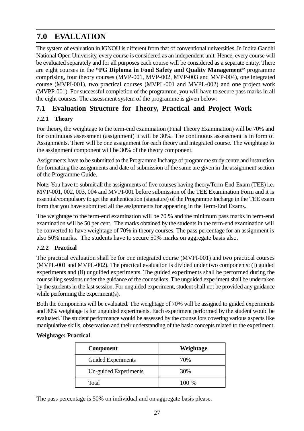# **7.0 EVALUATION**

The system of evaluation in IGNOU is different from that of conventional universities. In Indira Gandhi National Open University, every course is considered as an independent unit. Hence, every course will be evaluated separately and for all purposes each course will be considered as a separate entity. There are eight courses in the **"PG Diploma in Food Safety and Quality Management"** programme comprising, four theory courses (MVP-001, MVP-002, MVP-003 and MVP-004), one integrated course (MVPI-001), two practical courses (MVPL-001 and MVPL-002) and one project work (MVPP-001). For successful completion of the programme, you will have to secure pass marks in all the eight courses. The assessment system of the programme is given below:

# **7.1 Evaluation Structure for Theory, Practical and Project Work**

# **7.2.1 Theory**

For theory, the weightage to the term-end examination (Final Theory Examination) will be 70% and for continuous assessment (assignment) it will be 30%. The continuous assessment is in form of Assignments. There will be one assignment for each theory and integrated course. The weightage to the assignment component will be 30% of the theory component.

Assignments have to be submitted to the Programme Incharge of programme study centre and instruction for formatting the assignments and date of submission of the same are given in the assignment section of the Programme Guide.

Note: You have to submit all the assignments of five courses having theory/Term-End-Exam (TEE) i.e. MVP-001, 002, 003, 004 and MVPI-001 before submission of the TEE Examination Form and it is essential/compulsory to get the authentication (signature) of the Programme Incharge in the TEE exam form that you have submitted all the assignments for appearing in the Term-End Exams.

The weightage to the term-end examination will be 70 % and the minimum pass marks in term-end examination will be 50 per cent. The marks obtained by the students in the term-end examination will be converted to have weightage of 70% in theory courses. The pass percentage for an assignment is also 50% marks. The students have to secure 50% marks on aggregate basis also.

### **7.2.2 Practical**

The practical evaluation shall be for one integrated course (MVPI-001) and two practical courses (MVPL-001 and MVPL-002). The practical evaluation is divided under two components: (i) guided experiments and (ii) unguided experiments. The guided experiments shall be performed during the counselling sessions under the guidance of the counsellors. The unguided experiment shall be undertaken by the students in the last session. For unguided experiment, student shall not be provided any guidance while performing the experiment(s).

Both the components will be evaluated. The weightage of 70% will be assigned to guided experiments and 30% weightage is for unguided experiments. Each experiment performed by the student would be evaluated. The student performance would be assessed by the counsellors covering various aspects like manipulative skills, observation and their understanding of the basic concepts related to the experiment.

#### **Weightage: Practical**

| <b>Component</b>      | Weightage |
|-----------------------|-----------|
| Guided Experiments    | 70%       |
| Un-guided Experiments | 30%       |
| Total                 | 100 %     |

The pass percentage is 50% on individual and on aggregate basis please.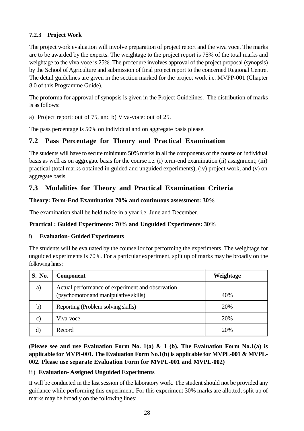#### **7.2.3 Project Work**

The project work evaluation will involve preparation of project report and the viva voce. The marks are to be awarded by the experts. The weightage to the project report is 75% of the total marks and weightage to the viva-voce is 25%. The procedure involves approval of the project proposal (synopsis) by the School of Agriculture and submission of final project report to the concerned Regional Centre. The detail guidelines are given in the section marked for the project work i.e. MVPP-001 (Chapter 8.0 of this Programme Guide).

The proforma for approval of synopsis is given in the Project Guidelines. The distribution of marks is as follows:

a) Project report: out of 75, and b) Viva-voce: out of 25.

The pass percentage is 50% on individual and on aggregate basis please.

# **7.2 Pass Percentage for Theory and Practical Examination**

The students will have to secure minimum 50% marks in all the components of the course on individual basis as well as on aggregate basis for the course i.e. (i) term-end examination (ii) assignment; (iii) practical (total marks obtained in guided and unguided experiments), (iv) project work, and (v) on aggregate basis.

# **7.3 Modalities for Theory and Practical Examination Criteria**

#### **Theory: Term-End Examination 70% and continuous assessment: 30%**

The examination shall be held twice in a year i.e. June and December.

#### **Practical : Guided Experiments: 70% and Unguided Experiments: 30%**

#### i) **Evaluation- Guided Experiments**

The students will be evaluated by the counsellor for performing the experiments. The weightage for unguided experiments is 70%. For a particular experiment, split up of marks may be broadly on the following lines:

| S. No.         | <b>Component</b>                                                                          | Weightage |
|----------------|-------------------------------------------------------------------------------------------|-----------|
| a)             | Actual performance of experiment and observation<br>(psychomotor and manipulative skills) | 40%       |
| b)             | Reporting (Problem solving skills)                                                        | 20%       |
| $\mathbf{C}$ ) | Viva-voce                                                                                 | 20%       |
| $\mathbf{d}$   | Record                                                                                    | 20%       |

(**Please see and use Evaluation Form No. 1(a) & 1 (b). The Evaluation Form No.1(a) is applicable for MVPI-001. The Evaluation Form No.1(b) is applicable for MVPL-001 & MVPL-002. Please use separate Evaluation Form for MVPL-001 and MVPL-002)**

#### ii) **Evaluation- Assigned Unguided Experiments**

It will be conducted in the last session of the laboratory work. The student should not be provided any guidance while performing this experiment. For this experiment 30% marks are allotted, split up of marks may be broadly on the following lines: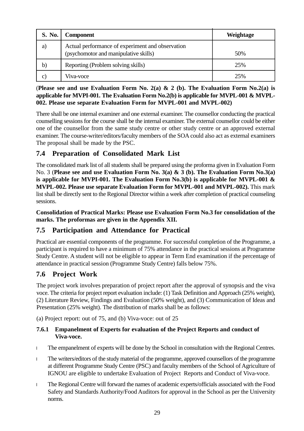| S. No.       | <b>Component</b>                                                                          | Weightage |
|--------------|-------------------------------------------------------------------------------------------|-----------|
| a)           | Actual performance of experiment and observation<br>(psychomotor and manipulative skills) | 50%       |
| b)           | Reporting (Problem solving skills)                                                        | 25%       |
| $\mathbf{C}$ | Viva-voce                                                                                 | 25%       |

#### (**Please see and use Evaluation Form No. 2(a) & 2 (b). The Evaluation Form No.2(a) is applicable for MVPI-001. The Evaluation Form No.2(b) is applicable for MVPL-001 & MVPL-002. Please use separate Evaluation Form for MVPL-001 and MVPL-002)**

There shall be one internal examiner and one external examiner. The counsellor conducting the practical counselling sessions for the course shall be the internal examiner. The external counsellor could be either one of the counsellor from the same study centre or other study centre or an approved external examiner. The course-writer/editors/faculty members of the SOA could also act as external examiners The proposal shall be made by the PSC.

# **7.4 Preparation of Consolidated Mark List**

The consolidated mark list of all students shall be prepared using the proforma given in Evaluation Form No. 3 (**Please see and use Evaluation Form No. 3(a) & 3 (b). The Evaluation Form No.3(a) is applicable for MVPI-001. The Evaluation Form No.3(b) is applicable for MVPL-001 & MVPL-002. Please use separate Evaluation Form for MVPL-001 and MVPL-002).** This mark list shall be directly sent to the Regional Director within a week after completion of practical counseling sessions.

**Consolidation of Practical Marks: Please use Evaluation Form No.3 for consolidation of the marks. The proformas are given in the Appendix XII.**

### **7.5 Participation and Attendance for Practical**

Practical are essential components of the programme. For successful completion of the Programme, a participant is required to have a minimum of 75% attendance in the practical sessions at Programme Study Centre. A student will not be eligible to appear in Term End examination if the percentage of attendance in practical session (Programme Study Centre) falls below 75%.

# **7.6 Project Work**

The project work involves preparation of project report after the approval of synopsis and the viva voce. The criteria for project report evaluation include: (1) Task Definition and Approach (25% weight), (2) Literature Review, Findings and Evaluation (50% weight), and (3) Communication of Ideas and Presentation (25% weight). The distribution of marks shall be as follows:

(a) Project report: out of 75, and (b) Viva-voce: out of 25

#### **7.6.1 Empanelment of Experts for evaluation of the Project Reports and conduct of Viva-voce.**

The empanelment of experts will be done by the School in consultation with the Regional Centres.

The writers/editors of the study material of the programme, approved counsellors of the programme at different Programme Study Centre (PSC) and faculty members of the School of Agriculture of IGNOU are eligible to undertake Evaluation of Project Reports and Conduct of Viva-voce.

The Regional Centre will forward the names of academic experts/officials associated with the Food Safety and Standards Authority/Food Auditors for approval in the School as per the University norms.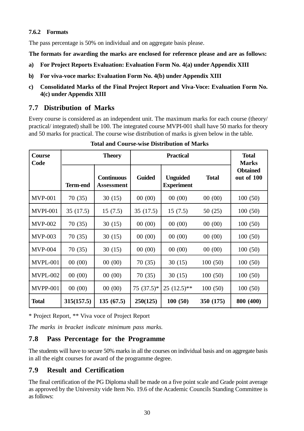#### **7.6.2 Formats**

The pass percentage is 50% on individual and on aggregate basis please.

**The formats for awarding the marks are enclosed for reference please and are as follows:**

- **a) For Project Reports Evaluation: Evaluation Form No. 4(a) under Appendix XIII**
- **b) For viva-voce marks: Evaluation Form No. 4(b) under Appendix XIII**
- **c) Consolidated Marks of the Final Project Report and Viva-Voce: Evaluation Form No. 4(c) under Appendix XIII**

# **7.7 Distribution of Marks**

Every course is considered as an independent unit. The maximum marks for each course (theory/ practical/ integrated) shall be 100. The integrated course MVPI-001 shall have 50 marks for theory and 50 marks for practical. The course wise distribution of marks is given below in the table*.*

| Course<br>Code  |                 | <b>Theory</b>                          | <b>Practical</b> |                                      |              | <b>Total</b><br><b>Marks</b>  |
|-----------------|-----------------|----------------------------------------|------------------|--------------------------------------|--------------|-------------------------------|
|                 | <b>Term-end</b> | <b>Continuous</b><br><b>Assessment</b> | <b>Guided</b>    | <b>Unguided</b><br><b>Experiment</b> | <b>Total</b> | <b>Obtained</b><br>out of 100 |
| <b>MVP-001</b>  | 70 (35)         | 30(15)                                 | 00(00)           | 00(00)                               | 00(00)       | 100(50)                       |
| <b>MVPI-001</b> | 35(17.5)        | 15(7.5)                                | 35 (17.5)        | 15(7.5)                              | 50(25)       | 100(50)                       |
| <b>MVP-002</b>  | 70 (35)         | 30(15)                                 | 00(00)           | 00(00)                               | 00(00)       | 100(50)                       |
| <b>MVP-003</b>  | 70 (35)         | 30(15)                                 | 00(00)           | 00(00)                               | 00(00)       | 100(50)                       |
| <b>MVP-004</b>  | 70 (35)         | 30(15)                                 | 00(00)           | 00(00)                               | 00(00)       | 100(50)                       |
| <b>MVPL-001</b> | 00(00)          | 00(00)                                 | 70 (35)          | 30(15)                               | 100(50)      | 100(50)                       |
| MVPL-002        | 00(00)          | 00(00)                                 | 70 (35)          | 30(15)                               | 100(50)      | 100(50)                       |
| <b>MVPP-001</b> | 00(00)          | 00(00)                                 | $75(37.5)^*$     | $25(12.5)$ **                        | 100(50)      | 100(50)                       |
| <b>Total</b>    | 315(157.5)      | 135(67.5)                              | 250(125)         | 100(50)                              | 350 (175)    | 800 (400)                     |

**Total and Course-wise Distribution of Marks**

\* Project Report, \*\* Viva voce of Project Report

*The marks in bracket indicate minimum pass marks.*

# **7.8 Pass Percentage for the Programme**

The students will have to secure 50% marks in all the courses on individual basis and on aggregate basis in all the eight courses for award of the programme degree.

# **7.9 Result and Certification**

The final certification of the PG Diploma shall be made on a five point scale and Grade point average as approved by the University vide Item No. 19.6 of the Academic Councils Standing Committee is as follows: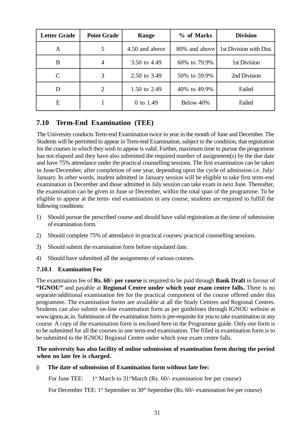| <b>Letter Grade</b> | <b>Point Grade</b> | Range          | % of Marks    | <b>Division</b>         |
|---------------------|--------------------|----------------|---------------|-------------------------|
| A                   | 5                  | 4.50 and above | 80% and above | 1st Division with Dist. |
| B                   | $\overline{4}$     | 3.50 to 4.49   | 60% to 79.9%  | 1st Division            |
| C                   | 3                  | 2.50 to 3.49   | 50% to 59.9%  | 2nd Division            |
| D                   | 2                  | 1.50 to 2.49   | 40% to 49.9%  | Failed                  |
| E                   |                    | 0 to 1.49      | Below 40%     | Failed                  |

# **7.10 Term-End Examination (TEE)**

The University conducts Term-end Examination twice in year in the month of June and December. The Students will be permitted to appear in Term-end Examination, subject to the condition, that registration for the courses in which they wish to appear is valid. Further, maximum time to pursue the programme has not elapsed and they have also submitted the required number of assignment(s) by the due date and have 75% attendance under the practical counselling sessions. The first examination can be taken in June/December, after completion of one year, depending upon the cycle of admission i.e. July/ January. In other words, student admitted in January session will be eligible to take first term-end examination in December and those admitted in July session can take exam in next June. Thereafter, the examination can be given in June or December, within the total span of the programme. To be eligible to appear at the term- end examination in any course, students are required to fulfill the following conditions:

- 1) Should pursue the prescribed course and should have valid registration at the time of submission of examination form.
- 2) Should complete 75% of attendance in practical courses/ practical counselling sessions.
- 3) Should submit the examination form before stipulated date.
- 4) Should have submitted all the assignments of various courses.

#### **7.10.1 Examination Fee**

The examination fee of **Rs. 60/- per course** is required to be paid through **Bank Draft** in favour of **"IGNOU"** and payable at **Regional Centre under which your exam centre falls.** There is no separate/additional examination fee for the practical component of the course offered under this programme. The examination forms are available at all the Study Centres and Regional Centres. Students can also submit on-line examination form as per guidelines through IGNOU website at www.ignou.ac.in. Submission of the examination form is pre-requisite for you to take examination in any course. A copy of the examination form is enclosed here in the Programme guide. Only one form is to be submitted for all the courses in one term-end examination. The filled in examination form is to be submitted to the IGNOU Regional Centre under which your exam centre falls.

#### **The university has also facility of online submission of examination form during the period when no late fee is charged.**

#### i) **The date of submission of Examination form without late fee:**

For June TEE:  $1<sup>st</sup> March to 31<sup>st</sup> March (Rs. 60/- examination fee per course)$ 

For December TEE:  $1^{st}$  September to  $30^{th}$  September (Rs. 60/- examination fee per course)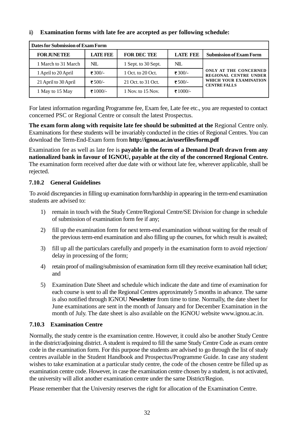#### ii) **Examination forms with late fee are accepted as per following schedule:**

| Dates for Submission of Exam Form |                 |                     |                 |                                                       |  |
|-----------------------------------|-----------------|---------------------|-----------------|-------------------------------------------------------|--|
| <b>FORJUNETEE</b>                 | <b>LATE FEE</b> | <b>FOR DEC TEE</b>  | <b>LATE FEE</b> | <b>Submission of Exam Form</b>                        |  |
| 1 March to 31 March               | NIL             | 1 Sept. to 30 Sept. | $NII$ .         |                                                       |  |
| 1 April to 20 April               | ₹ 300/-         | 1 Oct. to 20 Oct.   | ₹ 300/-         | ONLY AT THE CONCERNED<br><b>REGIONAL CENTRE UNDER</b> |  |
| 21 April to 30 April              | ₹ 500/-         | 21 Oct. to 31 Oct.  | ₹ 500/-         | WHICH YOUR EXAMINATION<br><b>CENTRE FALLS</b>         |  |
| 1 May to 15 May                   | ₹1000/-         | 1 Nov. to 15 Nov.   | ₹ 1000/-        |                                                       |  |

For latest information regarding Programme fee, Exam fee, Late fee etc., you are requested to contact concerned PSC or Regional Centre or consult the latest Prospectus.

**The exam form along with requisite late fee should be submitted at the** Regional Centre only. Examinations for these students will be invariably conducted in the cities of Regional Centres. You can download the Term-End-Exam form from **http://ignou.ac.in/userfiles/form.pdf**

Examination fee as well as late fee is **payable in the form of a Demand Draft drawn from any nationalized bank in favour of IGNOU, payable at the city of the concerned Regional Centre.** The examination form received after due date with or without late fee, wherever applicable, shall be rejected.

#### **7.10.2 General Guidelines**

To avoid discrepancies in filling up examination form/hardship in appearing in the term-end examination students are advised to:

- 1) remain in touch with the Study Centre/Regional Centre/SE Division for change in schedule of submission of examination form fee if any;
- 2) fill up the examination form for next term-end examination without waiting for the result of the previous term-end examination and also filling up the courses, for which result is awaited;
- 3) fill up all the particulars carefully and properly in the examination form to avoid rejection/ delay in processing of the form;
- 4) retain proof of mailing/submission of examination form till they receive examination hall ticket; and
- 5) Examination Date Sheet and schedule which indicate the date and time of examination for each course is sent to all the Regional Centres approximately 5 months in advance. The same is also notified through IGNOU **Newsletter** from time to time. Normally, the date sheet for June examinations are sent in the month of January and for December Examination in the month of July. The date sheet is also available on the IGNOU website www.ignou.ac.in.

#### **7.10.3 Examination Centre**

Normally, the study centre is the examination centre. However, it could also be another Study Centre in the district/adjoining district. A student is required to fill the same Study Centre Code as exam centre code in the examination form. For this purpose the students are advised to go through the list of study centres available in the Student Handbook and Prospectus/Programme Guide. In case any student wishes to take examination at a particular study centre, the code of the chosen centre be filled up as examination centre code. However, in case the examination centre chosen by a student, is not activated, the university will allot another examination centre under the same District/Region.

Please remember that the University reserves the right for allocation of the Examination Centre.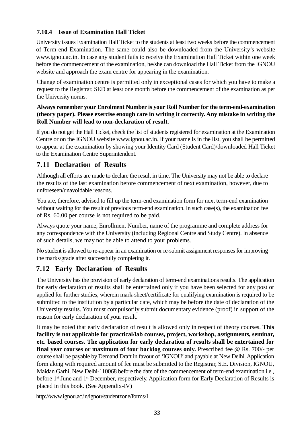#### **7.10.4 Issue of Examination Hall Ticket**

University issues Examination Hall Ticket to the students at least two weeks before the commencement of Term-end Examination. The same could also be downloaded from the University's website www.ignou.ac.in. In case any student fails to receive the Examination Hall Ticket within one week before the commencement of the examination, he/she can download the Hall Ticket from the IGNOU website and approach the exam centre for appearing in the examination.

Change of examination centre is permitted only in exceptional cases for which you have to make a request to the Registrar, SED at least one month before the commencement of the examination as per the University norms.

#### **Always remember your Enrolment Number is your Roll Number for the term-end-examination (theory paper). Please exercise enough care in writing it correctly. Any mistake in writing the Roll Number will lead to non-declaration of result.**

If you do not get the Hall Ticket, check the list of students registered for examination at the Examination Centre or on the IGNOU website www.ignou.ac.in. If your name is in the list, you shall be permitted to appear at the examination by showing your Identity Card (Student Card)/downloaded Hall Ticket to the Examination Centre Superintendent.

# **7.11 Declaration of Results**

Although all efforts are made to declare the result in time. The University may not be able to declare the results of the last examination before commencement of next examination, however, due to unforeseen/unavoidable reasons.

You are, therefore, advised to fill up the term-end examination form for next term-end examination without waiting for the result of previous term-end examination. In such case(s), the examination fee of Rs. 60.00 per course is not required to be paid.

Always quote your name, Enrollment Number, name of the programme and complete address for any correspondence with the University (including Regional Centre and Study Centre). In absence of such details, we may not be able to attend to your problems.

No student is allowed to re-appear in an examination or re-submit assignment responses for improving the marks/grade after successfully completing it.

# **7.12 Early Declaration of Results**

The University has the provision of early declaration of term-end examinations results. The application for early declaration of results shall be entertained only if you have been selected for any post or applied for further studies, wherein mark-sheet/certificate for qualifying examination is required to be submitted to the institution by a particular date, which may be before the date of declaration of the University results. You must compulsorily submit documentary evidence (proof) in support of the reason for early declaration of your result.

It may be noted that early declaration of result is allowed only in respect of theory courses. **This facility is not applicable for practical/lab courses, project, workshop, assignments, seminar, etc. based courses. The application for early declaration of results shall be entertained for final year courses or maximum of four backlog courses only.** Prescribed fee @ Rs. 700/- per course shall be payable by Demand Draft in favour of 'IGNOU' and payable at New Delhi. Application form along with required amount of fee must be submitted to the Registrar, S.E. Division, IGNOU, Maidan Garhi, New Delhi-110068 before the date of the commencement of term-end examination i.e., before 1<sup>st</sup> June and 1<sup>st</sup> December, respectively. Application form for Early Declaration of Results is placed in this book. (See Appendix-IV)

http://www.ignou.ac.in/ignou/studentzone/forms/1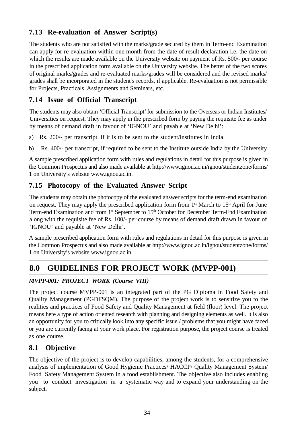# **7.13 Re-evaluation of Answer Script(s)**

The students who are not satisfied with the marks/grade secured by them in Term-end Examination can apply for re-evaluation within one month from the date of result declaration i.e. the date on which the results are made available on the University website on payment of Rs. 500/- per course in the prescribed application form available on the University website. The better of the two scores of original marks/grades and re-evaluated marks/grades will be considered and the revised marks/ grades shall be incorporated in the student's records, if applicable. Re-evaluation is not permissible for Projects, Practicals, Assignments and Seminars, etc.

# **7.14 Issue of Official Transcript**

The students may also obtain 'Official Transcript' for submission to the Overseas or Indian Institutes/ Universities on request. They may apply in the prescribed form by paying the requisite fee as under by means of demand draft in favour of 'IGNOU' and payable at 'New Delhi':

- a) Rs. 200/- per transcript, if it is to be sent to the student/institutes in India.
- b) Rs. 400/- per transcript, if required to be sent to the Institute outside India by the University.

A sample prescribed application form with rules and regulations in detail for this purpose is given in the Common Prospectus and also made available at http://www.ignou.ac.in/ignou/studentzone/forms/ 1 on University's website www.ignou.ac.in.

# **7.15 Photocopy of the Evaluated Answer Script**

The students may obtain the photocopy of the evaluated answer scripts for the term-end examination on request. They may apply the prescribed application form from  $1<sup>st</sup>$  March to  $15<sup>th</sup>$  April for June Term-end Examination and from 1<sup>st</sup> September to 15<sup>th</sup> October for December Term-End Examination along with the requisite fee of Rs. 100/- per course by means of demand draft drawn in favour of 'IGNOU' and payable at 'New Delhi'.

A sample prescribed application form with rules and regulations in detail for this purpose is given in the Common Prospectus and also made available at http://www.ignou.ac.in/ignou/studentzone/forms/ 1 on University's website www.ignou.ac.in.

# **8.0 GUIDELINES FOR PROJECT WORK (MVPP-001)**

#### *MVPP-001: PROJECT WORK (Course VIII)*

The project course MVPP-001 is an integrated part of the PG Diploma in Food Safety and Quality Management (PGDFSQM). The purpose of the project work is to sensitize you to the realities and practices of Food Safety and Quality Management at field (floor) level. The project means here a type of action oriented research with planning and designing elements as well. It is also an opportunity for you to critically look into any specific issue / problems that you might have faced or you are currently facing at your work place. For registration purpose, the project course is treated as one course.

### **8.1 Objective**

The objective of the project is to develop capabilities, among the students, for a comprehensive analysis of implementation of Good Hygienic Practices/ HACCP/ Quality Management System/ Food Safety Management System in a food establishment. The objective also includes enabling you to conduct investigation in a systematic way and to expand your understanding on the subject.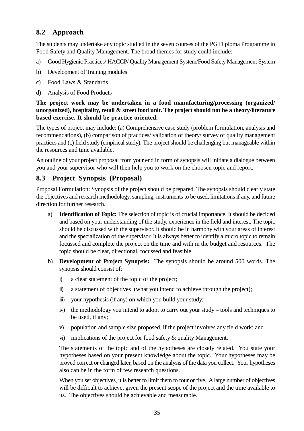# **8.2 Approach**

The students may undertake any topic studied in the seven courses of the PG Diploma Programme in Food Safety and Quality Management. The broad themes for study could include:

- a) Good Hygienic Practices/ HACCP/ Quality Management System/Food Safety Management System
- b) Development of Training modules
- c) Food Laws & Standards
- d) Analysis of Food Products

#### **The project work may be undertaken in a food manufacturing/processing (organized/ unorganized), hospitality, retail & street food unit. The project should not be a theory/literature based exercise. It should be practice oriented.**

The types of project may include: (a) Comprehensive case study (problem formulation, analysis and recommendations), (b) comparison of practices/ validation of theory/ survey of quality management practices and (c) field study (empirical study). The project should be challenging but manageable within the resources and time available.

An outline of your project proposal from your end in form of synopsis will initiate a dialogue between you and your supervisor who will then help you to work on the choosen topic and report.

### **8.3 Project Synopsis (Proposal)**

Proposal Formulation: Synopsis of the project should be prepared. The synopsis should clearly state the objectives and research methodology, sampling, instruments to be used, limitations if any, and future direction for further research.

- a) **Identification of Topic:** The selection of topic is of crucial importance. It should be decided and based on your understanding of the study, experience in the field and interest. The topic should be discussed with the supervisor. It should be in harmony with your areas of interest and the specialization of the supervisor. It is always better to identify a micro topic to remain focussed and complete the project on the time and with in the budget and resources. The topic should be clear, directional, focussed and feasible.
- b) **Development of Project Synopsis:** The synopsis should be around 500 words. The synopsis should consist of:
	- i) a clear statement of the topic of the project;
	- ii) a statement of objectives (what you intend to achieve through the project);
	- iii) your hypothesis (if any) on which you build your study;
	- iv) the methodology you intend to adopt to carry out your study tools and techniques to be used, if any;
	- v) population and sample size proposed, if the project involves any field work; and
	- vi) implications of the project for food safety & quality Management.

The statements of the topic and of the hypotheses are closely related. You state your hypotheses based on your present knowledge about the topic. Your hypotheses may be proved correct or changed later, based on the analysis of the data you collect. Your hypotheses also can be in the form of few research questions.

When you set objectives, it is better to limit them to four or five. A large number of objectives will be difficult to achieve, given the present scope of the project and the time available to us. The objectives should be achievable and measurable.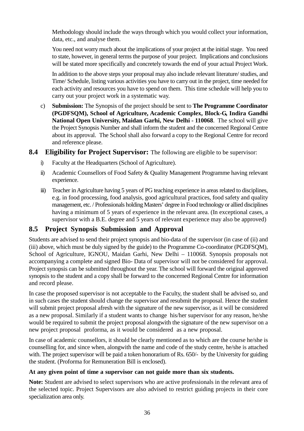Methodology should include the ways through which you would collect your information, data, etc., and analyse them.

You need not worry much about the implications of your project at the initial stage. You need to state, however, in general terms the purpose of your project. Implications and conclusions will be stated more specifically and concretely towards the end of your actual Project Work.

In addition to the above steps your proposal may also include relevant literature/ studies, and Time/ Schedule, listing various activities you have to carry out in the project, time needed for each activity and resources you have to spend on them. This time schedule will help you to carry out your project work in a systematic way.

c) **Submission:** The Synopsis of the project should be sent to **The Programme Coordinator (PGDFSQM), School of Agriculture, Academic Complex, Block-G, Indira Gandhi National Open University, Maidan Garhi, New Delhi - 110068**. The school will give the Project Synopsis Number and shall inform the student and the concerned Regional Centre about its approval. The School shall also forward a copy to the Regional Centre for record and reference please.

#### **8.4 Eligibility for Project Supervisor:** The following are eligible to be supervisor:

- i) Faculty at the Headquarters (School of Agriculture).
- ii) Academic Counsellors of Food Safety & Quality Management Programme having relevant experience.
- iii) Teacher in Agriculture having 5 years of PG teaching experience in areas related to disciplines, e.g. in food processing, food analysis, good agricultural practices, food safety and quality management, etc. / Professionals holding Masters' degree in Food technology or allied disciplines having a minimum of 5 years of experience in the relevant area. (In exceptional cases, a supervisor with a B.E. degree and 5 years of relevant experience may also be approved)

# **8.5 Project Synopsis Submission and Approval**

Students are advised to send their project synopsis and bio-data of the supervisor (in case of (ii) and (iii) above, which must be duly signed by the guide) to the Programme Co-coordinator (PGDFSQM), School of Agriculture, IGNOU, Maidan Garhi, New Delhi – 110068. Synopsis proposals not accompanying a complete and signed Bio- Data of supervisor will not be considered for approval. Project synopsis can be submitted throughout the year. The school will forward the original approved synopsis to the student and a copy shall be forward to the concerned Regional Centre for information and record please.

In case the proposed supervisor is not acceptable to the Faculty, the student shall be advised so, and in such cases the student should change the supervisor and resubmit the proposal. Hence the student will submit project proposal afresh with the signature of the new supervisor, as it will be considered as a new proposal. Similarly if a student wants to change his/her supervisor for any reason, he/she would be required to submit the project proposal alongwith the signature of the new supervisor on a new project proposal proforma, as it would be considered as a new proposal.

In case of academic counsellors, it should be clearly mentioned as to which are the course he/she is counselling for, and since when, alongwith the name and code of the study centre, he/she is attached with. The project supervisor will be paid a token honorarium of Rs. 650/- by the University for guiding the student. (Proforma for Remuneration Bill is enclosed).

#### **At any given point of time a supervisor can not guide more than six students.**

**Note:** Student are advised to select supervisors who are active professionals in the relevant area of the selected topic. Project Supervisors are also advised to restrict guiding projects in their core specialization area only.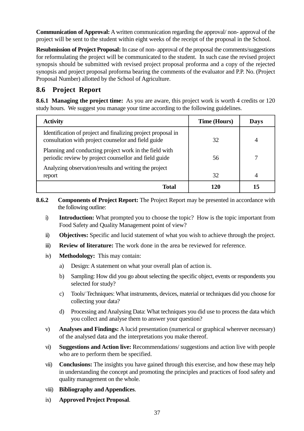**Communication of Approval:** A written communication regarding the approval/ non- approval of the project will be sent to the student within eight weeks of the receipt of the proposal in the School.

**Resubmission of Project Proposal:** In case of non- approval of the proposal the comments/suggestions for reformulating the project will be communicated to the student. In such case the revised project synopsis should be submitted with revised project proposal proforma and a copy of the rejected synopsis and project proposal proforma bearing the comments of the evaluator and P.P. No. (Project Proposal Number) allotted by the School of Agriculture.

## **8.6 Project Report**

**8.6.1 Managing the project time:** As you are aware, this project work is worth 4 credits or 120 study hours. We suggest you manage your time according to the following guidelines.

| <b>Activity</b>                                                                                                     | <b>Time (Hours)</b> | Days |
|---------------------------------------------------------------------------------------------------------------------|---------------------|------|
| Identification of project and finalizing project proposal in<br>consultation with project counselor and field guide | 32                  | 4    |
| Planning and conducting project work in the field with<br>periodic review by project counsellor and field guide     | 56                  |      |
| Analyzing observation/results and writing the project<br>report                                                     | 32                  | 4    |
| Total                                                                                                               | 120                 | 15   |

- **8.6.2 Components of Project Report:** The Project Report may be presented in accordance with the following outline:
	- i) **Introduction:** What prompted you to choose the topic? How is the topic important from Food Safety and Quality Management point of view?
	- ii) **Objectives:** Specific and lucid statement of what you wish to achieve through the project.
	- iii) **Review of literature:** The work done in the area be reviewed for reference.
	- iv) **Methodology:** This may contain:
		- a) Design: A statement on what your overall plan of action is.
		- b) Sampling: How did you go about selecting the specific object, events or respondents you selected for study?
		- c) Tools/ Techniques: What instruments, devices, material or techniques did you choose for collecting your data?
		- d) Processing and Analysing Data: What techniques you did use to process the data which you collect and analyse them to answer your question?
	- v) **Analyses and Findings:** A lucid presentation (numerical or graphical wherever necessary) of the analysed data and the interpretations you make thereof.
	- vi) **Suggestions and Action live:** Recommendations/ suggestions and action live with people who are to perform them be specified.
	- vii) **Conclusions:** The insights you have gained through this exercise, and how these may help in understanding the concept and promoting the principles and practices of food safety and quality management on the whole.
	- viii) **Bibliography and Appendices**.
	- ix) **Approved Project Proposal**.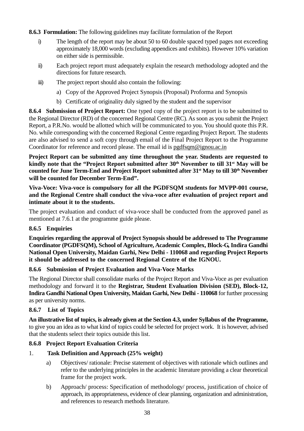**8.6.3 Formulation:** The following guidelines may facilitate formulation of the Report

- i) The length of the report may be about 50 to 60 double spaced typed pages not exceeding approximately 18,000 words (excluding appendices and exhibits). However 10% variation on either side is permissible.
- ii) Each project report must adequately explain the research methodology adopted and the directions for future research.
- iii) The project report should also contain the following:
	- a) Copy of the Approved Project Synopsis (Proposal) Proforma and Synopsis
	- b) Certificate of originality duly signed by the student and the supervisor

**8.6.4 Submission of Project Report:** One typed copy of the project report is to be submitted to the Regional Director (RD) of the concerned Regional Centre (RC). As soon as you submit the Project Report, a P.R.No. would be allotted which will be communicated to you. You should quote this P.R. No. while corresponding with the concerned Regional Centre regarding Project Report. The students are also advised to send a soft copy through email of the Final Project Report to the Programme Coordinator for reference and record please. The email id is pgdfsqm@ignou.ac.in

**Project Report can be submitted any time throughout the year. Students are requested to kindly note that the "Project Report submitted after 30th November to till 31st May will be counted for June Term-End and Project Report submitted after 31st May to till 30th November will be counted for December Term-End".**

**Viva-Voce: Viva-voce is compulsory for all the PGDFSQM students for MVPP-001 course, and the Regional Centre shall conduct the viva-voce after evaluation of project report and intimate about it to the students.**

The project evaluation and conduct of viva-voce shall be conducted from the approved panel as mentioned at 7.6.1 at the programme guide please.

#### **8.6.5 Enquiries**

**Enquiries regarding the approval of Project Synopsis should be addressed to The Programme Coordinator (PGDFSQM), School of Agriculture, Academic Complex, Block-G, Indira Gandhi National Open University, Maidan Garhi, New Delhi - 110068 and regarding Project Reports it should be addressed to the concerned Regional Centre of the IGNOU.**

#### **8.6.6 Submission of Project Evaluation and Viva-Voce Marks**

The Regional Director shall consolidate marks of the Project Report and Viva-Voce as per evaluation methodology and forward it to the **Registrar, Student Evaluation Division (SED), Block-12, Indira Gandhi National Open University, Maidan Garhi, New Delhi - 110068** for further processing as per university norms.

#### **8.6.7 List of Topics**

**An illustrative list of topics, is already given at the Section 4.3, under Syllabus of the Programme,** to give you an idea as to what kind of topics could be selected for project work. It is however, advised that the students select their topics outside this list.

#### **8.6.8 Project Report Evaluation Criteria**

#### 1. **Task Definition and Approach (25% weight)**

- a) Objectives/ rationale: Precise statement of objectives with rationale which outlines and refer to the underlying principles in the academic literature providing a clear theoretical frame for the project work.
- b) Approach/ process: Specification of methodology/ process, justification of choice of approach, its appropriateness, evidence of clear planning, organization and administration, and references to research methods literature.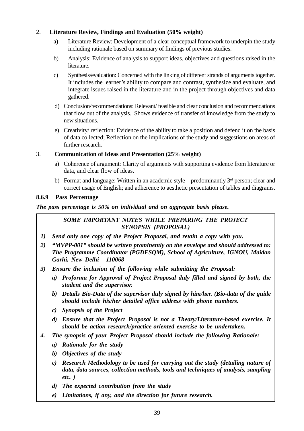### 2. **Literature Review, Findings and Evaluation (50% weight)**

- a) Literature Review: Development of a clear conceptual framework to underpin the study including rationale based on summary of findings of previous studies.
- b) Analysis: Evidence of analysis to support ideas, objectives and questions raised in the literature.
- c) Synthesis/evaluation: Concerned with the linking of different strands of arguments together. It includes the learner's ability to compare and contrast, synthesize and evaluate, and integrate issues raised in the literature and in the project through objectives and data gathered.
- d) Conclusion/recommendations: Relevant/ feasible and clear conclusion and recommendations that flow out of the analysis. Shows evidence of transfer of knowledge from the study to new situations.
- e) Creativity/ reflection: Evidence of the ability to take a position and defend it on the basis of data collected; Reflection on the implications of the study and suggestions on areas of further research.

### 3. **Communication of Ideas and Presentation (25% weight)**

- a) Coherence of argument: Clarity of arguments with supporting evidence from literature or data, and clear flow of ideas.
- b) Format and language: Written in an academic style predominantly  $3<sup>rd</sup>$  person; clear and correct usage of English; and adherence to aesthetic presentation of tables and diagrams.

### **8.6.9 Pass Percentage**

### *The pass percentage is 50% on individual and on aggregate basis please.*

### *SOME IMPORTANT NOTES WHILE PREPARING THE PROJECT SYNOPSIS (PROPOSAL)*

- *1) Send only one copy of the Project Proposal, and retain a copy with you.*
- *2) "MVPP-001" should be written prominently on the envelope and should addressed to: The Programme Coordinator (PGDFSQM), School of Agriculture, IGNOU, Maidan Garhi, New Delhi - 110068*
- *3) Ensure the inclusion of the following while submitting the Proposal:*
	- *a) Proforma for Approval of Project Proposal duly filled and signed by both, the student and the supervisor.*
	- *b) Details Bio-Data of the supervisor duly signed by him/her. (Bio-data of the guide should include his/her detailed office address with phone numbers.*
	- *c) Synopsis of the Project*
	- *d) Ensure that the Project Proposal is not a Theory/Literature-based exercise. It should be action research/practice-oriented exercise to be undertaken.*
- *4. The synopsis of your Project Proposal should include the following Rationale:*
	- *a) Rationale for the study*
	- *b) Objectives of the study*
	- *c) Research Methodology to be used for carrying out the study (detailing nature of data, data sources, collection methods, tools and techniques of analysis, sampling etc. )*
	- *d) The expected contribution from the study*
	- *e) Limitations, if any, and the direction for future research.*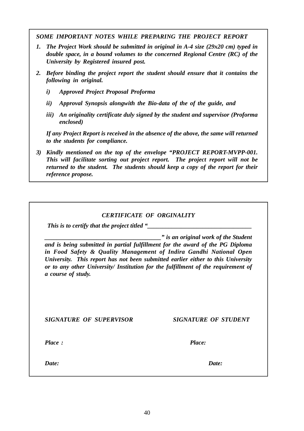*SOME IMPORTANT NOTES WHILE PREPARING THE PROJECT REPORT*

- *1. The Project Work should be submitted in original in A-4 size (29x20 cm) typed in double space, in a bound volumes to the concerned Regional Centre (RC) of the University by Registered insured post.*
- *2. Before binding the project report the student should ensure that it contains the following in original.*
	- *i) Approved Project Proposal Proforma*
	- *ii) Approval Synopsis alongwith the Bio-data of the of the guide, and*
	- *iii) An originality certificate duly signed by the student and supervisor (Proforma enclosed)*

*If any Project Report is received in the absence of the above, the same will returned to the students for compliance.*

*3) Kindly mentioned on the top of the envelope "PROJECT REPORT-MVPP-001. This will facilitate sorting out project report. The project report will not be returned to the student. The students should keep a copy of the report for their reference propose.*

| <b>CERTIFICATE OF ORGINALITY</b><br>This is to certify that the project titled "                                                                                                                                                                                                                                                                                                           |                      |
|--------------------------------------------------------------------------------------------------------------------------------------------------------------------------------------------------------------------------------------------------------------------------------------------------------------------------------------------------------------------------------------------|----------------------|
| " is an original work of the Student<br>and is being submitted in partial fulfillment for the award of the PG Diploma<br>in Food Safety & Quality Management of Indira Gandhi National Open<br>University. This report has not been submitted earlier either to this University<br>or to any other University/ Institution for the fulfillment of the requirement of<br>a course of study. |                      |
| <b>SIGNATURE OF SUPERVISOR</b>                                                                                                                                                                                                                                                                                                                                                             | SIGNATURE OF STUDENT |
| Place:                                                                                                                                                                                                                                                                                                                                                                                     | Place:               |
| Date:                                                                                                                                                                                                                                                                                                                                                                                      | Date:                |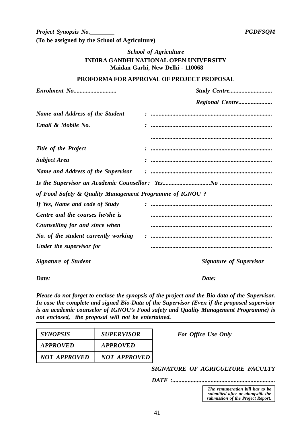### *School of Agriculture* **INDIRA GANDHI NATIONAL OPEN UNIVERSITY Maidan Garhi, New Delhi - 110068**

#### **PROFORMA FOR APPROVAL OF PROJECT PROPOSAL**

| Name and Address of the Student                         | :<br>* ………………………………………………………………………… |
|---------------------------------------------------------|-------------------------------------|
| Email & Mobile No.                                      |                                     |
|                                                         |                                     |
| <b>Title of the Project</b>                             |                                     |
| <b>Subject Area</b>                                     |                                     |
| <b>Name and Address of the Supervisor</b>               |                                     |
|                                                         |                                     |
| of Food Safety & Quality Management Programme of IGNOU? |                                     |
| If Yes, Name and code of Study                          |                                     |
| Centre and the courses he/she is                        |                                     |
| Counselling for and since when                          |                                     |
| No. of the student currently working                    |                                     |
| Under the supervisor for                                |                                     |
| <b>Signature of Student</b>                             | <b>Signature of Supervisor</b>      |

*Date: Date:*

*Please do not forget to enclose the synopsis of the project and the Bio-data of the Supervisor. In case the complete and signed Bio-Data of the Supervisor (Even if the proposed supervisor is an academic counselor of IGNOU's Food safety and Quality Management Programme) is not enclosed, the proposal will not be entertained.*

| <i>SYNOPSIS</i> | <b>SUPERVISOR</b>   |
|-----------------|---------------------|
| APPROVED        | APPROVED            |
| NOT APPROVED    | <b>NOT APPROVED</b> |

*For Office Use Only* 

*SIGNATURE OF AGRICULTURE FACULTY*

*DATE :...................................................................*

*The remuneration bill has to be submitted after or alongwith the submission of the Project Report.*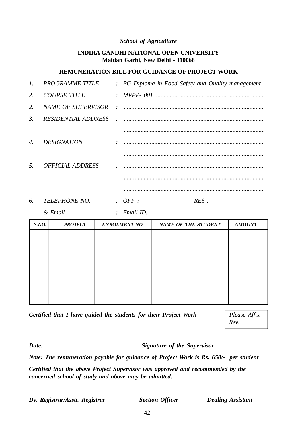#### *School of Agriculture*

### **INDIRA GANDHI NATIONAL OPEN UNIVERSITY Maidan Garhi, New Delhi - 110068**

### **REMUNERATION BILL FOR GUIDANCE OF PROJECT WORK**

| $l_{\cdot}$           | <b>PROGRAMME TITLE</b>         |               | : PG Diploma in Food Safety and Quality management |
|-----------------------|--------------------------------|---------------|----------------------------------------------------|
| 2.                    | <b>COURSE TITLE</b>            |               |                                                    |
| 2.                    | NAME OF SUPERVISOR             | $\mathcal{L}$ |                                                    |
| 3.                    | <b>RESIDENTIAL ADDRESS</b>     |               |                                                    |
|                       |                                |               |                                                    |
| $\mathcal{A}_{\cdot}$ | <i><b>DESIGNATION</b></i>      |               |                                                    |
|                       |                                |               |                                                    |
| 5.                    | <i><b>OFFICIAL ADDRESS</b></i> |               |                                                    |
|                       |                                |               |                                                    |
|                       |                                |               |                                                    |
| 6.                    | <b>TELEPHONE NO.</b>           |               | $\cdot$ OFF $\cdot$<br>RES:                        |

*& Email : Email ID. S.NO. PROJECT ENROLMENT NO. NAME OF THE STUDENT AMOUNT*

*Certified that I have guided the students for their Project Work* | *Please Affix* 

*Rev.*

*Date: Signature of the Supervisor* 

*Note: The remuneration payable for guidance of Project Work is Rs. 650/- per student*

*Certified that the above Project Supervisor was approved and recommended by the concerned school of study and above may be admitted.*

*Dy. Registrar/Asstt. Registrar Section Officer Dealing Assistant*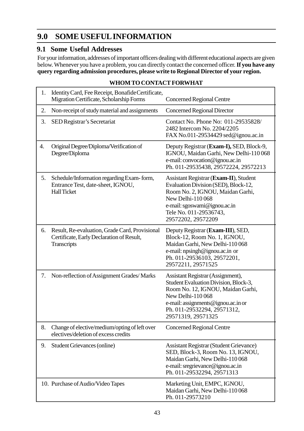# **9.0 SOME USEFULINFORMATION**

## **9.1 Some Useful Addresses**

For your information, addresses of important officers dealing with different educational aspects are given below. Whenever you have a problem, you can directly contact the concerned officer.**If you have any query regarding admission procedures, please write to Regional Director of your region.**

| 1. | Identity Card, Fee Receipt, Bonafide Certificate,<br>Migration Certificate, Scholarship Forms              | <b>Concerned Regional Centre</b>                                                                                                                                                                                               |
|----|------------------------------------------------------------------------------------------------------------|--------------------------------------------------------------------------------------------------------------------------------------------------------------------------------------------------------------------------------|
| 2. | Non-receipt of study material and assignments                                                              | <b>Concerned Regional Director</b>                                                                                                                                                                                             |
| 3. | SED Registrar's Secretariat                                                                                | Contact No. Phone No: 011-29535828/<br>2482 Intercom No. 2204/2205<br>FAX No.011-29534429 sed@ignou.ac.in                                                                                                                      |
| 4. | Original Degree/Diploma/Verification of<br>Degree/Diploma                                                  | Deputy Registrar (Exam-I), SED, Block-9,<br>IGNOU, Maidan Garhi, New Delhi-110068<br>e-mail: convocation@ignou.ac.in<br>Ph. 011-29535438, 29572224, 29572213                                                                   |
| 5. | Schedule/Information regarding Exam-form,<br>Entrance Test, date-sheet, IGNOU,<br><b>Hall Ticket</b>       | Assistant Registrar (Exam-II), Student<br>Evaluation Division (SED), Block-12,<br>Room No. 2, IGNOU, Maidan Garhi,<br>New Delhi-110068<br>e-mail: sgoswami@ignou.ac.in<br>Tele No. 011-29536743,<br>29572202, 29572209         |
| 6. | Result, Re-evaluation, Grade Card, Provisional<br>Certificate, Early Declaration of Result,<br>Transcripts | Deputy Registrar (Exam-III), SED,<br>Block-12, Room No. 1, IGNOU,<br>Maidan Garhi, New Delhi-110 068<br>e-mail: npsingh@ignou.ac.in or<br>Ph. 011-29536103, 29572201,<br>29572211, 29571525                                    |
| 7. | Non-reflection of Assignment Grades/Marks                                                                  | Assistant Registrar (Assignment),<br>Student Evaluation Division, Block-3,<br>Room No. 12, IGNOU, Maidan Garhi,<br>New Delhi-110068<br>e-mail: assignments@ignou.ac.in or<br>Ph. 011-29532294, 29571312,<br>29571319, 29571325 |
| 8. | Change of elective/medium/opting of left over<br>electives/deletion of excess credits                      | <b>Concerned Regional Centre</b>                                                                                                                                                                                               |
| 9. | <b>Student Grievances (online)</b>                                                                         | <b>Assistant Registrar (Student Grievance)</b><br>SED, Block-3, Room No. 13, IGNOU,<br>Maidan Garhi, New Delhi-110 068<br>e-mail: sregrievance@ignou.ac.in<br>Ph. 011-29532294, 29571313                                       |
|    | 10. Purchase of Audio/Video Tapes                                                                          | Marketing Unit, EMPC, IGNOU,<br>Maidan Garhi, New Delhi-110 068<br>Ph. 011-29573210                                                                                                                                            |

### **WHOM TO CONTACT FORWHAT**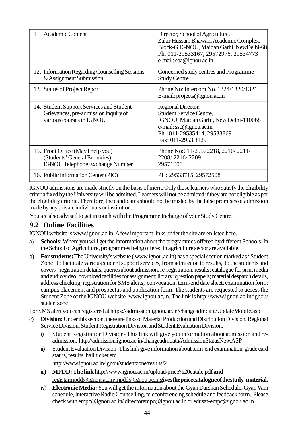| 11. Academic Content                                                                                         | Director, School of Agriculture,<br>Zakir Hussain Bhawan, Academic Complex,<br>Block-G, IGNOU, Maidan Garhi, NewDelhi-68<br>Ph. 011-29533167, 29572976, 29534773<br>e-mail: soa@ignou.ac.in |
|--------------------------------------------------------------------------------------------------------------|---------------------------------------------------------------------------------------------------------------------------------------------------------------------------------------------|
| 12. Information Regarding Counselling Sessions<br>& Assignment Submission                                    | Concerned study centres and Programme<br><b>Study Centre</b>                                                                                                                                |
| 13. Status of Project Report                                                                                 | Phone No: Intercom No. 1324/1320/1321<br>E-mail: projects@ignou.ac.in                                                                                                                       |
| 14. Student Support Services and Student<br>Grievances, pre-admission inquiry of<br>various courses in IGNOU | Regional Director,<br><b>Student Service Centre,</b><br>IGNOU, Maidan Garhi, New Delhi-110068<br>e-mail: ssc@ignou.ac.in<br>Ph.: 011-29535414, 29533869<br>Fax: 011-2953 3129               |
| 15. Front Office (May I help you)<br>(Students' General Enquiries)<br><b>IGNOU Telephone Exchange Number</b> | Phone No:011-29572218, 2210/2211/<br>2208/2216/2209<br>29571000                                                                                                                             |
| 16. Public Information Center (PIC)                                                                          | PH: 29533715, 29572508                                                                                                                                                                      |

IGNOU admissions are made strictlyon the basis of merit. Only those learners who satisfythe eligibility criteria fixed bythe Universitywill be admitted. Learners will not be admitted if theyare not eligible as per the eligibilitycriteria. Therefore, the candidates should not be misled bythe false promises of admission made byanyprivate individuals or institution.

You are also advised to get in touch with the Programme Incharge of your Study Centre.

## **9.2 Online Facilities**

IGNOU website is www.ignou.ac.in.Afew important links under the site are enlisted here.

- a) **Schools:** Where you will get the information about the programmes offered by different Schools. In the School of Agriculture, programmes being offered in agriculture sector are available.
- b) **For students:**The University's website (www.ignou.ac.in) has a special section marked as "Student Zone" to facilitate various student support services, from admission to results, to the students and covers- registration details, queries aboutadmission, re-registration, results; cataloguefor print media and audio video; download facilities for assignment; library; question papers; material despatch details, address checking; registration for SMS alerts; convocation; term-end date sheet; examination form; campus placement and prospectus and application form. The students are requested to access the Student Zone of the IGNOU website- www.ignou.ac,in. The link is http://www.ignou.ac.in/ignou/ studentzone

For SMS alert you can registered at https://admission.ignou.ac.in/changeadmdata/UpdateMobile.asp

- c) **Division:** Under this section, there are links of Material Production and Distribution Division, Regional Service Division, Student Registration Division and Student Evaluation Division.
	- i) Student Registration Division- This link will give you information about admission and readmission. http://admission.ignou.ac.in/changeadmdata/AdmissionStatusNew.ASP
	- ii) Student Evaluation Division-This link give information about term-end examination, grade card status, results, hall ticket etc.

http://www.ignou.ac.in/ignou/studentzone/results/2

- iii) **MPDD: The link** http://www.ignou.ac.in/upload/price%20catale.pdf **and** registarmpdd@ignou.ac.in/mpdd@ignou.ac.in**givesthepricecatalogueofthestudy material.**
- iv) **Electronic Media:**You will get the information about the Gyan Darshan Schedule, Gyan Vani schedule, Interactive Radio Counselling, teleconferencing schedule and feedback form. Please check with empc@ignou.ac.in/ directorempc@ignou.ac.in or edusat-empc@ignou.ac.in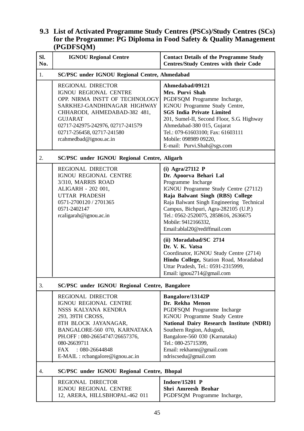### **9.3 List of Activated Programme Study Centres (PSCs)/Study Centres (SCs) for the Programme: PG Diploma in Food Safety & Quality Management (PGDFSQM)**

| Sl.<br>No. | <b>IGNOU Regional Centre</b>                                                                                                                                                                                                                                            | <b>Contact Details of the Programme Study</b><br><b>Centres/Study Centres with their Code</b>                                                                                                                                                                                                                                     |  |  |
|------------|-------------------------------------------------------------------------------------------------------------------------------------------------------------------------------------------------------------------------------------------------------------------------|-----------------------------------------------------------------------------------------------------------------------------------------------------------------------------------------------------------------------------------------------------------------------------------------------------------------------------------|--|--|
| 1.         | <b>SC/PSC under IGNOU Regional Centre, Ahmedabad</b>                                                                                                                                                                                                                    |                                                                                                                                                                                                                                                                                                                                   |  |  |
|            | <b>REGIONAL DIRECTOR</b><br>IGNOU REGIONAL CENTRE<br>OPP. NIRMA INSTT OF TECHNOLOGY<br>SARKHEJ-GANDHINAGAR HIGHWAY<br>CHHARODI, AHMEDABAD-382 481,<br><b>GUJARAT</b><br>02717-242975-242976, 02717-241579<br>02717-256458, 02717-241580<br>rcahmedbad@ignou.ac.in       | Ahmedabad/09121<br>Mrs. Purvi Shah<br>PGDFSQM Programme Incharge,<br>IGNOU Programme Study Centre,<br><b>SGS India Private Limited</b><br>201, Sumel-II, Second Floor, S.G. Highway<br>Ahmedabad-380 015, Gujarat<br>Tel.: 079-61603100; Fax: 61603111<br>Mobile: 098989 09220,<br>E-mail: Purvi.Shah@sgs.com                     |  |  |
| 2.         | <b>SC/PSC under IGNOU Regional Centre, Aligarh</b>                                                                                                                                                                                                                      |                                                                                                                                                                                                                                                                                                                                   |  |  |
|            | <b>REGIONAL DIRECTOR</b><br>IGNOU REGIONAL CENTRE<br>3/310, MARRIS ROAD<br>ALIGARH - 202 001,<br><b>UTTAR PRADESH</b><br>0571-2700120 / 2701365<br>0571-2402147<br>rcaligarah@ignou.ac.in                                                                               | $(i)$ Agra/27112 P<br>Dr. Apoorva Behari Lal<br>Programme Incharge<br>IGNOU Programme Study Centre (27112)<br>Raja Balwant Singh (RBS) College<br>Raja Balwant Singh Engineering Technical<br>Campus, Bichpuri, Agra-282105 (U.P.)<br>Tel.: 0562-2520075, 2858616, 2636675<br>Mobile: 9412166332,<br>Email:ablal20@rediffmail.com |  |  |
|            |                                                                                                                                                                                                                                                                         | (ii) Moradabad/SC 2714<br>Dr. V. K. Vatsa<br>Coordinator, IGNOU Study Centre (2714)<br>Hindu College, Station Road, Moradabad<br>Uttar Pradesh, Tel.: 0591-2315999,<br>Email: ignou2714@gmail.com                                                                                                                                 |  |  |
| 3.         | <b>SC/PSC under IGNOU Regional Centre, Bangalore</b>                                                                                                                                                                                                                    |                                                                                                                                                                                                                                                                                                                                   |  |  |
|            | <b>REGIONAL DIRECTOR</b><br>IGNOU REGIONAL CENTRE<br>NSSS KALYANA KENDRA<br>293, 39TH CROSS,<br>8TH BLOCK JAYANAGAR,<br>BANGALORE-560 070, KARNATAKA<br>PH.OFF: 080-26654747/26657376,<br>080-26639711<br>$: 080 - 26644848$<br>FAX<br>E-MAIL : rcbangalore@ignou.ac.in | Bangalore/13142P<br>Dr. Rekha Menon<br>PGDFSQM Programme Incharge<br><b>IGNOU Programme Study Centre</b><br>National Dairy Research Institute (NDRI)<br>Southern Region, Adugodi,<br>Bangalore-560 030 (Karnataka)<br>Tel.: 080-25715399,<br>Email: rekhamn@gmail.com<br>ndriscsedu@gmail.com                                     |  |  |
| 4.         | <b>SC/PSC under IGNOU Regional Centre, Bhopal</b>                                                                                                                                                                                                                       |                                                                                                                                                                                                                                                                                                                                   |  |  |
|            | REGIONAL DIRECTOR<br>IGNOU REGIONAL CENTRE<br>12, ARERA, HILLSBHOPAL-462 011                                                                                                                                                                                            | <b>Indore/15201 P</b><br>Shri Amreesh Beohar<br>PGDFSQM Programme Incharge,                                                                                                                                                                                                                                                       |  |  |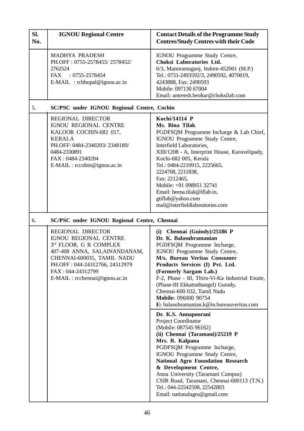| SI.<br>No. | <b>IGNOU Regional Centre</b>                                                                                                                                                                                                | <b>Contact Details of the Programme Study</b><br><b>Centres/Study Centres with their Code</b>                                                                                                                                                                                                                                                                                                                                                                                                                                                                                                                                                                                                                                                                                                                                                    |
|------------|-----------------------------------------------------------------------------------------------------------------------------------------------------------------------------------------------------------------------------|--------------------------------------------------------------------------------------------------------------------------------------------------------------------------------------------------------------------------------------------------------------------------------------------------------------------------------------------------------------------------------------------------------------------------------------------------------------------------------------------------------------------------------------------------------------------------------------------------------------------------------------------------------------------------------------------------------------------------------------------------------------------------------------------------------------------------------------------------|
|            | <b>MADHYA PRADESH</b><br>PH.OFF: 0755-2578455/2578452/<br>2762524<br>FAX : 0755-2578454<br>$E\text{-}MAIL$ : rcbhopal@ignou.ac.in                                                                                           | IGNOU Programme Study Centre,<br>Choksi Laboratories Ltd.<br>6/3, Manoramaganj, Indore-452001 (M.P.)<br>Tel.: 0731-2493592/3, 2490592, 4070019,<br>4243888, Fax: 2490593<br>Mobile: 097130 67004<br>Email: amreesh.beohar@choksilab.com                                                                                                                                                                                                                                                                                                                                                                                                                                                                                                                                                                                                          |
| 5.         | <b>SC/PSC under IGNOU Regional Centre, Cochin</b>                                                                                                                                                                           |                                                                                                                                                                                                                                                                                                                                                                                                                                                                                                                                                                                                                                                                                                                                                                                                                                                  |
|            | <b>REGIONAL DIRECTOR</b><br>IGNOU REGIONAL CENTRE<br>KALOOR COCHIN-682 017,<br><b>KERALA</b><br>PH.OFF: 0484-2340203/2348189/<br>0484-2330891<br>FAX: 0484-2340204<br>$E\text{-}MAIL : rccohin@ignou.ac.in$                 | Kochi/14114 P<br>Ms. Bina Tilak<br>PGDFSQM Programme Incharge & Lab Chief,<br>IGNOU Programme Study Centre,<br>Interfield Laboratories,<br>XIII/1208 - A, Interprint House, Karuvelipady,<br>Kochi-682 005, Kerala<br>Tel.: 0484-2210915, 2225665,<br>2224708, 2211838,<br>Fax: 2212465,<br>Mobile: +91 098951 32741<br>Email: beena.tilak@iflab.in,<br>gtiflab@yahoo.com<br>mail@interfieldlaboratories.com                                                                                                                                                                                                                                                                                                                                                                                                                                     |
| 6.         | SC/PSC under IGNOU Regional Centre, Chennai                                                                                                                                                                                 |                                                                                                                                                                                                                                                                                                                                                                                                                                                                                                                                                                                                                                                                                                                                                                                                                                                  |
|            | REGIONAL DIRECTOR<br>IGNOU REGIONAL CENTRE<br>3rd FLOOR, G R COMPLEX<br>407-408 ANNA, SALAINANDANAM,<br>CHENNAI-600035, TAMIL NADU<br>PH.OFF: 044-24312766, 24312979<br>FAX: 044-24312799<br>E-MAIL : rcchennai@ignou.ac.in | (i) Chennai (Guindy)/25186 P<br>Dr. K. Balasubramanian<br>PGDFSQM Programme Incharge,<br>IGNOU Programme Study Centre,<br>M/s. Bureau Veritas Consumer<br>Products Services (I) Pvt. Ltd.<br>(Formerly Sargam Lab.)<br>F-2, Phase - III, Thiru-Vi-Ka Industrial Estate,<br>(Phase-III Ekkattuthangel) Guindy,<br>Chennai-600 032, Tamil Nadu<br>Mobile: 096000 90754<br>E: balasubramanian.k@in.bureauveritas.com<br>Dr. K.S. Annapoorani<br><b>Project Coordinator</b><br>(Mobile: 087545 96162)<br>(ii) Chennai (Taramani)/25219 P<br>Mrs. R. Kalpana<br>PGDFSQM Programme Incharge,<br>IGNOU Programme Study Centre,<br><b>National Agro Foundation Research</b><br>& Development Centre,<br>Anna University (Taramani Campus)<br>CSIR Road, Taramani, Chennai-600113 (T.N.)<br>Tel.: 044-22542598, 22542803<br>Email: nationalagro@gmail.com |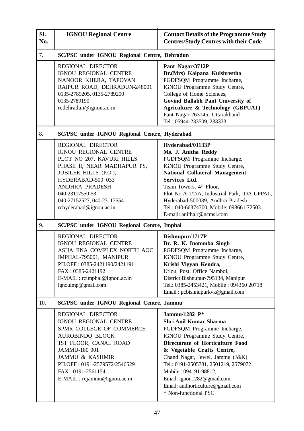| SI.<br>No. | <b>IGNOU Regional Centre</b>                                                                                                                                                                                                                                            | <b>Contact Details of the Programme Study</b><br><b>Centres/Study Centres with their Code</b>                                                                                                                                                                                                                                                                                    |  |  |  |
|------------|-------------------------------------------------------------------------------------------------------------------------------------------------------------------------------------------------------------------------------------------------------------------------|----------------------------------------------------------------------------------------------------------------------------------------------------------------------------------------------------------------------------------------------------------------------------------------------------------------------------------------------------------------------------------|--|--|--|
| 7.         | <b>SC/PSC under IGNOU Regional Centre, Dehradun</b>                                                                                                                                                                                                                     |                                                                                                                                                                                                                                                                                                                                                                                  |  |  |  |
|            | <b>REGIONAL DIRECTOR</b><br>IGNOU REGIONAL CENTRE<br>NANOOR KHERA, TAPOVAN<br>RAIPUR ROAD, DEHRADUN-248001<br>0135-2789205, 0135-2789200<br>0135-2789190<br>rcdehradun@ignou.ac.in                                                                                      | Pant Nagar/3712P<br>Dr.(Mrs) Kalpana Kulshrestha<br>PGDFSQM Programme Incharge,<br>IGNOU Programme Study Centre,<br>College of Home Sciences,<br>Govind Ballabh Pant University of<br>Agriculture & Technology (GBPUAT)<br>Pant Nagar-263145, Uttarakhand<br>Tel.: 05944-233509, 233333                                                                                          |  |  |  |
| 8.         | <b>SC/PSC under IGNOU Regional Centre, Hyderabad</b>                                                                                                                                                                                                                    |                                                                                                                                                                                                                                                                                                                                                                                  |  |  |  |
|            | <b>REGIONAL DIRECTOR</b><br><b>IGNOU REGIONAL CENTRE</b><br>PLOT NO 207, KAVURI HILLS<br>PHASE II, NEAR MADHAPUR PS,<br>JUBILEE HILLS (P.O.),<br>HYDERABAD-500 033<br><b>ANDHRA PRADESH</b><br>040-23117550-53<br>040-27152527, 040-23117554<br>rchyderabad@ignou.ac.in | Hyderabad/01133P<br>Ms. J. Anitha Reddy<br>PGDFSQM Programme Incharge,<br>IGNOU Programme Study Centre,<br><b>National Collateral Management</b><br>Services Ltd.<br>Team Towers, 4 <sup>th</sup> Floor,<br>Plot No.A-1/2/A, Industrial Park, IDA UPPAL,<br>Hyderabad-500039, Andhra Pradesh<br>Tel.: 040-66374700, Mobile: 098661 72503<br>E-mail: anitha.r@ncmsl.com           |  |  |  |
| 9.         | <b>SC/PSC under IGNOU Regional Centre, Imphal</b>                                                                                                                                                                                                                       |                                                                                                                                                                                                                                                                                                                                                                                  |  |  |  |
|            | <b>REGIONAL DIRECTOR</b><br><b>IGNOU REGIONAL CENTRE</b><br>ASHA JINA COMPLEX NORTH AOC<br>IMPHAL-795001, MANIPUR<br>PH.OFF: 0385-2421190/2421191<br>FAX: 0385-2421192<br>E-MAIL : rcimphal@ignou.ac.in<br>ignouimp@gmail.com                                           | Bishnupur/1717P<br>Dr. R. K. Inotomba Singh<br>PGDFSQM Programme Incharge,<br>IGNOU Programme Study Centre,<br>Krishi Vigyan Kendra,<br>Utlou, Post. Office Nambol,<br>District Bishnupur-795134, Manipur<br>Tel.: 0385-2453421, Mobile: 094360 20718<br>Email: pcbishnupurkvk@gmail.com                                                                                         |  |  |  |
| 10.        | <b>SC/PSC under IGNOU Regional Centre, Jammu</b>                                                                                                                                                                                                                        |                                                                                                                                                                                                                                                                                                                                                                                  |  |  |  |
|            | <b>REGIONAL DIRECTOR</b><br>IGNOU REGIONAL CENTRE<br>SPMR COLLEGE OF COMMERCE<br><b>AUROBINDO BLOCK</b><br>1ST FLOOR, CANAL ROAD<br>JAMMU-180 001<br><b>JAMMU &amp; KASHMIR</b><br>PH.OFF: 0191-2579572/2546529<br>FAX: 0191-2561154<br>E-MAIL : rcjammu@ignou.ac.in    | Jammu/1282 P*<br><b>Shri Anil Kumar Sharma</b><br>PGDFSQM Programme Incharge,<br>IGNOU Programme Study Centre,<br>Directorate of Horticulture Food<br>& Vegetable Crafts Centre,<br>Chand Nagar, Jewel, Jammu (J&K)<br>Tel.: 0191-2505781, 2501219, 2579072<br>Mobile: 094191-98812,<br>Email: ignou1282@gmail.com,<br>Email: anilhorticulture@gmail.com<br>* Non-functional PSC |  |  |  |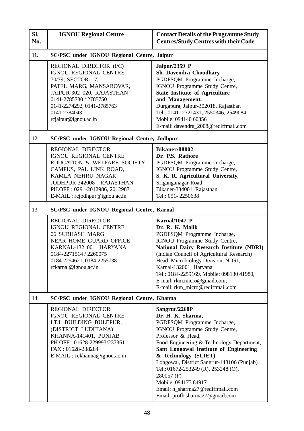| SI.<br>No. | <b>IGNOU Regional Centre</b>                                                                                                                                                                                                   | <b>Contact Details of the Programme Study</b><br><b>Centres/Study Centres with their Code</b>                                                                                                                                                                                                                                                                                                                                            |  |
|------------|--------------------------------------------------------------------------------------------------------------------------------------------------------------------------------------------------------------------------------|------------------------------------------------------------------------------------------------------------------------------------------------------------------------------------------------------------------------------------------------------------------------------------------------------------------------------------------------------------------------------------------------------------------------------------------|--|
| 11.        | SC/PSC under IGNOU Regional Centre, Jaipur                                                                                                                                                                                     |                                                                                                                                                                                                                                                                                                                                                                                                                                          |  |
|            | REGIONAL DIRECTOR (I/C)<br>IGNOU REGIONAL CENTRE<br>70/79, SECTOR - 7,<br>PATEL MARG, MANSAROVAR,<br>JAIPUR-302 020, RAJASTHAN<br>0141-2785730 / 2785750<br>0141-2274292, 0141-2785763<br>0141-2784043<br>rcjaipur@ignou.ac.in | Jaipur/2359 P<br>Sh. Davendra Choudhary<br>PGDFSQM Programme Incharge,<br>IGNOU Programme Study Centre,<br><b>State Institute of Agriculture</b><br>and Management,<br>Durgapura, Jaipur-302018, Rajasthan<br>Tel.: 0141-2721431, 2550346, 2549084<br>Mobile: 094140 60356<br>E-mail: davendra_2008@rediffmail.com                                                                                                                       |  |
| 12.        | <b>SC/PSC under IGNOU Regional Centre, Jodhpur</b>                                                                                                                                                                             |                                                                                                                                                                                                                                                                                                                                                                                                                                          |  |
|            | <b>REGIONAL DIRECTOR</b><br>IGNOU REGIONAL CENTRE<br>EDUCATION & WELFARE SOCIETY<br>CAMPUS, PAL LINK ROAD,<br>KAMLA NEHRU NAGAR<br>JODHPUR-342008 RAJASTHAN<br>PH.OFF: 0291-2012986, 2012987<br>E-MAIL : rcjodhpur@ignou.ac.in | Bikaner/88002<br>Dr. P.S. Rathore<br>PGDFSQM Programme Incharge,<br>IGNOU Programme Study Centre,<br>S. K. R. Agricultural University,<br>Sriganganagar Road,<br>Bikaner-334001, Rajasthan<br>Tel.: 051-2250638                                                                                                                                                                                                                          |  |
| 13.        | <b>SC/PSC under IGNOU Regional Centre, Karnal</b>                                                                                                                                                                              |                                                                                                                                                                                                                                                                                                                                                                                                                                          |  |
|            | <b>REGIONAL DIRECTOR</b><br>IGNOU REGIONAL CENTRE<br><b>06 SUBHASH MARG</b><br><b>NEAR HOME GUARD OFFICE</b><br>KARNAL-132 001, HARYANA<br>0184-2271514 / 2260075<br>0184-2254621, 0184-2255738<br>rckarnal@ignou.ac.in        | Karnal/1047 P<br>Dr. R. K. Malik<br>PGDFSQM Programme Incharge,<br>IGNOU Programme Study Centre,<br>National Dairy Research Institute (NDRI)<br>(Indian Council of Agricultural Research)<br>Head, Microbiology Division, NDRI,<br>Karnal-132001, Haryana<br>Tel.: 0184-2259169, Mobile: 098130 41980,<br>E-mail: rkm.micro@gmail.com;<br>E-mail: rkm_micro@rediffmail.com                                                               |  |
| 14.        | <b>SC/PSC under IGNOU Regional Centre, Khanna</b>                                                                                                                                                                              |                                                                                                                                                                                                                                                                                                                                                                                                                                          |  |
|            | REGIONAL DIRECTOR<br><b>IGNOU REGIONAL CENTRE</b><br>I.T.I. BUILDING BULEPUR,<br>(DISTRICT LUDHIANA)<br>KHANNA-141401, PUNJAB<br>PH.OFF: 01628-229993/237361<br>FAX: 01628-238284<br>E-MAIL : rckhanna@ignou.ac.in             | Sangrur/2268P<br>Dr. H. K. Sharma,<br>PGDFSQM Programme Incharge,<br>IGNOU Programme Study Centre,<br>Professor & Head,<br>Food Engineering & Technology Department,<br>Sant Longowal Institute of Engineering<br>& Technology (SLIET)<br>Longowal, District Sangrur-148106 (Punjab)<br>Tel.: 01672-253249 (R), 253248 (O),<br>280057 (F)<br>Mobile: 094173 84917<br>Email: h_sharma27@rediffmail.com<br>Email: profh.sharma27@gmail.com |  |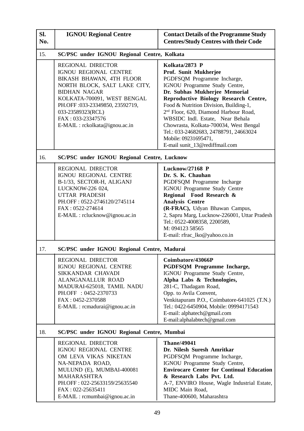| Sl.<br>No. | <b>IGNOU Regional Centre</b>                                                                                                                                                                                                                                                       | <b>Contact Details of the Programme Study</b><br><b>Centres/Study Centres with their Code</b>                                                                                                                                                                                                                                                                                                                                                                      |  |  |
|------------|------------------------------------------------------------------------------------------------------------------------------------------------------------------------------------------------------------------------------------------------------------------------------------|--------------------------------------------------------------------------------------------------------------------------------------------------------------------------------------------------------------------------------------------------------------------------------------------------------------------------------------------------------------------------------------------------------------------------------------------------------------------|--|--|
| 15.        | SC/PSC under IGNOU Regional Centre, Kolkata                                                                                                                                                                                                                                        |                                                                                                                                                                                                                                                                                                                                                                                                                                                                    |  |  |
|            | <b>REGIONAL DIRECTOR</b><br>IGNOU REGIONAL CENTRE<br>BIKASH BHAWAN, 4TH FLOOR<br>NORTH BLOCK, SALT LAKE CITY,<br><b>BIDHAN NAGAR</b><br>KOLKATA-700091, WEST BENGAL<br>PH.OFF: 033-23349850, 23592719,<br>033-23589323(RCL)<br>FAX: 033-23347576<br>E-MAIL : rckolkata@ignou.ac.in | Kolkata/2873 P<br>Prof. Sunit Mukherjee<br>PGDFSQM Programme Incharge,<br>IGNOU Programme Study Centre,<br>Dr. Subhas Mukherjee Memorial<br>Reproductive Biology Research Centre,<br>Food & Nutrition Division, Building-1,<br>2 <sup>nd</sup> Floor, 620, Diamond Harbour Road,<br>WBSIDC Indl. Estate, Near Behala<br>Chowrasta, Kolkata-700034, West Bengal<br>Tel.: 033-24682683, 24788791, 24663024<br>Mobile: 09231695471,<br>E-mail sunit_13@rediffmail.com |  |  |
| 16.        | <b>SC/PSC under IGNOU Regional Centre, Lucknow</b>                                                                                                                                                                                                                                 |                                                                                                                                                                                                                                                                                                                                                                                                                                                                    |  |  |
|            | <b>REGIONAL DIRECTOR</b><br>IGNOU REGIONAL CENTRE<br>B-1/33, SECTOR-H, ALIGANJ<br>LUCKNOW-226 024,<br>UTTAR PRADESH<br>PH.OFF: 0522-2746120/2745114<br>FAX: 0522-274614<br>E-MAIL : rclucknow@ignou.ac.in                                                                          | Lucknow/27168 P<br>Dr. S. K. Chauhan<br>PGDFSQM Programme Incharge<br>IGNOU Programme Study Centre<br>Regional Food Research &<br><b>Analysis Centre</b><br>(R-FRAC), Udyan Bhawan Campus,<br>2, Sapru Marg, Lucknow-226001, Uttar Pradesh<br>Tel.: 0522-4008358, 2200589,<br>M: 094123 58565<br>E-mail: rfrac_lko@yahoo.co.in                                                                                                                                     |  |  |
| 17.        | SC/PSC under IGNOU Regional Centre, Madurai                                                                                                                                                                                                                                        |                                                                                                                                                                                                                                                                                                                                                                                                                                                                    |  |  |
|            | REGIONAL DIRECTOR<br>IGNOU REGIONAL CENTRE<br>SIKKANDAR CHAVADI<br><b>ALANGANALLUR ROAD</b><br>MADURAI-625018, TAMIL NADU<br>PH.OFF : 0452-2370733<br>FAX: 0452-2370588<br>E-MAIL : rcmadurai@ignou.ac.in                                                                          | Coimbatore/43066P<br>PGDFSQM Programme Incharge,<br>IGNOU Programme Study Centre,<br>Alpha Labs & Technologies,<br>281-C, Thadagam Road,<br>Opp. to Avila Convent,<br>Venkitapuram P.O., Coimbatore-641025 (T.N.)<br>Tel.: 0422-6450904, Mobile: 09994171543<br>E-mail: alphatech@gmail.com<br>E-mail:alphalabtech@gmail.com                                                                                                                                       |  |  |
| 18.        | SC/PSC under IGNOU Regional Centre, Mumbai                                                                                                                                                                                                                                         |                                                                                                                                                                                                                                                                                                                                                                                                                                                                    |  |  |
|            | <b>REGIONAL DIRECTOR</b><br>IGNOU REGIONAL CENTRE<br>OM LEVA VIKAS NIKETAN<br>NA-NEPADA ROAD,<br>MULUND (E), MUMBAI-400081<br><b>MAHARASHTRA</b><br>PH.OFF: 022-25633159/25635540<br>FAX: 022-25635411<br>E-MAIL : rcmumbai@ignou.ac.in                                            | <b>Thane/49041</b><br>Dr. Nilesh Suresh Amritkar<br>PGDFSQM Programme Incharge,<br>IGNOU Programme Study Centre,<br><b>Envirocare Center for Continual Education</b><br>& Research Labs Pvt. Ltd.<br>A-7, ENVIRO House, Wagle Industrial Estate,<br>MIDC Main Road,<br>Thane-400600, Maharashtra                                                                                                                                                                   |  |  |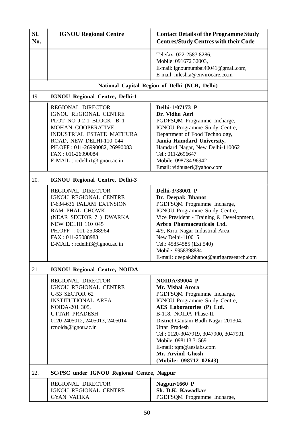| SI.<br>No. | <b>IGNOU Regional Centre</b>                                                                                                                                                                                                                                       | <b>Contact Details of the Programme Study</b><br><b>Centres/Study Centres with their Code</b>                                                                                                                                                                                                                                                                          |  |  |  |  |  |  |  |  |
|------------|--------------------------------------------------------------------------------------------------------------------------------------------------------------------------------------------------------------------------------------------------------------------|------------------------------------------------------------------------------------------------------------------------------------------------------------------------------------------------------------------------------------------------------------------------------------------------------------------------------------------------------------------------|--|--|--|--|--|--|--|--|
|            |                                                                                                                                                                                                                                                                    | Telefax: 022-2583 8286,<br>Mobile: 091672 32003,<br>E-mail: ignoumumbai49041@gmail.com,<br>E-mail: nilesh.a@envirocare.co.in                                                                                                                                                                                                                                           |  |  |  |  |  |  |  |  |
|            |                                                                                                                                                                                                                                                                    | National Capital Region of Delhi (NCR, Delhi)                                                                                                                                                                                                                                                                                                                          |  |  |  |  |  |  |  |  |
| 19.        | <b>IGNOU Regional Centre, Delhi-1</b>                                                                                                                                                                                                                              |                                                                                                                                                                                                                                                                                                                                                                        |  |  |  |  |  |  |  |  |
|            | <b>REGIONAL DIRECTOR</b><br>IGNOU REGIONAL CENTRE<br>PLOT NO J-2-1 BLOCK- B 1<br>MOHAN COOPERATIVE<br><b>INDUSTRIAL ESTATE MATHURA</b><br>ROAD, NEW DELHI-110 044<br>PH.OFF: 011-26990082, 26990083<br>FAX: 011-26990084<br>$E\text{-}MAIL$ : rcdelhi1@ignou.ac.in | Delhi-1/07173 P<br>Dr. Vidhu Aeri<br>PGDFSQM Programme Incharge,<br>IGNOU Programme Study Centre,<br>Department of Food Technology,<br>Jamia Hamdard University,<br>Hamdard Nagar, New Delhi-110062<br>Tel.: 011-2696647<br>Mobile: 098734 96942<br>Email: vidhuaeri@yahoo.com                                                                                         |  |  |  |  |  |  |  |  |
| 20.        | IGNOU Regional Centre, Delhi-3                                                                                                                                                                                                                                     |                                                                                                                                                                                                                                                                                                                                                                        |  |  |  |  |  |  |  |  |
|            | <b>REGIONAL DIRECTOR</b><br>IGNOU REGIONAL CENTRE<br>F-634-636 PALAM EXTNSION<br>RAM PHAL CHOWK<br>(NEAR SECTOR 7) DWARKA<br><b>NEW DELHI 110 045</b><br>PH.OFF : 011-25088964<br>FAX: 011-25088983<br>E-MAIL : rcdelhi3@ignou.ac.in                               | Delhi-3/38001 P<br>Dr. Deepak Bhanot<br>PGDFSQM Programme Incharge,<br>IGNOU Programme Study Centre,<br>Vice President - Training & Development,<br>Arbro Pharmaceuticals Ltd.<br>4/9, Kirti Nagar Industrial Area,<br>New Delhi-110015<br>Tel.: 45854585 (Ext.540)<br>Mobile: 9958398884<br>E-mail: deepak.bhanot@aurigaresearch.com                                  |  |  |  |  |  |  |  |  |
| 21.        | <b>IGNOU Regional Centre, NOIDA</b>                                                                                                                                                                                                                                |                                                                                                                                                                                                                                                                                                                                                                        |  |  |  |  |  |  |  |  |
|            | <b>REGIONAL DIRECTOR</b><br>IGNOU REGIONAL CENTRE<br>C-53 SECTOR 62<br><b>INSTITUTIONAL AREA</b><br>NOIDA-201 305,<br><b>UTTAR PRADESH</b><br>0120-2405012, 2405013, 2405014<br>rcnoida@ignou.ac.in                                                                | <b>NOIDA/39004 P</b><br>Mr. Vishal Arora<br>PGDFSQM Programme Incharge,<br>IGNOU Programme Study Centre,<br>AES Laboratories (P) Ltd.<br>B-118, NOIDA Phase-II,<br>District Gautam Budh Nagar-201304,<br><b>Uttar Pradesh</b><br>Tel.: 0120-3047919, 3047900, 3047901<br>Mobile: 098113 31569<br>E-mail: tqm@aeslabs.com<br>Mr. Arvind Ghosh<br>(Mobile: 098712 02643) |  |  |  |  |  |  |  |  |
| 22.        | <b>SC/PSC under IGNOU Regional Centre, Nagpur</b>                                                                                                                                                                                                                  |                                                                                                                                                                                                                                                                                                                                                                        |  |  |  |  |  |  |  |  |
|            | <b>REGIONAL DIRECTOR</b><br>IGNOU REGIONAL CENTRE<br><b>GYAN VATIKA</b>                                                                                                                                                                                            | Nagpur/1660 $P$<br>Sh. D.K. Kawadkar<br>PGDFSQM Programme Incharge,                                                                                                                                                                                                                                                                                                    |  |  |  |  |  |  |  |  |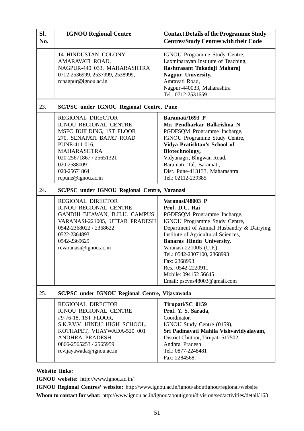| SI.<br>No. | <b>IGNOU Regional Centre</b>                                                                                                                                                                                                      | <b>Contact Details of the Programme Study</b><br><b>Centres/Study Centres with their Code</b>                                                                                                                                                                                                                                                                                      |
|------------|-----------------------------------------------------------------------------------------------------------------------------------------------------------------------------------------------------------------------------------|------------------------------------------------------------------------------------------------------------------------------------------------------------------------------------------------------------------------------------------------------------------------------------------------------------------------------------------------------------------------------------|
|            | <b>14 HINDUSTAN COLONY</b><br>AMARAVATI ROAD,<br>NAGPUR-440 033, MAHARASHTRA<br>0712-2536999, 2537999, 2538999,<br>rcnagpur@ignou.ac.in                                                                                           | IGNOU Programme Study Centre,<br>Laxminarayan Institute of Teaching,<br>Rashtrasant Tukadoji Maharaj<br>Nagpur University,<br>Amravati Road,<br>Nagpur-440033, Maharashtra<br>Tel.: 0712-2531659                                                                                                                                                                                   |
| 23.        | <b>SC/PSC under IGNOU Regional Centre, Pune</b>                                                                                                                                                                                   |                                                                                                                                                                                                                                                                                                                                                                                    |
|            | <b>REGIONAL DIRECTOR</b><br>IGNOU REGIONAL CENTRE<br>MSFC BUILDING, 1ST FLOOR<br>270, SENAPATI BAPAT ROAD<br>PUNE-411 016,<br><b>MAHARASHTRA</b><br>020-25671867 / 25651321<br>020-25880091<br>020-25671864<br>rcpune@ignou.ac.in | Baramati/1693 P<br>Mr. Pendharkar Balkrishna N<br>PGDFSQM Programme Incharge,<br>IGNOU Programme Study Centre,<br>Vidya Pratishtan's School of<br>Biotechnology,<br>Vidyanagri, Bhigwan Road,<br>Baramati, Tal. Baramati,<br>Dist. Pune-413133, Maharashtra<br>Tel.: 02112-239385                                                                                                  |
| 24.        | SC/PSC under IGNOU Regional Centre, Varanasi                                                                                                                                                                                      |                                                                                                                                                                                                                                                                                                                                                                                    |
|            | <b>REGIONAL DIRECTOR</b><br>IGNOU REGIONAL CENTRE<br>GANDHI BHAWAN, B.H.U. CAMPUS<br>VARANASI-221005, UTTAR PRADESH<br>0542-2368022 / 2368622<br>0522-2364893<br>0542-2369629<br>rcvaranasi@ignou.ac.in                           | Varanasi/48003 P<br>Prof. D.C. Rai<br>PGDFSQM Programme Incharge,<br>IGNOU Programme Study Centre,<br>Department of Animal Husbandry & Dairying,<br>Institute of Agricultural Sciences,<br><b>Banaras Hindu University,</b><br>Varanasi-221005 (U.P.)<br>Tel.: 0542-2307100, 2368993<br>Fax: 2368993<br>Res.: 0542-2220911<br>Mobile: 094152 56645<br>Email: pscvns48003@gmail.com |
| 25.        | SC/PSC under IGNOU Regional Centre, Vijayawada                                                                                                                                                                                    |                                                                                                                                                                                                                                                                                                                                                                                    |
|            | <b>REGIONAL DIRECTOR</b><br>IGNOU REGIONAL CENTRE<br>#9-76-18, 1ST FLOOR,<br>S.K.P.V.V. HINDU HIGH SCHOOL,<br>KOTHAPET, VIJAYWADA-520 001<br>ANDHRA PRADESH<br>0866-2565253 / 2565959<br>rcvijayawada@ignou.ac.in                 | Tirupati/SC 0159<br>Prof. Y. S. Sarada,<br>Coordinator,<br>IGNOU Study Centre (0159),<br>Sri Padmavati Mahila Vishvavidyalayam,<br>District Chittoor, Tirupati-517502,<br>Andhra Pradesh<br>Tel.: 0877-2248481<br>Fax: 2284568.                                                                                                                                                    |

**Website links:**

**IGNOU website:** http://www.ignou.ac.in/

**IGNOU Regional Centres' website:** http://www.ignou.ac.in/ignou/aboutignou/regional/website **Whom to contact for what:** http://www.ignou.ac.in/ignou/aboutignou/division/sed/activities/detail/163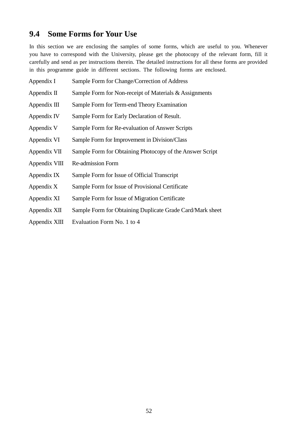## **9.4 Some Forms for Your Use**

In this section we are enclosing the samples of some forms, which are useful to you. Whenever you have to correspond with the University, please get the photocopy of the relevant form, fill it carefully and send as per instructions therein. The detailed instructions for all these forms are provided in this programme guide in different sections. The following forms are enclosed.

- Appendix I Sample Form for Change/Correction of Address Appendix II Sample Form for Non-receipt of Materials & Assignments Appendix III Sample Form for Term-end Theory Examination Appendix IV Sample Form for Early Declaration of Result. Appendix V Sample Form for Re-evaluation of Answer Scripts Appendix VI Sample Form for Improvement in Division/Class Appendix VII Sample Form for Obtaining Photocopy of the Answer Script Appendix VIII Re-admission Form Appendix IX Sample Form for Issue of Official Transcript Appendix X Sample Form for Issue of Provisional Certificate Appendix XI Sample Form for Issue of Migration Certificate Appendix XII Sample Form for Obtaining Duplicate Grade Card/Mark sheet
- Appendix XIII Evaluation Form No. 1 to 4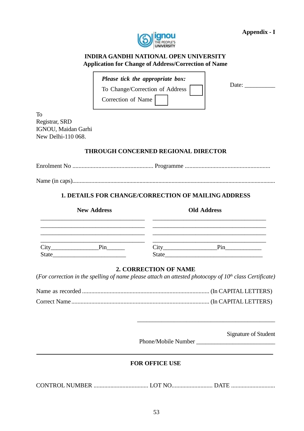

### **INDIRA GANDHI NATIONAL OPEN UNIVERSITY Application for Change of Address/Correction of Name**

|  |  |  | Please tick the appropriate box: |  |
|--|--|--|----------------------------------|--|
|--|--|--|----------------------------------|--|

To Change/Correction of Address

Correction of Name

Date: \_\_\_\_\_\_\_\_\_\_

To Registrar, SRD IGNOU, Maidan Garhi New Delhi-110 068.

### **THROUGH CONCERNED REGIONAL DIRECTOR**

Enrolment No ..................................................... Programme ........................................................

Name (in caps)...........................................................................................................................................

### **1. DETAILS FOR CHANGE/CORRECTION OF MAILING ADDRESS**

|       | <b>New Address</b> |                   | <b>Old Address</b> |  |
|-------|--------------------|-------------------|--------------------|--|
|       |                    |                   |                    |  |
| City  | Pin                | $\mathcal{L}$ ity | Pin                |  |
| State |                    | <b>State</b>      |                    |  |

### **2. CORRECTION OF NAME**

(*For correction in the spelling of name please attach an attested photocopy of 10th class Certificate)*

Name as recorded ................................................................................... (In CAPITAL LETTERS) Correct Name .......................................................................................... (In CAPITAL LETTERS)

Signature of Student

Phone/Mobile Number \_\_\_\_\_\_\_\_\_\_\_\_\_\_\_\_\_\_\_\_\_\_\_\_\_\_

\_\_\_\_\_\_\_\_\_\_\_\_\_\_\_\_\_\_\_\_\_\_\_\_\_\_\_\_\_\_\_\_\_\_\_\_\_\_\_\_\_\_\_\_\_

### **FOR OFFICE USE**

CONTROL NUMBER .................................... LOT NO........................... DATE .............................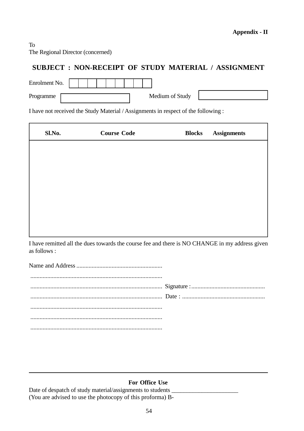### To The Regional Director (concerned)

## **SUBJECT : NON-RECEIPT OF STUDY MATERIAL / ASSIGNMENT**

| Enrolment No. |  |                 |  |
|---------------|--|-----------------|--|
| Programme     |  | Medium of Study |  |

I have not received the Study Material / Assignments in respect of the following :

| Sl.No. | <b>Course Code</b> | <b>Blocks</b> | <b>Assignments</b> |
|--------|--------------------|---------------|--------------------|
|        |                    |               |                    |
|        |                    |               |                    |
|        |                    |               |                    |
|        |                    |               |                    |
|        |                    |               |                    |
|        |                    |               |                    |

I have remitted all the dues towards the course fee and there is NO CHANGE in my address given as follows :

### **For Office Use**

Date of despatch of study material/assignments to students (You are advised to use the photocopy of this proforma) B-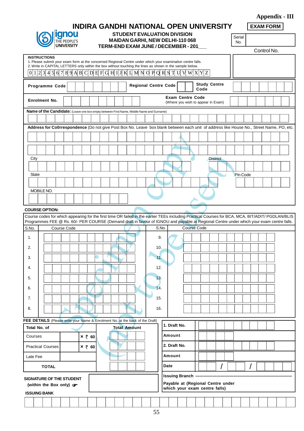|                                                                                                                                                                                                                                                                                               |                                                                                                                                                                                                                                                                                                                          |  |  |             |  |  | INDIRA GANDHI NATIONAL OPEN UNIVERSITY                                                                                                   |  |  |               |  |                             |                                                               |  |                             |                 |  |          | <b>EXAM FORM</b> | xx |  |  |
|-----------------------------------------------------------------------------------------------------------------------------------------------------------------------------------------------------------------------------------------------------------------------------------------------|--------------------------------------------------------------------------------------------------------------------------------------------------------------------------------------------------------------------------------------------------------------------------------------------------------------------------|--|--|-------------|--|--|------------------------------------------------------------------------------------------------------------------------------------------|--|--|---------------|--|-----------------------------|---------------------------------------------------------------|--|-----------------------------|-----------------|--|----------|------------------|----|--|--|
|                                                                                                                                                                                                                                                                                               | anou<br><b>STUDENT EVALUATION DIVISION</b><br><b>MAIDAN GARHI, NEW DELHI-110 068</b><br>he people's<br><b>JNIVERSITY</b><br>TERM-END EXAM JUNE / DECEMBER - 201                                                                                                                                                          |  |  |             |  |  |                                                                                                                                          |  |  | Serial<br>No. |  |                             |                                                               |  |                             |                 |  |          |                  |    |  |  |
|                                                                                                                                                                                                                                                                                               |                                                                                                                                                                                                                                                                                                                          |  |  |             |  |  |                                                                                                                                          |  |  |               |  |                             |                                                               |  | Control No.                 |                 |  |          |                  |    |  |  |
| $\Omega$                                                                                                                                                                                                                                                                                      | <b>INSTRUCTIONS</b><br>1. Please submit your exam form at the concerned Regional Centre under which your examination centre falls.<br>2. Write in CAPITAL LETTERS only within the box without touching the lines as shown in the sample below.<br>$6789A B C D E F G H I J K L M N G P O R S T U V W X Y Z$<br>1 2 3 4 5 |  |  |             |  |  |                                                                                                                                          |  |  |               |  |                             |                                                               |  |                             |                 |  |          |                  |    |  |  |
| <b>Programme Code</b>                                                                                                                                                                                                                                                                         |                                                                                                                                                                                                                                                                                                                          |  |  |             |  |  |                                                                                                                                          |  |  |               |  | <b>Regional Centre Code</b> |                                                               |  | <b>Study Centre</b><br>Code |                 |  |          |                  |    |  |  |
| <b>Enrolment No.</b>                                                                                                                                                                                                                                                                          |                                                                                                                                                                                                                                                                                                                          |  |  |             |  |  |                                                                                                                                          |  |  |               |  |                             | <b>Exam Centre Code</b><br>(Where you wish to appear in Exam) |  |                             |                 |  |          |                  |    |  |  |
| Name of the Candidate: (Leave one box empty between First Name, Middle Name and Surname)                                                                                                                                                                                                      |                                                                                                                                                                                                                                                                                                                          |  |  |             |  |  |                                                                                                                                          |  |  |               |  |                             |                                                               |  |                             |                 |  |          |                  |    |  |  |
|                                                                                                                                                                                                                                                                                               |                                                                                                                                                                                                                                                                                                                          |  |  |             |  |  |                                                                                                                                          |  |  |               |  |                             |                                                               |  |                             |                 |  |          |                  |    |  |  |
|                                                                                                                                                                                                                                                                                               |                                                                                                                                                                                                                                                                                                                          |  |  |             |  |  | Address for Co0rrespondence (Do not give Post Box No. Leave box blank between each unit of address like House No., Street Name, PO, etc. |  |  |               |  |                             |                                                               |  |                             |                 |  |          |                  |    |  |  |
|                                                                                                                                                                                                                                                                                               |                                                                                                                                                                                                                                                                                                                          |  |  |             |  |  |                                                                                                                                          |  |  |               |  |                             |                                                               |  |                             |                 |  |          |                  |    |  |  |
|                                                                                                                                                                                                                                                                                               |                                                                                                                                                                                                                                                                                                                          |  |  |             |  |  |                                                                                                                                          |  |  |               |  |                             |                                                               |  |                             |                 |  |          |                  |    |  |  |
| City                                                                                                                                                                                                                                                                                          |                                                                                                                                                                                                                                                                                                                          |  |  |             |  |  |                                                                                                                                          |  |  |               |  |                             |                                                               |  |                             | <b>District</b> |  |          |                  |    |  |  |
|                                                                                                                                                                                                                                                                                               |                                                                                                                                                                                                                                                                                                                          |  |  |             |  |  |                                                                                                                                          |  |  |               |  |                             |                                                               |  |                             |                 |  |          |                  |    |  |  |
| <b>State</b>                                                                                                                                                                                                                                                                                  |                                                                                                                                                                                                                                                                                                                          |  |  |             |  |  |                                                                                                                                          |  |  |               |  |                             |                                                               |  |                             |                 |  | Pin Code |                  |    |  |  |
|                                                                                                                                                                                                                                                                                               |                                                                                                                                                                                                                                                                                                                          |  |  |             |  |  |                                                                                                                                          |  |  |               |  |                             |                                                               |  |                             |                 |  |          |                  |    |  |  |
| MOBILE NO.                                                                                                                                                                                                                                                                                    |                                                                                                                                                                                                                                                                                                                          |  |  |             |  |  |                                                                                                                                          |  |  |               |  |                             |                                                               |  |                             |                 |  |          |                  |    |  |  |
|                                                                                                                                                                                                                                                                                               |                                                                                                                                                                                                                                                                                                                          |  |  |             |  |  |                                                                                                                                          |  |  |               |  |                             |                                                               |  |                             |                 |  |          |                  |    |  |  |
| <b>COURSE OPTION:</b>                                                                                                                                                                                                                                                                         |                                                                                                                                                                                                                                                                                                                          |  |  |             |  |  |                                                                                                                                          |  |  |               |  |                             |                                                               |  |                             |                 |  |          |                  |    |  |  |
| Course codes for which appearing for the first time OR failed in the earlier TEEs including Practical Courses for BCA, MCA, BIT/ADIT/ PGDLAN/BLIS<br>Programmes FEE @ Rs. 60/- PER COURSE (Demand draft in favour of IGNOU and payable at Regional Centre under which your exam centre falls. |                                                                                                                                                                                                                                                                                                                          |  |  |             |  |  |                                                                                                                                          |  |  |               |  |                             |                                                               |  |                             |                 |  |          |                  |    |  |  |
| S.No.                                                                                                                                                                                                                                                                                         |                                                                                                                                                                                                                                                                                                                          |  |  | Course Code |  |  |                                                                                                                                          |  |  |               |  | S.No.                       |                                                               |  | Course Code                 |                 |  |          |                  |    |  |  |
| 1.                                                                                                                                                                                                                                                                                            |                                                                                                                                                                                                                                                                                                                          |  |  |             |  |  |                                                                                                                                          |  |  |               |  | 9.                          |                                                               |  |                             |                 |  |          |                  |    |  |  |

| л. |                 | ັນ. |  |
|----|-----------------|-----|--|
| 2. |                 | 10. |  |
| 3. |                 | 11. |  |
| 4. |                 | 12. |  |
| 5. |                 | 13. |  |
| 6. |                 | 14. |  |
| 7. | - -<br>.<br>. . | 15. |  |
| 8. |                 | 16. |  |
|    |                 |     |  |

|                                                                        |                     | FEE DETAILS (Please write your Name & Enrolment No. at the back of the Draft) |                                                                                             |  |  |  |  |  |  |  |  |  |  |
|------------------------------------------------------------------------|---------------------|-------------------------------------------------------------------------------|---------------------------------------------------------------------------------------------|--|--|--|--|--|--|--|--|--|--|
| Total No. of                                                           |                     | <b>Total Amount</b>                                                           | 1. Draft No.                                                                                |  |  |  |  |  |  |  |  |  |  |
| Courses                                                                | $\times$ ₹ 60       |                                                                               | Amount                                                                                      |  |  |  |  |  |  |  |  |  |  |
| <b>Practical Courses</b>                                               | $\times \bar{z}$ 60 |                                                                               | 2. Draft No.                                                                                |  |  |  |  |  |  |  |  |  |  |
| Late Fee                                                               |                     |                                                                               | Amount                                                                                      |  |  |  |  |  |  |  |  |  |  |
| <b>TOTAL</b>                                                           |                     |                                                                               | Date                                                                                        |  |  |  |  |  |  |  |  |  |  |
| <b>SIGNATURE OF THE STUDENT</b><br>(within the Box only) $\mathcal{F}$ |                     |                                                                               | <b>Issuing Branch</b><br>Payable at (Regional Centre under<br>which your exam centre falls) |  |  |  |  |  |  |  |  |  |  |
| <b>ISSUING BANK</b>                                                    |                     |                                                                               |                                                                                             |  |  |  |  |  |  |  |  |  |  |
|                                                                        |                     |                                                                               |                                                                                             |  |  |  |  |  |  |  |  |  |  |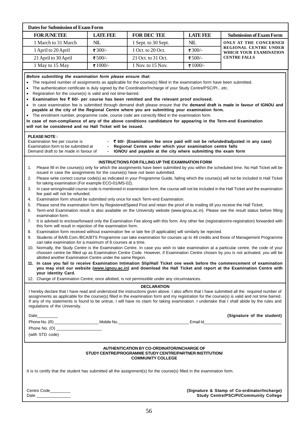| <b>FOR JUNETEE</b><br>1 March to 31 March                                                                                                                                                                                                                                                                                                                                                                                                                                                                                                                                                                                                                                                                                                                                                                                                                                                                                                                                                                | <b>LATE FEE</b>                                                                                                                                                                                                                                                                                                                                                                                                                                                                                                                                                                                                                                                                                                                                                                                                                                                                                                                                                                                                                                                                                                                                                                                                                                                                                                                                                                                                                                                                                                                                                                                                                                                                                                                                                                                                                                                                                                                                                                                                                                                                                                                                                                                                  | <b>FOR DEC TEE</b>  |            |                                                                                              |  |  |  |  |  |  |  |
|----------------------------------------------------------------------------------------------------------------------------------------------------------------------------------------------------------------------------------------------------------------------------------------------------------------------------------------------------------------------------------------------------------------------------------------------------------------------------------------------------------------------------------------------------------------------------------------------------------------------------------------------------------------------------------------------------------------------------------------------------------------------------------------------------------------------------------------------------------------------------------------------------------------------------------------------------------------------------------------------------------|------------------------------------------------------------------------------------------------------------------------------------------------------------------------------------------------------------------------------------------------------------------------------------------------------------------------------------------------------------------------------------------------------------------------------------------------------------------------------------------------------------------------------------------------------------------------------------------------------------------------------------------------------------------------------------------------------------------------------------------------------------------------------------------------------------------------------------------------------------------------------------------------------------------------------------------------------------------------------------------------------------------------------------------------------------------------------------------------------------------------------------------------------------------------------------------------------------------------------------------------------------------------------------------------------------------------------------------------------------------------------------------------------------------------------------------------------------------------------------------------------------------------------------------------------------------------------------------------------------------------------------------------------------------------------------------------------------------------------------------------------------------------------------------------------------------------------------------------------------------------------------------------------------------------------------------------------------------------------------------------------------------------------------------------------------------------------------------------------------------------------------------------------------------------------------------------------------------|---------------------|------------|----------------------------------------------------------------------------------------------|--|--|--|--|--|--|--|
|                                                                                                                                                                                                                                                                                                                                                                                                                                                                                                                                                                                                                                                                                                                                                                                                                                                                                                                                                                                                          |                                                                                                                                                                                                                                                                                                                                                                                                                                                                                                                                                                                                                                                                                                                                                                                                                                                                                                                                                                                                                                                                                                                                                                                                                                                                                                                                                                                                                                                                                                                                                                                                                                                                                                                                                                                                                                                                                                                                                                                                                                                                                                                                                                                                                  |                     | LATE 58    | <b>Submission of Exam Form</b>                                                               |  |  |  |  |  |  |  |
|                                                                                                                                                                                                                                                                                                                                                                                                                                                                                                                                                                                                                                                                                                                                                                                                                                                                                                                                                                                                          | NIL                                                                                                                                                                                                                                                                                                                                                                                                                                                                                                                                                                                                                                                                                                                                                                                                                                                                                                                                                                                                                                                                                                                                                                                                                                                                                                                                                                                                                                                                                                                                                                                                                                                                                                                                                                                                                                                                                                                                                                                                                                                                                                                                                                                                              | 1 Sept. to 30 Sept. | <b>NIL</b> | ONLY AT THE CONCERNED                                                                        |  |  |  |  |  |  |  |
| 1 April to 20 April                                                                                                                                                                                                                                                                                                                                                                                                                                                                                                                                                                                                                                                                                                                                                                                                                                                                                                                                                                                      | ₹300/-                                                                                                                                                                                                                                                                                                                                                                                                                                                                                                                                                                                                                                                                                                                                                                                                                                                                                                                                                                                                                                                                                                                                                                                                                                                                                                                                                                                                                                                                                                                                                                                                                                                                                                                                                                                                                                                                                                                                                                                                                                                                                                                                                                                                           | 1 Oct. to 20 Oct.   | ₹300/-     | <b>REGIONAL CENTRE UNDER</b><br>WHICH YOUR EXAMINATION                                       |  |  |  |  |  |  |  |
| 21 April to 30 April                                                                                                                                                                                                                                                                                                                                                                                                                                                                                                                                                                                                                                                                                                                                                                                                                                                                                                                                                                                     | ₹500/-                                                                                                                                                                                                                                                                                                                                                                                                                                                                                                                                                                                                                                                                                                                                                                                                                                                                                                                                                                                                                                                                                                                                                                                                                                                                                                                                                                                                                                                                                                                                                                                                                                                                                                                                                                                                                                                                                                                                                                                                                                                                                                                                                                                                           | 21 Oct. to 31 Oct.  | ₹500/-     | <b>CENTRE FALLS</b>                                                                          |  |  |  |  |  |  |  |
| 1 May to 15 May                                                                                                                                                                                                                                                                                                                                                                                                                                                                                                                                                                                                                                                                                                                                                                                                                                                                                                                                                                                          | ₹1000/-                                                                                                                                                                                                                                                                                                                                                                                                                                                                                                                                                                                                                                                                                                                                                                                                                                                                                                                                                                                                                                                                                                                                                                                                                                                                                                                                                                                                                                                                                                                                                                                                                                                                                                                                                                                                                                                                                                                                                                                                                                                                                                                                                                                                          | 1 Nov. to 15 Nov.   | ₹1000/-    |                                                                                              |  |  |  |  |  |  |  |
| Before submitting the examination form please ensure that:<br>The required number of assignments as applicable for the course(s) filled in the examination form have been submitted.<br>$\bullet$<br>The authentication certificate is duly signed by the Coordinator/Incharge of your Study Centre/PSC/PIetc.<br>$\bullet$<br>Registration for the course(s) is valid and not time-barred.<br>Examination fee ₹ 60/- per course has been remitted and the relevant proof enclosed.<br>In case examination fee is submitted through demand draft please ensure that the demand draft is made in favour of IGNOU and<br>payable at the city of the Regional Centre where you are submitting your examination form.<br>The enrolment number, programme code, course code are correctly filled in the examination form.<br>٠<br>In case of non-compliance of any of the above conditions candidature for appearing in the Term-end Examination<br>will not be considered and no Hall Ticket will be issued. |                                                                                                                                                                                                                                                                                                                                                                                                                                                                                                                                                                                                                                                                                                                                                                                                                                                                                                                                                                                                                                                                                                                                                                                                                                                                                                                                                                                                                                                                                                                                                                                                                                                                                                                                                                                                                                                                                                                                                                                                                                                                                                                                                                                                                  |                     |            |                                                                                              |  |  |  |  |  |  |  |
| <b>PLEASE NOTE:</b><br>Examination fee per course is                                                                                                                                                                                                                                                                                                                                                                                                                                                                                                                                                                                                                                                                                                                                                                                                                                                                                                                                                     | ₹ 60/- (Examination fee once paid will not be refunded/adjusted in any case)<br>Examination form to be submitted at<br>Regional Centre under which your examination centre falls<br>Demand draft to be made in favour of<br>IGNOU and payable at the city where submitting the exam form                                                                                                                                                                                                                                                                                                                                                                                                                                                                                                                                                                                                                                                                                                                                                                                                                                                                                                                                                                                                                                                                                                                                                                                                                                                                                                                                                                                                                                                                                                                                                                                                                                                                                                                                                                                                                                                                                                                         |                     |            |                                                                                              |  |  |  |  |  |  |  |
| 1.<br>2.<br>3.<br>fee paid will not be refunded.<br>4.<br>5.<br>6.<br>examination form.<br>7.<br>8.<br>9.<br>your Identity Card.                                                                                                                                                                                                                                                                                                                                                                                                                                                                                                                                                                                                                                                                                                                                                                                                                                                                         | INSTRUCTIONS FOR FILLING UP THE EXAMINATION FORM<br>Please fill in the course(s) only for which the assignments have been submitted by you within the scheduled time. No Hall Ticket will be<br>issued in case the assignments for the course(s) have not been submitted.<br>Please write correct course code(s) as indicated in your Programme Guide, failing which the course(s) will not be included in Hall Ticket<br>for taking examination (For example ECO-01/MS-02).<br>In case wrong/invalid course code is mentioned in examination form, the course will not be included in the Hall Ticket and the examination<br>Examination form should be submitted only once for each Term-end Examination.<br>Please send the examination form by Registered/Speed Post and retain the proof of its mailing till you receive the Hall Ticket;<br>Term-end Examination result is also available on the University website (www.ignou.ac.in). Please see the result status before filling<br>It is advised to enclose/forward only the Examination Fee along with this form. Any other fee (registration/re-registration) forwarded with<br>this form will result in rejection of the examination form.<br>Examination form received without examination fee or late fee (if applicable) will similarly be rejected.<br>Students of BA/B.Com./BCA/BTS Programme can take examination for courses up to 48 credits and those of Management Programme<br>can take examination for a maximum of 8 courses at a time.<br>10. Normally, the Study Centre is the Examination Centre. In case you wish to take examination at a particular centre, the code of your<br>choosen centre be filled up as Examination Centre Code. However, if Examination Centre chosen by you is not activated, you will be<br>allotted another Examination Centre under the same Region.<br>11. In case you fail to receive Examination Intimation Slip/Hall Ticket one week before the commencement of examination<br>you may visit our website (www.ignou.ac.in) and download the Hall Ticket and report at the Examination Centre with<br>12. Change of Examination Centre, once allotted, is not permissible under any circumstances. |                     |            |                                                                                              |  |  |  |  |  |  |  |
| regulations of the University.<br>Date_________                                                                                                                                                                                                                                                                                                                                                                                                                                                                                                                                                                                                                                                                                                                                                                                                                                                                                                                                                          | <b>DECLARATION</b><br>I hereby declare that I have read and understood the instructions given above. I also affirm that I have submitted all the required number of<br>assignments as applicable for the course(s) filled in the examination form and my registration for the course(s) is valid and not time barred.<br>If any of my statements is found to be untrue, I will have no claim for taking examination. I undertake that I shall abide by the rules and                                                                                                                                                                                                                                                                                                                                                                                                                                                                                                                                                                                                                                                                                                                                                                                                                                                                                                                                                                                                                                                                                                                                                                                                                                                                                                                                                                                                                                                                                                                                                                                                                                                                                                                                             |                     |            |                                                                                              |  |  |  |  |  |  |  |
|                                                                                                                                                                                                                                                                                                                                                                                                                                                                                                                                                                                                                                                                                                                                                                                                                                                                                                                                                                                                          |                                                                                                                                                                                                                                                                                                                                                                                                                                                                                                                                                                                                                                                                                                                                                                                                                                                                                                                                                                                                                                                                                                                                                                                                                                                                                                                                                                                                                                                                                                                                                                                                                                                                                                                                                                                                                                                                                                                                                                                                                                                                                                                                                                                                                  |                     |            | (Signature of the student)                                                                   |  |  |  |  |  |  |  |
| (with STD code)                                                                                                                                                                                                                                                                                                                                                                                                                                                                                                                                                                                                                                                                                                                                                                                                                                                                                                                                                                                          |                                                                                                                                                                                                                                                                                                                                                                                                                                                                                                                                                                                                                                                                                                                                                                                                                                                                                                                                                                                                                                                                                                                                                                                                                                                                                                                                                                                                                                                                                                                                                                                                                                                                                                                                                                                                                                                                                                                                                                                                                                                                                                                                                                                                                  |                     |            |                                                                                              |  |  |  |  |  |  |  |
|                                                                                                                                                                                                                                                                                                                                                                                                                                                                                                                                                                                                                                                                                                                                                                                                                                                                                                                                                                                                          | AUTHENTICATION BY CO-ORDINATOR/INCHARGE OF<br>STUDY CENTRE/PROGRAMME STUDY CENTRE/PARTNER INSTITUTION/<br><b>COMMUNITY COLLEGE</b>                                                                                                                                                                                                                                                                                                                                                                                                                                                                                                                                                                                                                                                                                                                                                                                                                                                                                                                                                                                                                                                                                                                                                                                                                                                                                                                                                                                                                                                                                                                                                                                                                                                                                                                                                                                                                                                                                                                                                                                                                                                                               |                     |            |                                                                                              |  |  |  |  |  |  |  |
| It is to certify that the student has submitted all the assignment(s) for the course(s) filled in the examination form.                                                                                                                                                                                                                                                                                                                                                                                                                                                                                                                                                                                                                                                                                                                                                                                                                                                                                  |                                                                                                                                                                                                                                                                                                                                                                                                                                                                                                                                                                                                                                                                                                                                                                                                                                                                                                                                                                                                                                                                                                                                                                                                                                                                                                                                                                                                                                                                                                                                                                                                                                                                                                                                                                                                                                                                                                                                                                                                                                                                                                                                                                                                                  |                     |            |                                                                                              |  |  |  |  |  |  |  |
|                                                                                                                                                                                                                                                                                                                                                                                                                                                                                                                                                                                                                                                                                                                                                                                                                                                                                                                                                                                                          |                                                                                                                                                                                                                                                                                                                                                                                                                                                                                                                                                                                                                                                                                                                                                                                                                                                                                                                                                                                                                                                                                                                                                                                                                                                                                                                                                                                                                                                                                                                                                                                                                                                                                                                                                                                                                                                                                                                                                                                                                                                                                                                                                                                                                  |                     |            | (Signature & Stamp of Co-ordinator/Incharge)<br><b>Study Centre/PSC/PI/Community College</b> |  |  |  |  |  |  |  |
|                                                                                                                                                                                                                                                                                                                                                                                                                                                                                                                                                                                                                                                                                                                                                                                                                                                                                                                                                                                                          |                                                                                                                                                                                                                                                                                                                                                                                                                                                                                                                                                                                                                                                                                                                                                                                                                                                                                                                                                                                                                                                                                                                                                                                                                                                                                                                                                                                                                                                                                                                                                                                                                                                                                                                                                                                                                                                                                                                                                                                                                                                                                                                                                                                                                  |                     |            |                                                                                              |  |  |  |  |  |  |  |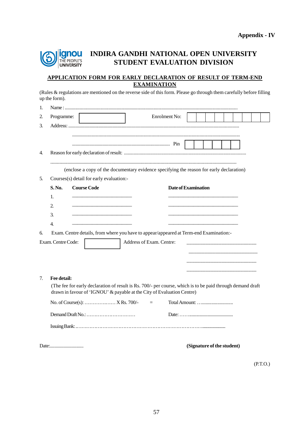

## **INDIRA GANDHI NATIONAL OPEN UNIVERSITY STUDENT EVALUATION DIVISION**

#### **APPLICATION FORM FOR EARLY DECLARATION OF RESULT OF TERM-END EXAMINATION**

(Rules & regulations are mentioned on the reverse side of this form. Please go through them carefully before filling up the form).

| 1. |                    |                                                                                                                                                                                      |                          |               |                     |  |                            |  |
|----|--------------------|--------------------------------------------------------------------------------------------------------------------------------------------------------------------------------------|--------------------------|---------------|---------------------|--|----------------------------|--|
| 2. | Programme:         |                                                                                                                                                                                      |                          | Enrolment No: |                     |  |                            |  |
| 3. |                    |                                                                                                                                                                                      |                          |               |                     |  |                            |  |
|    |                    |                                                                                                                                                                                      |                          |               |                     |  |                            |  |
|    |                    |                                                                                                                                                                                      |                          |               |                     |  |                            |  |
| 4. |                    |                                                                                                                                                                                      |                          |               |                     |  |                            |  |
|    |                    | (enclose a copy of the documentary evidence specifying the reason for early declaration)                                                                                             |                          |               |                     |  |                            |  |
| 5. |                    | Courses(s) detail for early evaluation:-                                                                                                                                             |                          |               |                     |  |                            |  |
|    | S. No.             | <b>Course Code</b>                                                                                                                                                                   |                          |               | Date of Examination |  |                            |  |
|    | $\mathbf{1}$ .     |                                                                                                                                                                                      |                          |               |                     |  |                            |  |
|    | 2.                 |                                                                                                                                                                                      |                          |               |                     |  |                            |  |
|    | 3.                 | the control of the control of the control of the                                                                                                                                     |                          |               |                     |  |                            |  |
|    | 4.                 |                                                                                                                                                                                      |                          |               |                     |  |                            |  |
| 6. |                    | Exam. Centre details, from where you have to appear/appeared at Term-end Examination:-                                                                                               |                          |               |                     |  |                            |  |
|    | Exam. Centre Code: |                                                                                                                                                                                      | Address of Exam. Centre: |               |                     |  |                            |  |
|    |                    |                                                                                                                                                                                      |                          |               |                     |  |                            |  |
|    |                    |                                                                                                                                                                                      |                          |               |                     |  |                            |  |
|    |                    |                                                                                                                                                                                      |                          |               |                     |  |                            |  |
| 7. | Fee detail:        |                                                                                                                                                                                      |                          |               |                     |  |                            |  |
|    |                    | (The fee for early declaration of result is Rs. 700/- per course, which is to be paid through demand draft<br>drawn in favour of 'IGNOU' & payable at the City of Evaluation Centre) |                          |               |                     |  |                            |  |
|    |                    | No. of Course(s):  X Rs. 700/-                                                                                                                                                       |                          | $=$           |                     |  |                            |  |
|    |                    |                                                                                                                                                                                      |                          |               |                     |  |                            |  |
|    |                    |                                                                                                                                                                                      |                          |               |                     |  |                            |  |
|    |                    |                                                                                                                                                                                      |                          |               |                     |  | (Signature of the student) |  |
|    |                    |                                                                                                                                                                                      |                          |               |                     |  |                            |  |

(P.T.O.)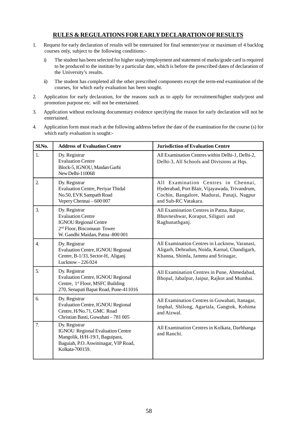#### **RULES & REGULATIONS FOR EARLY DECLARATION OFRESULTS**

- 1. Request for early declaration of results will be entertained for final semester/year or maximum of 4 backlog courses only, subject to the following conditions:
	- i) The student has been selected for higher study/employment and statement of marks/grade card is required to be produced to the institute by a particular date, which is before the prescribed dates of declaration of the University's results.
	- ii) The student has completed all the other prescribed components except the term-end examination of the courses, for which early evaluation has been sought.
- 2. Application for early declaration, for the reasons such as to apply for recruitment/higher study/post and promotion purpose etc. will not be entertained.
- 3. Application without enclosing documentary evidence specifying the reason for early declaration will not be entertained.
- 4. Application form must reach at the following address before the date of the examination for the course (s) for which early evaluation is sought:-

| Sl.No.           | <b>Address of Evaluation Centre</b>                                                                                                                      | <b>Jurisdiction of Evaluation Centre</b>                                                                                                                    |
|------------------|----------------------------------------------------------------------------------------------------------------------------------------------------------|-------------------------------------------------------------------------------------------------------------------------------------------------------------|
| 1.               | Dy. Registrar<br><b>Evaluation Centre</b><br>Block-5, IGNOU, Maidan Garhi<br>New Delhi-110068                                                            | All Examination Centres within Delhi-1, Delhi-2,<br>Delhi-3, All Schools and Divisions at Hqs.                                                              |
| $\overline{2}$   | Dy. Registrar<br><b>Evaluation Centre, Periyar Thidal</b><br>No.50, EVK Sampath Road<br>Vepery Chennai - 600 007                                         | All Examination Centres in Chennai,<br>Hyderabad, Port Blair, Vijayawada, Trivandrum,<br>Cochin, Bangalore, Madurai, Panaji, Nagpur<br>and Sub-RC Vatakara. |
| 3.               | Dy. Registrar<br><b>Evaluation Centre</b><br><b>IGNOU Regional Centre</b><br>2 <sup>nd</sup> Floor, Biscomaun Tower<br>W. Gandhi Maidan, Patna - 800 001 | All Examination Centres in Patna, Raipur,<br>Bhuvneshwar, Koraput, Siliguri and<br>Raghunathganj.                                                           |
| $\overline{4}$ . | Dy. Registrar<br><b>Evaluation Centre, IGNOU Regional</b><br>Centre, B-1/33, Sector-H, Aliganj<br>Lucknow-226024                                         | All Examination Centres in Lucknow, Varanasi,<br>Aligarh, Dehradun, Noida, Karnal, Chandigarh,<br>Khanna, Shimla, Jammu and Srinagar,                       |
| 5.               | Dy. Registrar<br><b>Evaluation Centre, IGNOU Regional</b><br>Centre, 1st Floor, MSFC Building<br>270, Senapati Bapat Road, Pune-411016                   | All Examination Centres in Pune, Ahmedabad,<br>Bhopal, Jabalpur, Jaipur, Rajkot and Mumbai.                                                                 |
| 6.               | Dy. Registrar<br><b>Evaluation Centre, IGNOU Regional</b><br>Centre, H/No.71, GMC Road<br>Christian Basti, Guwahati - 781 005                            | All Examination Centres in Guwahati, Itanagar,<br>Imphal, Shilong, Agartala, Gangtok, Kohima<br>and Aizwal.                                                 |
| 7.               | Dy. Registrar<br><b>IGNOU Regional Evaluation Centre</b><br>Mangolik, H/H-19/1, Baguipara,<br>Baguiah, P.O. Aswininagar, VIP Road,<br>Kolkata-700159.    | All Examination Centres in Kolkata, Darbhanga<br>and Ranchi.                                                                                                |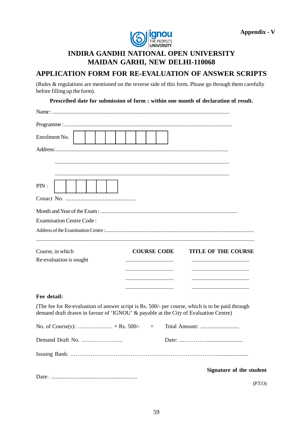

## **INDIRA GANDHI NATIONAL OPEN UNIVERSITY MAIDAN GARHI, NEW DELHI-110068**

### APPLICATION FORM FOR RE-EVALUATION OF ANSWER SCRIPTS

(Rules & regulations are mentioned on the reverse side of this form. Please go through them carefully before filling up the form).

Prescribed date for submission of form : within one month of declaration of result.

| Enrolment No.                                                                                                                                                                           |  |  |  |  |          |                    |  |  |  |                            |                          |
|-----------------------------------------------------------------------------------------------------------------------------------------------------------------------------------------|--|--|--|--|----------|--------------------|--|--|--|----------------------------|--------------------------|
|                                                                                                                                                                                         |  |  |  |  |          |                    |  |  |  |                            |                          |
|                                                                                                                                                                                         |  |  |  |  |          |                    |  |  |  |                            |                          |
|                                                                                                                                                                                         |  |  |  |  |          |                    |  |  |  |                            |                          |
| PIN:                                                                                                                                                                                    |  |  |  |  |          |                    |  |  |  |                            |                          |
|                                                                                                                                                                                         |  |  |  |  |          |                    |  |  |  |                            |                          |
|                                                                                                                                                                                         |  |  |  |  |          |                    |  |  |  |                            |                          |
| <b>Examination Centre Code:</b>                                                                                                                                                         |  |  |  |  |          |                    |  |  |  |                            |                          |
|                                                                                                                                                                                         |  |  |  |  |          |                    |  |  |  |                            |                          |
|                                                                                                                                                                                         |  |  |  |  |          |                    |  |  |  |                            |                          |
| Course, in which                                                                                                                                                                        |  |  |  |  |          | <b>COURSE CODE</b> |  |  |  | <b>TITLE OF THE COURSE</b> |                          |
| Re-evaluation is sought                                                                                                                                                                 |  |  |  |  |          |                    |  |  |  |                            |                          |
|                                                                                                                                                                                         |  |  |  |  |          |                    |  |  |  |                            |                          |
|                                                                                                                                                                                         |  |  |  |  |          |                    |  |  |  |                            |                          |
| Fee detail:                                                                                                                                                                             |  |  |  |  |          |                    |  |  |  |                            |                          |
| (The fee for Re-evaluation of answer script is Rs. 500/- per course, which is to be paid through<br>demand draft drawn in favour of 'IGNOU' & payable at the City of Evaluation Centre) |  |  |  |  |          |                    |  |  |  |                            |                          |
| No. of Course(s): $\times$ Rs. 500/-                                                                                                                                                    |  |  |  |  | $\equiv$ |                    |  |  |  |                            |                          |
| Demand Draft No.                                                                                                                                                                        |  |  |  |  |          |                    |  |  |  |                            |                          |
|                                                                                                                                                                                         |  |  |  |  |          |                    |  |  |  |                            |                          |
|                                                                                                                                                                                         |  |  |  |  |          |                    |  |  |  |                            | Signature of the student |
|                                                                                                                                                                                         |  |  |  |  |          |                    |  |  |  |                            |                          |

 $(P.T.O)$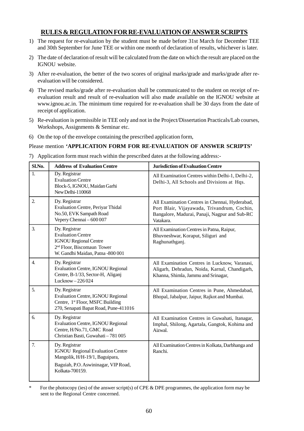### **RULES & REGULATION FOR RE-EVALUATION OFANSWER SCRIPTS**

- 1) The request for re-evaluation by the student must be made before 31st March for December TEE and 30th September for June TEE or within one month of declaration of results, whichever is later.
- 2) The date of declaration of result will be calculated from the date on which the result are placed on the IGNOU website.
- 3) After re-evaluation, the better of the two scores of original marks/grade and marks/grade after reevaluation will be considered.
- 4) The revised marks/grade after re-evaluation shall be communicated to the student on receipt of reevaluation result and result of re-evaluation will also made available on the IGNOU website at www.ignou.ac.in. The minimum time required for re-evaluation shall be 30 days from the date of receipt of application.
- 5) Re-evaluation is permissible in TEE only and not in the Project/Dissertation Practicals/Lab courses, Workshops, Assignments & Seminar etc.
- 6) On the top of the envelope containing the prescribed application form,

#### Please mention **'APPLICATION FORM FOR RE-EVALUATION OF ANSWER SCRIPTS'**

7) Application form must reach within the prescribed dates at the following address:-

| Sl.No.           | <b>Address of Evaluation Centre</b>                                                                                                                     | <b>Jurisdiction of Evaluation Centre</b>                                                                                                                    |  |  |  |  |  |  |
|------------------|---------------------------------------------------------------------------------------------------------------------------------------------------------|-------------------------------------------------------------------------------------------------------------------------------------------------------------|--|--|--|--|--|--|
| 1.               | Dy. Registrar<br><b>Evaluation Centre</b><br>Block-5, IGNOU, Maidan Garhi<br>New Delhi-110068                                                           | All Examination Centres within Delhi-1, Delhi-2,<br>Delhi-3, All Schools and Divisions at Hqs.                                                              |  |  |  |  |  |  |
| 2.               | Dy. Registrar<br>Evaluation Centre, Periyar Thidal<br>No.50, EVK Sampath Road<br>Vepery Chennai - 600 007                                               | All Examination Centres in Chennai, Hyderabad,<br>Port Blair, Vijayawada, Trivandrum, Cochin,<br>Bangalore, Madurai, Panaji, Nagpur and Sub-RC<br>Vatakara. |  |  |  |  |  |  |
| $\overline{3}$ . | Dy. Registrar<br><b>Evaluation Centre</b><br><b>IGNOU Regional Centre</b><br>2 <sup>nd</sup> Floor, Biscomaun Tower<br>W. Gandhi Maidan, Patna -800 001 | All Examination Centres in Patna, Raipur,<br>Bhuvneshwar, Koraput, Siliguri and<br>Raghunathganj.                                                           |  |  |  |  |  |  |
| $\overline{4}$ . | Dy. Registrar<br><b>Evaluation Centre, IGNOU Regional</b><br>Centre, B-1/33, Sector-H, Aliganj<br>Lucknow-226024                                        | All Examination Centres in Lucknow, Varanasi,<br>Aligarh, Dehradun, Noida, Karnal, Chandigarh,<br>Khanna, Shimla, Jammu and Srinagar,                       |  |  |  |  |  |  |
| 5.               | Dy. Registrar<br><b>Evaluation Centre, IGNOU Regional</b><br>Centre, 1st Floor, MSFC Building<br>270, Senapati Bapat Road, Pune-411016                  | All Examination Centres in Pune, Ahmedabad,<br>Bhopal, Jabalpur, Jaipur, Rajkot and Mumbai.                                                                 |  |  |  |  |  |  |
| 6.               | Dy. Registrar<br><b>Evaluation Centre, IGNOU Regional</b><br>Centre, H/No.71, GMC Road<br>Christian Basti, Guwahati - 781 005                           | All Examination Centres in Guwahati, Itanagar,<br>Imphal, Shilong, Agartala, Gangtok, Kohima and<br>Aizwal.                                                 |  |  |  |  |  |  |
| 7.               | Dy. Registrar<br><b>IGNOU Regional Evaluation Centre</b><br>Mangolik, H/H-19/1, Baguipara,<br>Baguiah, P.O. Aswininagar, VIP Road,<br>Kolkata-700159.   | All Examination Centres in Kolkata, Darbhanga and<br>Ranchi.                                                                                                |  |  |  |  |  |  |

For the photocopy (ies) of the answer script(s) of CPE & DPE programmes, the application form may be sent to the Regional Centre concerned.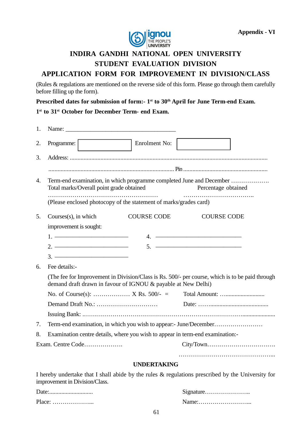

## **INDIRA GANDHI NATIONAL OPEN UNIVERSITY STUDENT EVALUATION DIVISION APPLICATION FORM FOR IMPROVEMENT IN DIVISION/CLASS**

(Rules & regulations are mentioned on the reverse side of this form. Please go through them carefully before filling up the form).

**Prescribed dates for submission of form:- 1st to 30th April for June Term-end Exam.**

**1 st to 31st October for December Term- end Exam.**

| 1. |                                                | Name: Name:                                                                                                                                                                                                                                                                                                            |                                                                   |                                                                                                      |
|----|------------------------------------------------|------------------------------------------------------------------------------------------------------------------------------------------------------------------------------------------------------------------------------------------------------------------------------------------------------------------------|-------------------------------------------------------------------|------------------------------------------------------------------------------------------------------|
| 2. | Programme:                                     |                                                                                                                                                                                                                                                                                                                        | Enrolment No:                                                     |                                                                                                      |
| 3. |                                                |                                                                                                                                                                                                                                                                                                                        |                                                                   |                                                                                                      |
|    |                                                |                                                                                                                                                                                                                                                                                                                        |                                                                   |                                                                                                      |
| 4. |                                                | Total marks/Overall point grade obtained                                                                                                                                                                                                                                                                               |                                                                   | Term-end examination, in which programme completed June and December<br>Percentage obtained          |
|    |                                                |                                                                                                                                                                                                                                                                                                                        | (Please enclosed photocopy of the statement of marks/grades card) |                                                                                                      |
| 5. | Courses(s), in which                           |                                                                                                                                                                                                                                                                                                                        | <b>COURSE CODE</b>                                                | <b>COURSE CODE</b>                                                                                   |
|    | improvement is sought:                         |                                                                                                                                                                                                                                                                                                                        |                                                                   |                                                                                                      |
|    |                                                | $1.$ $\frac{1}{2}$ $\frac{1}{2}$ $\frac{1}{2}$ $\frac{1}{2}$ $\frac{1}{2}$ $\frac{1}{2}$ $\frac{1}{2}$ $\frac{1}{2}$ $\frac{1}{2}$ $\frac{1}{2}$ $\frac{1}{2}$ $\frac{1}{2}$ $\frac{1}{2}$ $\frac{1}{2}$ $\frac{1}{2}$ $\frac{1}{2}$ $\frac{1}{2}$ $\frac{1}{2}$ $\frac{1}{2}$ $\frac{1}{2}$ $\frac{1}{2}$ $\frac{1}{$ |                                                                   | 4.                                                                                                   |
|    |                                                | $2.$ ————————————————————                                                                                                                                                                                                                                                                                              |                                                                   |                                                                                                      |
|    |                                                |                                                                                                                                                                                                                                                                                                                        |                                                                   |                                                                                                      |
| 6. | Fee details:-                                  |                                                                                                                                                                                                                                                                                                                        |                                                                   |                                                                                                      |
|    |                                                |                                                                                                                                                                                                                                                                                                                        | demand draft drawn in favour of IGNOU & payable at New Delhi)     | (The fee for Improvement in Division/Class is Rs. 500/- per course, which is to be paid through      |
|    |                                                |                                                                                                                                                                                                                                                                                                                        |                                                                   |                                                                                                      |
|    |                                                |                                                                                                                                                                                                                                                                                                                        |                                                                   |                                                                                                      |
|    |                                                |                                                                                                                                                                                                                                                                                                                        |                                                                   |                                                                                                      |
| 7. |                                                |                                                                                                                                                                                                                                                                                                                        |                                                                   | Term-end examination, in which you wish to appear:- June/December                                    |
| 8. |                                                |                                                                                                                                                                                                                                                                                                                        |                                                                   | Examination centre details, where you wish to appear in term-end examination:-                       |
|    |                                                | Exam. Centre Code                                                                                                                                                                                                                                                                                                      |                                                                   |                                                                                                      |
|    |                                                |                                                                                                                                                                                                                                                                                                                        | <b>UNDERTAKING</b>                                                |                                                                                                      |
|    |                                                |                                                                                                                                                                                                                                                                                                                        |                                                                   | I hereby undertake that I shall abide by the rules $\&$ regulations prescribed by the University for |
|    | $\frac{1}{2}$ improvement in Division $\Gamma$ |                                                                                                                                                                                                                                                                                                                        |                                                                   |                                                                                                      |

improvement in Division/Class.

| Place<br>. <b>.</b> . |  |
|-----------------------|--|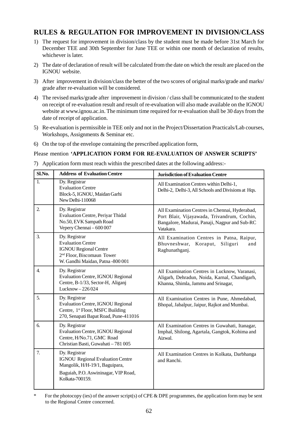## **RULES & REGULATION FOR IMPROVEMENT IN DIVISION/CLASS**

- 1) The request for improvement in division/class by the student must be made before 31st March for December TEE and 30th September for June TEE or within one month of declaration of results, whichever is later.
- 2) The date of declaration of result will be calculated from the date on which the result are placed on the IGNOU website.
- 3) After improvement in division/class the better of the two scores of original marks/grade and marks/ grade after re-evaluation will be considered.
- 4) The revised marks/grade after improvement in division / class shall be communicated to the student on receipt of re-evaluation result and result of re-evaluation will also made available on the IGNOU website at www.ignou.ac.in. The minimum time required for re-evaluation shall be 30 days from the date of receipt of application.
- 5) Re-evaluation is permissible in TEE only and not in the Project/Dissertation Practicals/Lab courses, Workshops, Assignments & Seminar etc.
- 6) On the top of the envelope containing the prescribed application form,

Please mention **'APPLICATION FORM FOR RE-EVALUATION OF ANSWER SCRIPTS'**

7) Application form must reach within the prescribed dates at the following address:-

| Sl.No.           | <b>Address of Evaluation Centre</b>                                                                                                                     | <b>Jurisdiction of Evaluation Centre</b>                                                                                                                    |
|------------------|---------------------------------------------------------------------------------------------------------------------------------------------------------|-------------------------------------------------------------------------------------------------------------------------------------------------------------|
| $\mathbf{1}$ .   | Dy. Registrar<br><b>Evaluation Centre</b><br>Block-5, IGNOU, Maidan Garhi<br>New Delhi-110068                                                           | All Examination Centres within Delhi-1,<br>Delhi-2, Delhi-3, All Schools and Divisions at Hqs.                                                              |
| 2.               | Dy. Registrar<br>Evaluation Centre, Periyar Thidal<br>No.50, EVK Sampath Road<br>Vepery Chennai - 600 007                                               | All Examination Centres in Chennai, Hyderabad,<br>Port Blair, Vijayawada, Trivandrum, Cochin,<br>Bangalore, Madurai, Panaji, Nagpur and Sub-RC<br>Vatakara. |
| $\overline{3}$ . | Dy. Registrar<br><b>Evaluation Centre</b><br><b>IGNOU Regional Centre</b><br>2 <sup>nd</sup> Floor, Biscomaun Tower<br>W. Gandhi Maidan, Patna -800 001 | All Examination Centres in Patna, Raipur,<br>Siliguri<br>Bhuvneshwar, Koraput,<br>and<br>Raghunathganj.                                                     |
| $\overline{4}$ . | Dy. Registrar<br><b>Evaluation Centre, IGNOU Regional</b><br>Centre, B-1/33, Sector-H, Aliganj<br>Lucknow-226024                                        | All Examination Centres in Lucknow, Varanasi,<br>Aligarh, Dehradun, Noida, Karnal, Chandigarh,<br>Khanna, Shimla, Jammu and Srinagar,                       |
| 5.               | Dy. Registrar<br><b>Evaluation Centre, IGNOU Regional</b><br>Centre, 1st Floor, MSFC Building<br>270, Senapati Bapat Road, Pune-411016                  | All Examination Centres in Pune, Ahmedabad,<br>Bhopal, Jabalpur, Jaipur, Rajkot and Mumbai.                                                                 |
| б.               | Dy. Registrar<br>Evaluation Centre, IGNOU Regional<br>Centre, H/No.71, GMC Road<br>Christian Basti, Guwahati - 781 005                                  | All Examination Centres in Guwahati, Itanagar,<br>Imphal, Shilong, Agartala, Gangtok, Kohima and<br>Aizwal.                                                 |
| 7.               | Dy. Registrar<br><b>IGNOU Regional Evaluation Centre</b><br>Mangolik, H/H-19/1, Baguipara,<br>Baguiah, P.O. Aswininagar, VIP Road,<br>Kolkata-700159.   | All Examination Centres in Kolkata, Darbhanga<br>and Ranchi.                                                                                                |

For the photocopy (ies) of the answer script(s) of CPE & DPE programmes, the application form may be sent to the Regional Centre concerned.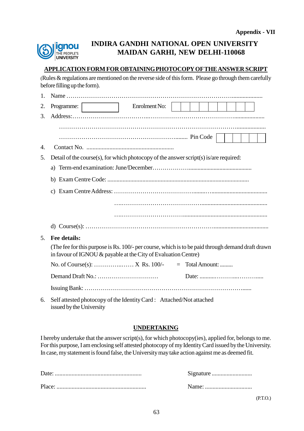

## **INDIRA GANDHI NATIONAL OPEN UNIVERSITY MAIDAN GARHI, NEW DELHI-110068**

### **APPLICATION FORM FOR OBTAININGPHOTOCOPY OFTHEANSWER SCRIPT**

(Rules & regulations are mentioned on the reverse side of this form. Please go through them carefully before filling up the form).

| 1. |                                                                                                                                                                     |
|----|---------------------------------------------------------------------------------------------------------------------------------------------------------------------|
| 2. | Enrolment No:<br>Programme:                                                                                                                                         |
| 3. |                                                                                                                                                                     |
|    |                                                                                                                                                                     |
|    |                                                                                                                                                                     |
| 4. |                                                                                                                                                                     |
| 5. | Detail of the course(s), for which photocopy of the answer script(s) is/are required:                                                                               |
|    |                                                                                                                                                                     |
|    |                                                                                                                                                                     |
|    | $\mathbf{c}$                                                                                                                                                        |
|    |                                                                                                                                                                     |
|    |                                                                                                                                                                     |
|    |                                                                                                                                                                     |
|    |                                                                                                                                                                     |
| 5. | Fee details:                                                                                                                                                        |
|    | (The fee for this purpose is Rs. 100/- per course, which is to be paid through demand draft drawn<br>in favour of IGNOU & payable at the City of Evaluation Centre) |
|    |                                                                                                                                                                     |
|    |                                                                                                                                                                     |
|    |                                                                                                                                                                     |
| 6. | Self attested photocopy of the Identity Card : Attached/Not attached<br>issued by the University                                                                    |

### **UNDERTAKING**

I hereby undertake that the answer script(s), for which photocopy(ies), applied for, belongs to me. For this purpose, I am enclosing self attested photocopy of my Identity Card issued by the University. In case, my statement is found false, the Universitymaytake action against me as deemed fit.

(P.T.O.)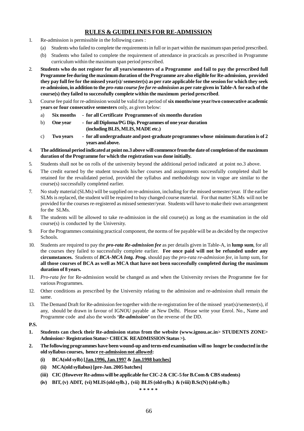### **RULES & GUIDELINES FOR RE-ADMISSION**

- 1. Re-admission is permissible in the following cases :
	- (a) Students who failed to complete the requirements in full or in part within the maximum span period prescribed.
	- (b) Students who failed to complete the requirement of attendance in practicals as prescribed in Programme curriculum within the maximum span period prescribed.
- 2. **Students who do not register for all years/semesters of a Programme and fail to pay the prescribed full Programme fee during the maximum duration of the Programme are also eligible for Re-admission, provided they pay full fee for the missed year(s)/ semester(s) as per rate applicable for the session for which they seek re-admission, in addition to the** *pro-rata course fee for re-admission* **as per rate given in Table-A for each of the course(s) they failed to successfully complete within the maximum period prescribed**.
- 3. Course fee paid for re-admission would be valid for a period of **six months/one year/two consecutive academic years or four consecutive semesters** only, as given below:
	- a) **Six months - for all Certificate Programmes of six months duration**
	- b) **One year - for all Diploma/PG Dip. Programmes of one year duration (including BLIS, MLIS, MADE etc.)**
	- c) **Two years - for all undergraduate and post-graduate programmes whose minimum duration is of 2 years and above.**
- 4. **The additional period indicated at point no.3 above will commence fromthe date of completion of the maximum duration of the Programme for which the registration was done initially.**
- 5. Students shall not be on rolls of the university beyond the additional period indicated at point no.3 above.
- 6. The credit earned by the student towards his/her courses and assignments successfully completed shall be retained for the revalidated period, provided the syllabus and methodology now in vogue are similar to the course(s) successfully completed earlier.
- 7. No study material (SLMs) will be supplied on re-admission, including for the missed semester/year. If the earlier SLMs is replaced, the student will be required to buy changed course material. For that matter SLMs will not be provided for the courses re-registered as missed semester/year. Students will have to make their own arrangement for the SLMs.
- 8. The students will be allowed to take re-admission in the old course(s) as long as the examination in the old course(s) is conducted by the University.
- 9. For the Programmes containing practical component, the norms of fee payable will be as decided by the respective Schools.
- 10. Students are required to pay the *pro-rata Re-admission fee* as per details given in Table-A, in **lump sum**, for all the courses they failed to successfully complete earlier. **Fee once paid will not be refunded under any circumstances.** Students of *BCA-MCA Intg. Prog.* should pay the *pro-rata re-admission fee*, in lump sum, for **all those courses of BCA as well as MCA that have not been successfully completed during the maximum duration of 8 years.**
- 11. *Pro-rata fee* for Re-admission would be changed as and when the University revises the Programme fee for various Programmes.
- 12. Other conditions as prescribed by the University relating to the admission and re-admission shall remain the same.
- 13. The Demand Draft for Re-admission fee together with the re-registration fee of the missed year(s)/semester(s), if any, should be drawn in favour of IGNOU payable at New Delhi. Please write your Enrol. No., Name and Programme code and also the words *'Re-admission'* on the reverse of the DD.
- **P.S.**
- **1. Students can check their Re-admission status from the website (www.ignou.ac.in> STUDENTS ZONE> Admission> Registration Status> CHECK READMISSION Status >).**
- **2. The following programmes have been wound-up and term-end examination will no longer be conducted in the old syllabus courses, hence re-admission not allowed:**
	- **(i) BCA(old sylb) [Jan.1996, Jan.1997 & Jan.1998 batches]**
	- **(ii) MCA(old syllabus) [pre-Jan. 2005 batches]**
	- **(iii) CIC (However Re-admss will be applicable for CIC-2 & CIC-5 for B.Com& CBS students)**
	- **(iv) BIT, (v) ADIT, (vi) MLIS (old sylb.) , (vii) BLIS (old sylb.) & (viii) B.Sc(N) (old sylb.)**

**\* \* \* \* \***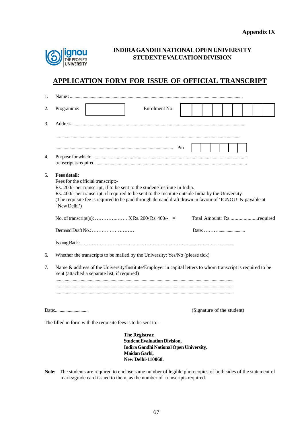

### **INDIRAGANDHI NATIONALOPEN UNIVERSITY STUDENT EVALUATION DIVISION**

## **APPLICATION FORM FOR ISSUE OF OFFICIAL TRANSCRIPT**

| 1. |                                                                                                                                                                                                                                                                                                                                                                         |
|----|-------------------------------------------------------------------------------------------------------------------------------------------------------------------------------------------------------------------------------------------------------------------------------------------------------------------------------------------------------------------------|
| 2. | Enrolment No:<br>Programme:                                                                                                                                                                                                                                                                                                                                             |
| 3. |                                                                                                                                                                                                                                                                                                                                                                         |
|    |                                                                                                                                                                                                                                                                                                                                                                         |
| 4. |                                                                                                                                                                                                                                                                                                                                                                         |
| 5. | <b>Fees detail:</b><br>Fees for the official transcript:-<br>Rs. 200/- per transcript, if to be sent to the student/Institute in India.<br>Rs. 400/- per transcript, if required to be sent to the Institute outside India by the University.<br>(The requisite fee is required to be paid through demand draft drawn in favour of 'IGNOU' & payable at<br>'New Delhi') |
|    | No. of transcript(s):  X Rs. 200/ Rs. 400/- =<br>Total Amount: Rsrequired                                                                                                                                                                                                                                                                                               |
|    | Demand Draft No.:                                                                                                                                                                                                                                                                                                                                                       |
|    |                                                                                                                                                                                                                                                                                                                                                                         |
| 6. | Whether the transcripts to be mailed by the University: Yes/No (please tick)                                                                                                                                                                                                                                                                                            |
| 7. | Name & address of the University/Institute/Employer in capital letters to whom transcript is required to be<br>sent (attached a separate list, if required)                                                                                                                                                                                                             |
|    | (Signature of the student)                                                                                                                                                                                                                                                                                                                                              |
|    | The filled in form with the requisite fees is to be sent to:-                                                                                                                                                                                                                                                                                                           |
|    | The Registrar,<br><b>Student Evaluation Division,</b><br>Indira Gandhi National Open University,<br>Maidan Garhi,<br><b>New Delhi-110068.</b>                                                                                                                                                                                                                           |

**Note:** The students are required to enclose same number of legible photocopies of both sides of the statement of marks/grade card issued to them, as the number of transcripts required.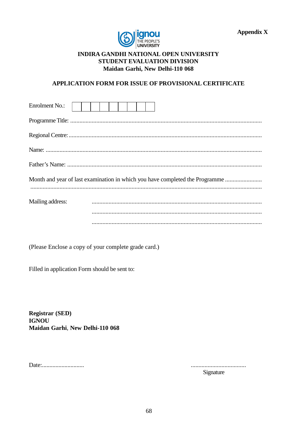



### **INDIRA GANDHI NATIONAL OPEN UNIVERSITY STUDENT EVALUATION DIVISION** Maidan Garhi, New Delhi-110 068

### APPLICATION FORM FOR ISSUE OF PROVISIONAL CERTIFICATE

| Enrolment No.:                                                               |  |  |  |  |  |  |  |  |  |
|------------------------------------------------------------------------------|--|--|--|--|--|--|--|--|--|
|                                                                              |  |  |  |  |  |  |  |  |  |
|                                                                              |  |  |  |  |  |  |  |  |  |
|                                                                              |  |  |  |  |  |  |  |  |  |
|                                                                              |  |  |  |  |  |  |  |  |  |
| Month and year of last examination in which you have completed the Programme |  |  |  |  |  |  |  |  |  |
|                                                                              |  |  |  |  |  |  |  |  |  |
| Mailing address:                                                             |  |  |  |  |  |  |  |  |  |
|                                                                              |  |  |  |  |  |  |  |  |  |
|                                                                              |  |  |  |  |  |  |  |  |  |

(Please Enclose a copy of your complete grade card.)

Filled in application Form should be sent to:

**Registrar (SED) IGNOU** Maidan Garhi, New Delhi-110 068

Date:.............................

Signature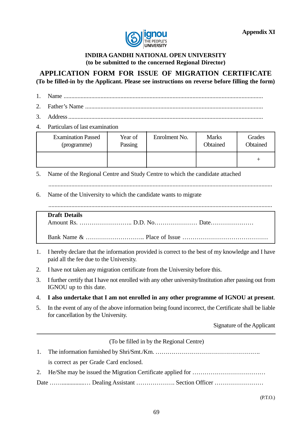

### **INDIRA GANDHI NATIONAL OPEN UNIVERSITY (to be submitted to the concerned Regional Director)**

### **APPLICATION FORM FOR ISSUE OF MIGRATION CERTIFICATE (To be filled-in by the Applicant. Please see instructions on reverse before filling the form)**

- 
- 1. Name ..................................................................................................................................
- 2. Father's Name ....................................................................................................................
- 3. Address...............................................................................................................................
- 4. Particulars of last examination

| <b>Examination Passed</b> | Year of | Enrolment No. | <b>Marks</b> | Grades   |
|---------------------------|---------|---------------|--------------|----------|
| (programme)               | Passing |               | Obtained     | Obtained |
|                           |         |               |              |          |

5. Name of the Regional Centre and Study Centre to which the candidate attached

6. Name of the University to which the candidate wants to migrate

..................................................................................................................................................

| <b>Draft Details</b> |  |
|----------------------|--|
|                      |  |
|                      |  |
|                      |  |

- 1. I hereby declare that the information provided is correct to the best of my knowledge and I have paid all the fee due to the University.
- 2. I have not taken any migration certificate from the University before this.
- 3. I further certify that I have not enrolled with any other university/Institution after passing out from IGNOU up to this date.
- 4. **I also undertake that I am not enrolled in any other programme of IGNOU at present**.
- 5. In the event of any of the above information being found incorrect, the Certificate shall be liable for cancellation by the University.

Signature of the Applicant

(To be filled in by the Regional Centre) 1. The information furnished by Shri/Smt./Km. ……………………………………………. is correct as per Grade Card enclosed. 2. He/She may be issued the Migration Certificate applied for ……………………………… Date ……...............… Dealing Assistant ………………. Section Officer ……………………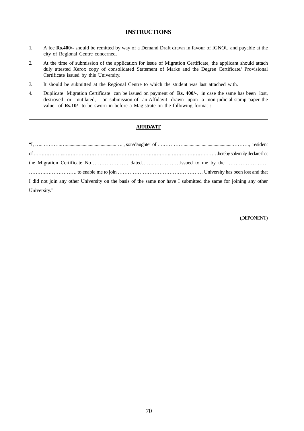#### **INSTRUCTIONS**

- 1. A fee **Rs.400/-** should be remitted by way of a Demand Draft drawn in favour of IGNOU and payable at the city of Regional Centre concerned.
- 2. At the time of submission of the application for issue of Migration Certificate, the applicant should attach duly attested Xerox copy of consolidated Statement of Marks and the Degree Certificate/ Provisional Certificate issued by this University.
- 3. It should be submitted at the Regional Centre to which the student was last attached with.
- 4. Duplicate Migration Certificate can be issued on payment of **Rs. 400/-**, in case the same has been lost, destroyed or mutilated, on submission of an Affidavit drawn upon a non-judicial stamp paper the value of **Rs.10/-** to be sworn in before a Magistrate on the following format :

#### **AFFIDAVIT**

| I did not join any other University on the basis of the same nor have I submitted the same for joining any other |  |
|------------------------------------------------------------------------------------------------------------------|--|
| University."                                                                                                     |  |

(DEPONENT)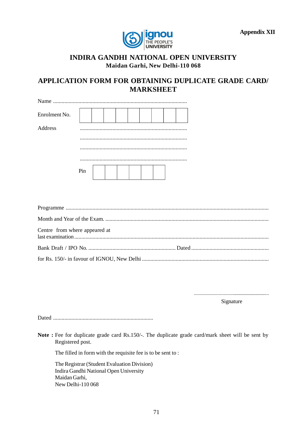

### **INDIRA GANDHI NATIONAL OPEN UNIVERSITY Maidan Garhi, New Delhi-110 068**

## **APPLICATION FORM FOR OBTAINING DUPLICATE GRADE CARD/ MARKSHEET**

| Enrolment No. |     |  |  |  |  |
|---------------|-----|--|--|--|--|
| Address       |     |  |  |  |  |
|               |     |  |  |  |  |
|               |     |  |  |  |  |
|               |     |  |  |  |  |
|               | Pin |  |  |  |  |

| Centre from where appeared at |  |
|-------------------------------|--|
|                               |  |
|                               |  |

.................................................................. Signature

Dated .......................................................................

**Note :** Fee for duplicate grade card Rs.150/-. The duplicate grade card/mark sheet will be sent by Registered post.

The filled in form with the requisite fee is to be sent to :

The Registrar (Student Evaluation Division) Indira Gandhi National Open University Maidan Garhi, New Delhi-110 068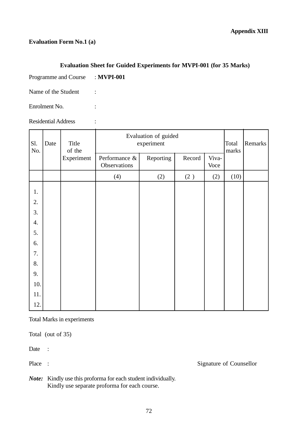### **Evaluation Form No.1 (a)**

### **Evaluation Sheet for Guided Experiments for MVPI-001 (for 35 Marks)**

Programme and Course : **MVPI-001**

 $\overline{a}$ 

Name of the Student :

Enrolment No. :

Residential Address :

| Sl.<br>No. | Date       | Title<br>of the               | Evaluation of guided<br>experiment<br>Total |        |               |       |      | Remarks |
|------------|------------|-------------------------------|---------------------------------------------|--------|---------------|-------|------|---------|
|            | Experiment | Performance &<br>Observations | Reporting                                   | Record | Viva-<br>Voce | marks |      |         |
|            |            |                               | (4)                                         | (2)    | $(2)$         | (2)   | (10) |         |
| 1.         |            |                               |                                             |        |               |       |      |         |
| 2.         |            |                               |                                             |        |               |       |      |         |
| 3.         |            |                               |                                             |        |               |       |      |         |
| 4.         |            |                               |                                             |        |               |       |      |         |
| 5.         |            |                               |                                             |        |               |       |      |         |
| 6.         |            |                               |                                             |        |               |       |      |         |
| 7.         |            |                               |                                             |        |               |       |      |         |
| 8.         |            |                               |                                             |        |               |       |      |         |
| 9.         |            |                               |                                             |        |               |       |      |         |
| 10.        |            |                               |                                             |        |               |       |      |         |
| 11.        |            |                               |                                             |        |               |       |      |         |
| 12.        |            |                               |                                             |        |               |       |      |         |

Total Marks in experiments

Total (out of 35)

Date :

Place : Signature of Counsellor

*Note:* Kindly use this proforma for each student individually. Kindly use separate proforma for each course.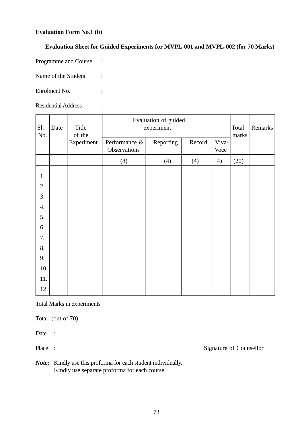#### **Evaluation Form No.1 (b)**

# **Evaluation Sheet for Guided Experiments for MVPL-001 and MVPL-002 (for 70 Marks)**

Programme and Course :

Name of the Student :

Enrolment No. :

Residential Address :

| Sl.<br>No. | Date | Title<br>of the | Evaluation of guided<br>experiment |           |        |               | Total<br>marks | Remarks |
|------------|------|-----------------|------------------------------------|-----------|--------|---------------|----------------|---------|
|            |      | Experiment      | Performance &<br>Observations      | Reporting | Record | Viva-<br>Voce |                |         |
|            |      |                 | (8)                                | (4)       | (4)    | 4)            | (20)           |         |
| 1.         |      |                 |                                    |           |        |               |                |         |
| 2.         |      |                 |                                    |           |        |               |                |         |
| 3.         |      |                 |                                    |           |        |               |                |         |
| 4.         |      |                 |                                    |           |        |               |                |         |
| 5.         |      |                 |                                    |           |        |               |                |         |
| 6.         |      |                 |                                    |           |        |               |                |         |
| 7.         |      |                 |                                    |           |        |               |                |         |
| 8.         |      |                 |                                    |           |        |               |                |         |
| 9.         |      |                 |                                    |           |        |               |                |         |
| 10.        |      |                 |                                    |           |        |               |                |         |
| 11.        |      |                 |                                    |           |        |               |                |         |
| 12.        |      |                 |                                    |           |        |               |                |         |

Total Marks in experiments

Total (out of 70)

Date :

Place : Signature of Counsellor

*Note:* Kindly use this proforma for each student individually. Kindly use separate proforma for each course.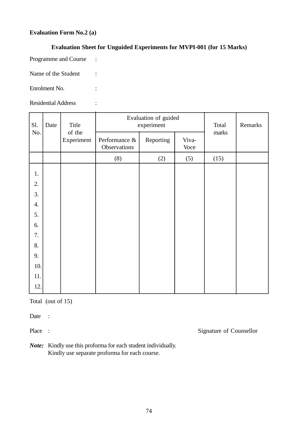# **Evaluation Form No.2 (a)**

# **Evaluation Sheet for Unguided Experiments for MVPI-001 (for 15 Marks)**

Programme and Course :

Name of the Student :

Enrolment No. :

Residential Address :

| Sl. | Date | Title<br>of the<br>Experiment |                               | Evaluation of guided<br>experiment | Total         | Remarks |  |
|-----|------|-------------------------------|-------------------------------|------------------------------------|---------------|---------|--|
| No. |      |                               | Performance &<br>Observations | Reporting                          | Viva-<br>Voce | marks   |  |
|     |      |                               | (8)                           | (2)                                | (5)           | (15)    |  |
| 1.  |      |                               |                               |                                    |               |         |  |
| 2.  |      |                               |                               |                                    |               |         |  |
| 3.  |      |                               |                               |                                    |               |         |  |
| 4.  |      |                               |                               |                                    |               |         |  |
| 5.  |      |                               |                               |                                    |               |         |  |
| 6.  |      |                               |                               |                                    |               |         |  |
| 7.  |      |                               |                               |                                    |               |         |  |
| 8.  |      |                               |                               |                                    |               |         |  |
| 9.  |      |                               |                               |                                    |               |         |  |
| 10. |      |                               |                               |                                    |               |         |  |
| 11. |      |                               |                               |                                    |               |         |  |
| 12. |      |                               |                               |                                    |               |         |  |

Total (out of 15)

Date :

Place : Signature of Counsellor

*Note:* Kindly use this proforma for each student individually. Kindly use separate proforma for each course.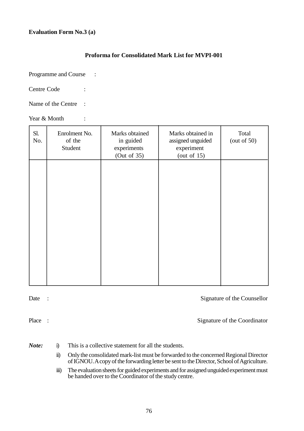#### **Evaluation Form No.3 (a)**

# **Proforma for Consolidated Mark List for MVPI-001**

Programme and Course :

Centre Code :

Name of the Centre :

Year & Month :

| Sl.<br>No. | Enrolment No.<br>of the<br>Student | Marks obtained<br>in guided<br>experiments<br>(Out of 35) | Marks obtained in<br>assigned unguided<br>experiment<br>(out of $15$ ) | Total<br>(out of $50$ ) |
|------------|------------------------------------|-----------------------------------------------------------|------------------------------------------------------------------------|-------------------------|
|            |                                    |                                                           |                                                                        |                         |
|            |                                    |                                                           |                                                                        |                         |
|            |                                    |                                                           |                                                                        |                         |
|            |                                    |                                                           |                                                                        |                         |

Date : Signature of the Counsellor

Place : Signature of the Coordinator

- *Note:* i) This is a collective statement for all the students.
	- ii) Only the consolidated mark-list must be forwarded to the concerned Regional Director of IGNOU. A copy of the forwarding letter be sent to the Director, School of Agriculture.
	- iii) The evaluation sheets for guided experiments and for assigned unguided experiment must be handed over to the Coordinator of the study centre.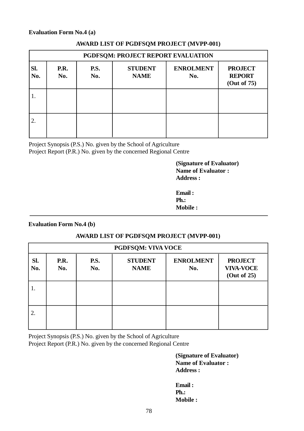#### **Evaluation Form No.4 (a)**

| PGDFSQM: PROJECT REPORT EVALUATION |             |                    |                               |                         |                                                |  |  |
|------------------------------------|-------------|--------------------|-------------------------------|-------------------------|------------------------------------------------|--|--|
| Sl.<br>No.                         | P.R.<br>No. | <b>P.S.</b><br>No. | <b>STUDENT</b><br><b>NAME</b> | <b>ENROLMENT</b><br>No. | <b>PROJECT</b><br><b>REPORT</b><br>(Out of 75) |  |  |
| 1.                                 |             |                    |                               |                         |                                                |  |  |
| 2.                                 |             |                    |                               |                         |                                                |  |  |

#### **AWARD LIST OF PGDFSQM PROJECT (MVPP-001)**

Project Synopsis (P.S.) No. given by the School of Agriculture Project Report (P.R.) No. given by the concerned Regional Centre

> **(Signature of Evaluator) Name of Evaluator : Address :**

| Email:          |  |
|-----------------|--|
| Ph.             |  |
| <b>Mobile :</b> |  |

**Evaluation Form No.4 (b)**

# **AWARD LIST OF PGDFSQM PROJECT (MVPP-001)**

| PGDFSQM: VIVA VOCE |             |                    |                               |                         |                                                   |  |
|--------------------|-------------|--------------------|-------------------------------|-------------------------|---------------------------------------------------|--|
| SI.<br>No.         | P.R.<br>No. | <b>P.S.</b><br>No. | <b>STUDENT</b><br><b>NAME</b> | <b>ENROLMENT</b><br>No. | <b>PROJECT</b><br><b>VIVA-VOCE</b><br>(Out of 25) |  |
| 1.                 |             |                    |                               |                         |                                                   |  |
| 2.                 |             |                    |                               |                         |                                                   |  |

Project Synopsis (P.S.) No. given by the School of Agriculture Project Report (P.R.) No. given by the concerned Regional Centre

> **(Signature of Evaluator) Name of Evaluator : Address :**

**Email : Ph.: Mobile :**